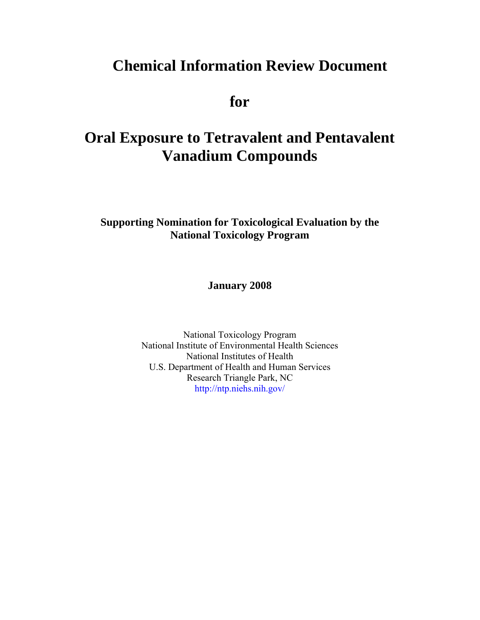# **Chemical Information Review Document**

**for** 

# **Oral Exposure to Tetravalent and Pentavalent Vanadium Compounds**

**Supporting Nomination for Toxicological Evaluation by the National Toxicology Program** 

**January 2008** 

National Toxicology Program National Institute of Environmental Health Sciences National Institutes of Health U.S. Department of Health and Human Services Research Triangle Park, NC <http://ntp.niehs.nih.gov/>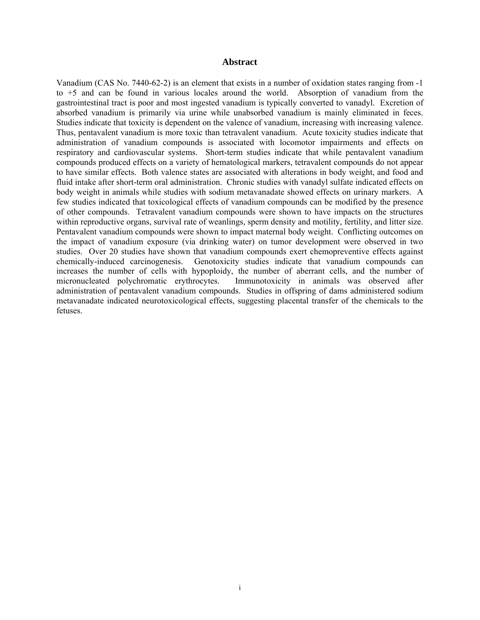#### **Abstract**

<span id="page-1-0"></span>Vanadium (CAS No. 7440-62-2) is an element that exists in a number of oxidation states ranging from -1 to +5 and can be found in various locales around the world. Absorption of vanadium from the gastrointestinal tract is poor and most ingested vanadium is typically converted to vanadyl. Excretion of absorbed vanadium is primarily via urine while unabsorbed vanadium is mainly eliminated in feces. Studies indicate that toxicity is dependent on the valence of vanadium, increasing with increasing valence. Thus, pentavalent vanadium is more toxic than tetravalent vanadium. Acute toxicity studies indicate that administration of vanadium compounds is associated with locomotor impairments and effects on respiratory and cardiovascular systems. Short-term studies indicate that while pentavalent vanadium compounds produced effects on a variety of hematological markers, tetravalent compounds do not appear to have similar effects. Both valence states are associated with alterations in body weight, and food and fluid intake after short-term oral administration. Chronic studies with vanadyl sulfate indicated effects on body weight in animals while studies with sodium metavanadate showed effects on urinary markers. A few studies indicated that toxicological effects of vanadium compounds can be modified by the presence of other compounds. Tetravalent vanadium compounds were shown to have impacts on the structures within reproductive organs, survival rate of weanlings, sperm density and motility, fertility, and litter size. Pentavalent vanadium compounds were shown to impact maternal body weight. Conflicting outcomes on the impact of vanadium exposure (via drinking water) on tumor development were observed in two studies. Over 20 studies have shown that vanadium compounds exert chemopreventive effects against chemically-induced carcinogenesis. Genotoxicity studies indicate that vanadium compounds can increases the number of cells with hypoploidy, the number of aberrant cells, and the number of micronucleated polychromatic erythrocytes. Immunotoxicity in animals was observed after administration of pentavalent vanadium compounds. Studies in offspring of dams administered sodium metavanadate indicated neurotoxicological effects, suggesting placental transfer of the chemicals to the fetuses.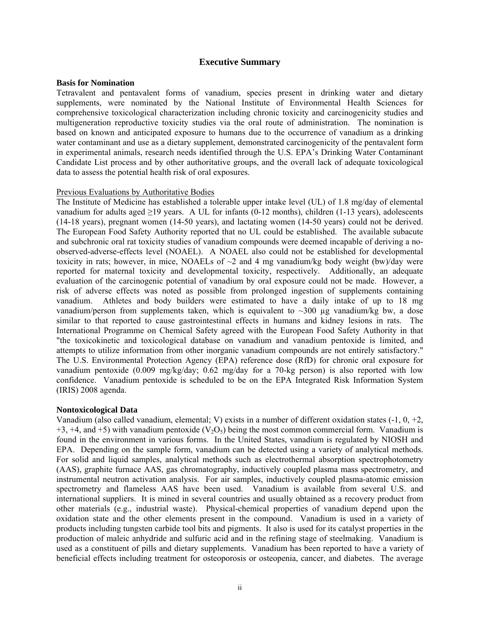#### **Executive Summary**

#### <span id="page-2-0"></span>**Basis for Nomination**

Tetravalent and pentavalent forms of vanadium, species present in drinking water and dietary supplements, were nominated by the National Institute of Environmental Health Sciences for comprehensive toxicological characterization including chronic toxicity and carcinogenicity studies and multigeneration reproductive toxicity studies via the oral route of administration. The nomination is based on known and anticipated exposure to humans due to the occurrence of vanadium as a drinking water contaminant and use as a dietary supplement, demonstrated carcinogenicity of the pentavalent form in experimental animals, research needs identified through the U.S. EPA's Drinking Water Contaminant Candidate List process and by other authoritative groups, and the overall lack of adequate toxicological data to assess the potential health risk of oral exposures.

#### Previous Evaluations by Authoritative Bodies

The Institute of Medicine has established a tolerable upper intake level (UL) of 1.8 mg/day of elemental vanadium for adults aged  $\geq$ 19 years. A UL for infants (0-12 months), children (1-13 years), adolescents (14-18 years), pregnant women (14-50 years), and lactating women (14-50 years) could not be derived. The European Food Safety Authority reported that no UL could be established. The available subacute and subchronic oral rat toxicity studies of vanadium compounds were deemed incapable of deriving a noobserved-adverse-effects level (NOAEL). A NOAEL also could not be established for developmental toxicity in rats; however, in mice, NOAELs of  $\sim$ 2 and 4 mg vanadium/kg body weight (bw)/day were reported for maternal toxicity and developmental toxicity, respectively. Additionally, an adequate evaluation of the carcinogenic potential of vanadium by oral exposure could not be made. However, a risk of adverse effects was noted as possible from prolonged ingestion of supplements containing vanadium. Athletes and body builders were estimated to have a daily intake of up to 18 mg vanadium/person from supplements taken, which is equivalent to  $\sim$ 300 µg vanadium/kg bw, a dose similar to that reported to cause gastrointestinal effects in humans and kidney lesions in rats. The International Programme on Chemical Safety agreed with the European Food Safety Authority in that "the toxicokinetic and toxicological database on vanadium and vanadium pentoxide is limited, and attempts to utilize information from other inorganic vanadium compounds are not entirely satisfactory." The U.S. Environmental Protection Agency (EPA) reference dose (RfD) for chronic oral exposure for vanadium pentoxide (0.009 mg/kg/day; 0.62 mg/day for a 70-kg person) is also reported with low confidence. Vanadium pentoxide is scheduled to be on the EPA Integrated Risk Information System (IRIS) 2008 agenda.

#### **Nontoxicological Data**

Vanadium (also called vanadium, elemental; V) exists in a number of different oxidation states (-1, 0, +2,  $+3$ ,  $+4$ , and  $+5$ ) with vanadium pentoxide (V<sub>2</sub>O<sub>5</sub>) being the most common commercial form. Vanadium is found in the environment in various forms. In the United States, vanadium is regulated by NIOSH and EPA. Depending on the sample form, vanadium can be detected using a variety of analytical methods. For solid and liquid samples, analytical methods such as electrothermal absorption spectrophotometry (AAS), graphite furnace AAS, gas chromatography, inductively coupled plasma mass spectrometry, and instrumental neutron activation analysis. For air samples, inductively coupled plasma-atomic emission spectrometry and flameless AAS have been used. Vanadium is available from several U.S. and international suppliers. It is mined in several countries and usually obtained as a recovery product from other materials (e.g., industrial waste). Physical-chemical properties of vanadium depend upon the oxidation state and the other elements present in the compound. Vanadium is used in a variety of products including tungsten carbide tool bits and pigments. It also is used for its catalyst properties in the production of maleic anhydride and sulfuric acid and in the refining stage of steelmaking. Vanadium is used as a constituent of pills and dietary supplements. Vanadium has been reported to have a variety of beneficial effects including treatment for osteoporosis or osteopenia, cancer, and diabetes. The average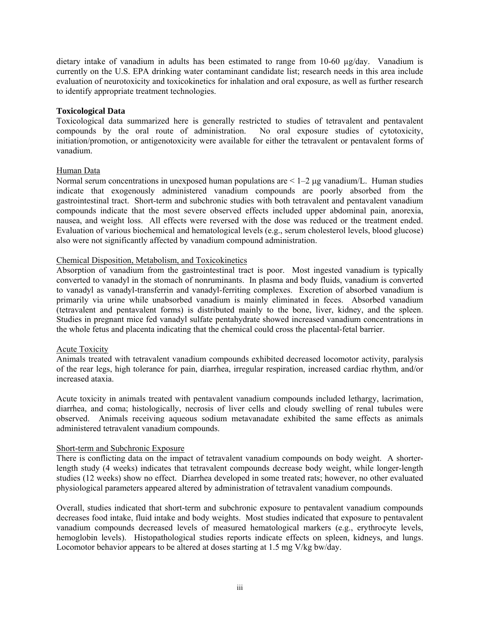dietary intake of vanadium in adults has been estimated to range from 10-60  $\mu$ g/day. Vanadium is currently on the U.S. EPA drinking water contaminant candidate list; research needs in this area include evaluation of neurotoxicity and toxicokinetics for inhalation and oral exposure, as well as further research to identify appropriate treatment technologies.

#### **Toxicological Data**

Toxicological data summarized here is generally restricted to studies of tetravalent and pentavalent compounds by the oral route of administration. No oral exposure studies of cytotoxicity, initiation/promotion, or antigenotoxicity were available for either the tetravalent or pentavalent forms of vanadium.

#### Human Data

Normal serum concentrations in unexposed human populations are  $\leq 1-2$  μg vanadium/L. Human studies indicate that exogenously administered vanadium compounds are poorly absorbed from the gastrointestinal tract. Short-term and subchronic studies with both tetravalent and pentavalent vanadium compounds indicate that the most severe observed effects included upper abdominal pain, anorexia, nausea, and weight loss. All effects were reversed with the dose was reduced or the treatment ended. Evaluation of various biochemical and hematological levels (e.g., serum cholesterol levels, blood glucose) also were not significantly affected by vanadium compound administration.

#### Chemical Disposition, Metabolism, and Toxicokinetics

Absorption of vanadium from the gastrointestinal tract is poor. Most ingested vanadium is typically converted to vanadyl in the stomach of nonruminants. In plasma and body fluids, vanadium is converted to vanadyl as vanadyl-transferrin and vanadyl-ferriting complexes. Excretion of absorbed vanadium is primarily via urine while unabsorbed vanadium is mainly eliminated in feces. Absorbed vanadium (tetravalent and pentavalent forms) is distributed mainly to the bone, liver, kidney, and the spleen. Studies in pregnant mice fed vanadyl sulfate pentahydrate showed increased vanadium concentrations in the whole fetus and placenta indicating that the chemical could cross the placental-fetal barrier.

#### Acute Toxicity

Animals treated with tetravalent vanadium compounds exhibited decreased locomotor activity, paralysis of the rear legs, high tolerance for pain, diarrhea, irregular respiration, increased cardiac rhythm, and/or increased ataxia.

Acute toxicity in animals treated with pentavalent vanadium compounds included lethargy, lacrimation, diarrhea, and coma; histologically, necrosis of liver cells and cloudy swelling of renal tubules were observed. Animals receiving aqueous sodium metavanadate exhibited the same effects as animals administered tetravalent vanadium compounds.

#### Short-term and Subchronic Exposure

There is conflicting data on the impact of tetravalent vanadium compounds on body weight. A shorterlength study (4 weeks) indicates that tetravalent compounds decrease body weight, while longer-length studies (12 weeks) show no effect. Diarrhea developed in some treated rats; however, no other evaluated physiological parameters appeared altered by administration of tetravalent vanadium compounds.

Overall, studies indicated that short-term and subchronic exposure to pentavalent vanadium compounds decreases food intake, fluid intake and body weights. Most studies indicated that exposure to pentavalent vanadium compounds decreased levels of measured hematological markers (e.g., erythrocyte levels, hemoglobin levels). Histopathological studies reports indicate effects on spleen, kidneys, and lungs. Locomotor behavior appears to be altered at doses starting at 1.5 mg V/kg bw/day.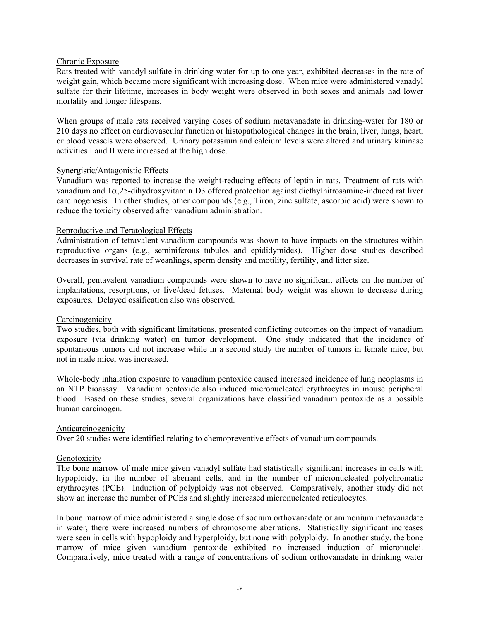#### Chronic Exposure

Rats treated with vanadyl sulfate in drinking water for up to one year, exhibited decreases in the rate of weight gain, which became more significant with increasing dose. When mice were administered vanadyl sulfate for their lifetime, increases in body weight were observed in both sexes and animals had lower mortality and longer lifespans.

When groups of male rats received varying doses of sodium metavanadate in drinking-water for 180 or 210 days no effect on cardiovascular function or histopathological changes in the brain, liver, lungs, heart, or blood vessels were observed. Urinary potassium and calcium levels were altered and urinary kininase activities I and II were increased at the high dose.

#### Synergistic/Antagonistic Effects

Vanadium was reported to increase the weight-reducing effects of leptin in rats. Treatment of rats with vanadium and 1α,25-dihydroxyvitamin D3 offered protection against diethylnitrosamine-induced rat liver carcinogenesis. In other studies, other compounds (e.g., Tiron, zinc sulfate, ascorbic acid) were shown to reduce the toxicity observed after vanadium administration.

#### Reproductive and Teratological Effects

Administration of tetravalent vanadium compounds was shown to have impacts on the structures within reproductive organs (e.g., seminiferous tubules and epididymides). Higher dose studies described decreases in survival rate of weanlings, sperm density and motility, fertility, and litter size.

Overall, pentavalent vanadium compounds were shown to have no significant effects on the number of implantations, resorptions, or live/dead fetuses. Maternal body weight was shown to decrease during exposures. Delayed ossification also was observed.

#### **Carcinogenicity**

Two studies, both with significant limitations, presented conflicting outcomes on the impact of vanadium exposure (via drinking water) on tumor development. One study indicated that the incidence of spontaneous tumors did not increase while in a second study the number of tumors in female mice, but not in male mice, was increased.

Whole-body inhalation exposure to vanadium pentoxide caused increased incidence of lung neoplasms in an NTP bioassay. Vanadium pentoxide also induced micronucleated erythrocytes in mouse peripheral blood. Based on these studies, several organizations have classified vanadium pentoxide as a possible human carcinogen.

#### Anticarcinogenicity

Over 20 studies were identified relating to chemopreventive effects of vanadium compounds.

#### Genotoxicity

The bone marrow of male mice given vanadyl sulfate had statistically significant increases in cells with hypoploidy, in the number of aberrant cells, and in the number of micronucleated polychromatic erythrocytes (PCE). Induction of polyploidy was not observed. Comparatively, another study did not show an increase the number of PCEs and slightly increased micronucleated reticulocytes.

In bone marrow of mice administered a single dose of sodium orthovanadate or ammonium metavanadate in water, there were increased numbers of chromosome aberrations. Statistically significant increases were seen in cells with hypoploidy and hyperploidy, but none with polyploidy. In another study, the bone marrow of mice given vanadium pentoxide exhibited no increased induction of micronuclei. Comparatively, mice treated with a range of concentrations of sodium orthovanadate in drinking water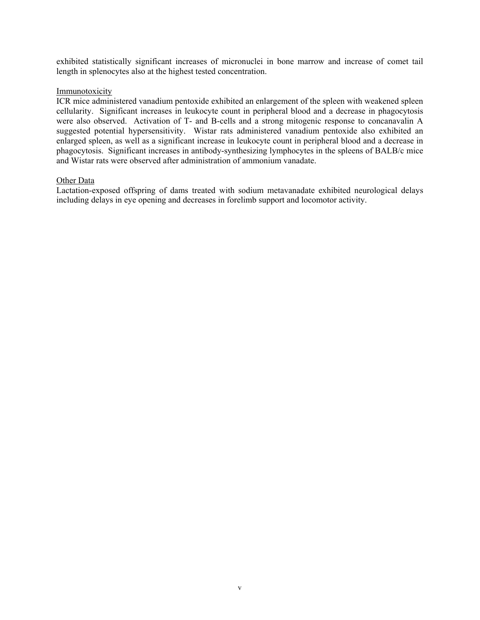exhibited statistically significant increases of micronuclei in bone marrow and increase of comet tail length in splenocytes also at the highest tested concentration.

#### Immunotoxicity

ICR mice administered vanadium pentoxide exhibited an enlargement of the spleen with weakened spleen cellularity. Significant increases in leukocyte count in peripheral blood and a decrease in phagocytosis were also observed. Activation of T- and B-cells and a strong mitogenic response to concanavalin A suggested potential hypersensitivity. Wistar rats administered vanadium pentoxide also exhibited an enlarged spleen, as well as a significant increase in leukocyte count in peripheral blood and a decrease in phagocytosis. Significant increases in antibody-synthesizing lymphocytes in the spleens of BALB/c mice and Wistar rats were observed after administration of ammonium vanadate.

#### Other Data

Lactation-exposed offspring of dams treated with sodium metavanadate exhibited neurological delays including delays in eye opening and decreases in forelimb support and locomotor activity.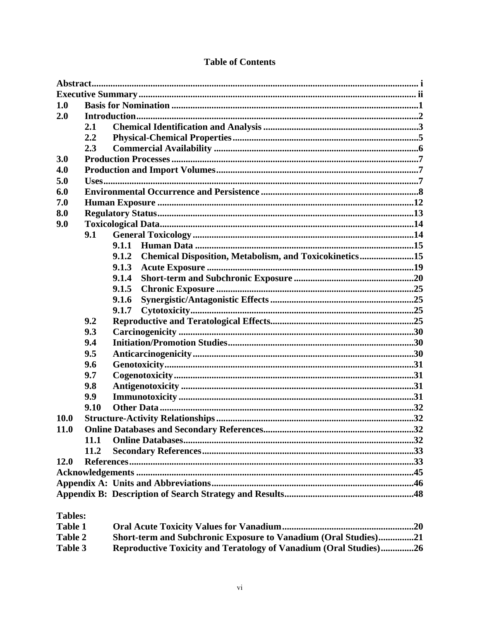| 1.0            |      |                                                                 |  |  |  |  |  |  |  |
|----------------|------|-----------------------------------------------------------------|--|--|--|--|--|--|--|
| 2.0            |      |                                                                 |  |  |  |  |  |  |  |
|                | 2.1  |                                                                 |  |  |  |  |  |  |  |
|                | 2.2  |                                                                 |  |  |  |  |  |  |  |
|                | 2.3  |                                                                 |  |  |  |  |  |  |  |
| 3.0            |      |                                                                 |  |  |  |  |  |  |  |
| 4.0            |      |                                                                 |  |  |  |  |  |  |  |
| 5.0            |      |                                                                 |  |  |  |  |  |  |  |
| 6.0            |      |                                                                 |  |  |  |  |  |  |  |
| 7.0            |      |                                                                 |  |  |  |  |  |  |  |
| 8.0            |      |                                                                 |  |  |  |  |  |  |  |
| 9.0            |      |                                                                 |  |  |  |  |  |  |  |
|                | 9.1  |                                                                 |  |  |  |  |  |  |  |
|                |      | 9.1.1                                                           |  |  |  |  |  |  |  |
|                |      | Chemical Disposition, Metabolism, and Toxicokinetics15<br>9.1.2 |  |  |  |  |  |  |  |
|                |      | 9.1.3                                                           |  |  |  |  |  |  |  |
|                |      | 9.1.4                                                           |  |  |  |  |  |  |  |
|                |      | 9.1.5                                                           |  |  |  |  |  |  |  |
|                |      | 9.1.6                                                           |  |  |  |  |  |  |  |
|                |      | 9.1.7                                                           |  |  |  |  |  |  |  |
|                | 9.2  |                                                                 |  |  |  |  |  |  |  |
|                | 9.3  |                                                                 |  |  |  |  |  |  |  |
|                | 9.4  |                                                                 |  |  |  |  |  |  |  |
|                | 9.5  |                                                                 |  |  |  |  |  |  |  |
|                | 9.6  |                                                                 |  |  |  |  |  |  |  |
|                | 9.7  |                                                                 |  |  |  |  |  |  |  |
|                | 9.8  |                                                                 |  |  |  |  |  |  |  |
|                | 9.9  |                                                                 |  |  |  |  |  |  |  |
|                | 9.10 |                                                                 |  |  |  |  |  |  |  |
| <b>10.0</b>    |      |                                                                 |  |  |  |  |  |  |  |
| <b>11.0</b>    |      |                                                                 |  |  |  |  |  |  |  |
|                | 11.1 |                                                                 |  |  |  |  |  |  |  |
|                | 11.2 |                                                                 |  |  |  |  |  |  |  |
| 12.0           |      |                                                                 |  |  |  |  |  |  |  |
|                |      |                                                                 |  |  |  |  |  |  |  |
|                |      |                                                                 |  |  |  |  |  |  |  |
|                |      |                                                                 |  |  |  |  |  |  |  |
| <b>Tables:</b> |      |                                                                 |  |  |  |  |  |  |  |

#### **Table of Contents**

Table 1 Short-term and Subchronic Exposure to Vanadium (Oral Studies)...............21 Table 2 Reproductive Toxicity and Teratology of Vanadium (Oral Studies)...............26 Table 3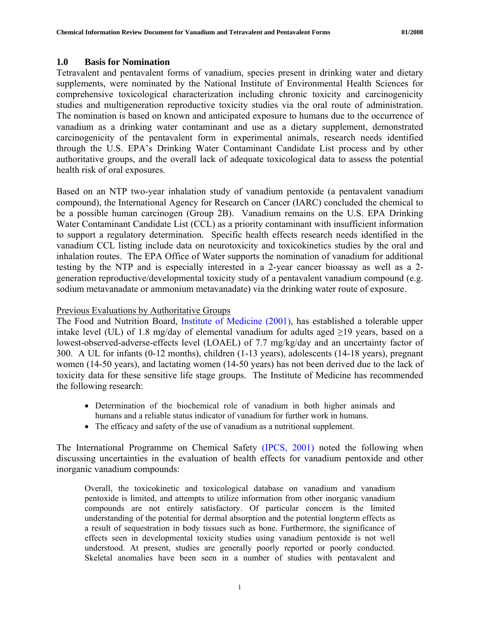#### <span id="page-7-0"></span>**1.0 Basis for Nomination**

Tetravalent and pentavalent forms of vanadium, species present in drinking water and dietary supplements, were nominated by the National Institute of Environmental Health Sciences for comprehensive toxicological characterization including chronic toxicity and carcinogenicity studies and multigeneration reproductive toxicity studies via the oral route of administration. The nomination is based on known and anticipated exposure to humans due to the occurrence of vanadium as a drinking water contaminant and use as a dietary supplement, demonstrated carcinogenicity of the pentavalent form in experimental animals, research needs identified through the U.S. EPA's Drinking Water Contaminant Candidate List process and by other authoritative groups, and the overall lack of adequate toxicological data to assess the potential health risk of oral exposures.

Based on an NTP two-year inhalation study of vanadium pentoxide (a pentavalent vanadium compound), the International Agency for Research on Cancer (IARC) concluded the chemical to be a possible human carcinogen (Group 2B). Vanadium remains on the U.S. EPA Drinking Water Contaminant Candidate List (CCL) as a priority contaminant with insufficient information to support a regulatory determination. Specific health effects research needs identified in the vanadium CCL listing include data on neurotoxicity and toxicokinetics studies by the oral and inhalation routes. The EPA Office of Water supports the nomination of vanadium for additional testing by the NTP and is especially interested in a 2-year cancer bioassay as well as a 2 generation reproductive/developmental toxicity study of a pentavalent vanadium compound (e.g. sodium metavanadate or ammonium metavanadate) via the drinking water route of exposure.

#### Previous Evaluations by Authoritative Groups

The Food and Nutrition Board, [Institute of Medicine \(2001\),](http://books.nap.edu/openbook.php?record_id=10026&page=R1) has established a tolerable upper intake level (UL) of 1.8 mg/day of elemental vanadium for adults aged  $\geq$ 19 years, based on a lowest-observed-adverse-effects level (LOAEL) of 7.7 mg/kg/day and an uncertainty factor of 300. A UL for infants (0-12 months), children (1-13 years), adolescents (14-18 years), pregnant women (14-50 years), and lactating women (14-50 years) has not been derived due to the lack of toxicity data for these sensitive life stage groups. The Institute of Medicine has recommended the following research:

- Determination of the biochemical role of vanadium in both higher animals and humans and a reliable status indicator of vanadium for further work in humans.
- The efficacy and safety of the use of vanadium as a nutritional supplement.

The International Programme on Chemical Safety [\(IPCS, 2001\)](http://www.inchem.org/documents/cicads/cicads/cicad29.htm) noted the following when discussing uncertainties in the evaluation of health effects for vanadium pentoxide and other inorganic vanadium compounds:

Overall, the toxicokinetic and toxicological database on vanadium and vanadium pentoxide is limited, and attempts to utilize information from other inorganic vanadium compounds are not entirely satisfactory. Of particular concern is the limited understanding of the potential for dermal absorption and the potential longterm effects as a result of sequestration in body tissues such as bone. Furthermore, the significance of effects seen in developmental toxicity studies using vanadium pentoxide is not well understood. At present, studies are generally poorly reported or poorly conducted. Skeletal anomalies have been seen in a number of studies with pentavalent and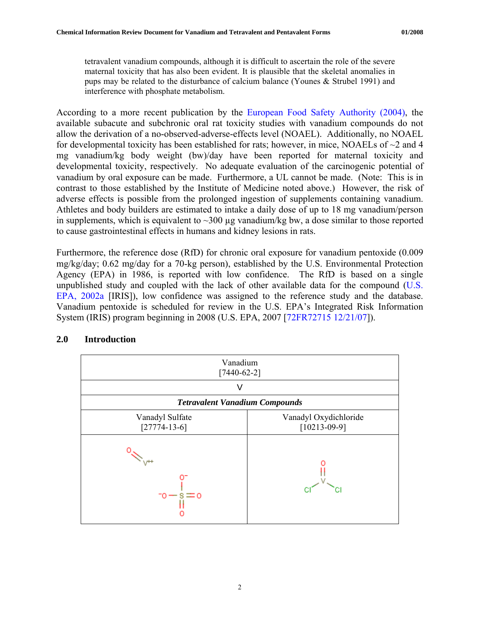<span id="page-8-0"></span>tetravalent vanadium compounds, although it is difficult to ascertain the role of the severe maternal toxicity that has also been evident. It is plausible that the skeletal anomalies in pups may be related to the disturbance of calcium balance (Younes & Strubel 1991) and interference with phosphate metabolism.

According to a more recent publication by the [European Food Safety Authority \(2004\),](http://www.efsa.europa.eu/EFSA/Scientific_Opinion/opinion_nda05_ej33_vanadium_en11,0.pdf) the available subacute and subchronic oral rat toxicity studies with vanadium compounds do not allow the derivation of a no-observed-adverse-effects level (NOAEL). Additionally, no NOAEL for developmental toxicity has been established for rats; however, in mice, NOAELs of  $\sim$ 2 and 4 mg vanadium/kg body weight (bw)/day have been reported for maternal toxicity and developmental toxicity, respectively. No adequate evaluation of the carcinogenic potential of vanadium by oral exposure can be made. Furthermore, a UL cannot be made. (Note: This is in contrast to those established by the Institute of Medicine noted above.) However, the risk of adverse effects is possible from the prolonged ingestion of supplements containing vanadium. Athletes and body builders are estimated to intake a daily dose of up to 18 mg vanadium/person in supplements, which is equivalent to  $\sim$ 300 µg vanadium/kg bw, a dose similar to those reported to cause gastrointestinal effects in humans and kidney lesions in rats.

Furthermore, the reference dose (RfD) for chronic oral exposure for vanadium pentoxide (0.009 mg/kg/day; 0.62 mg/day for a 70-kg person), established by the U.S. Environmental Protection Agency (EPA) in 1986, is reported with low confidence. The RfD is based on a single unpublished study and coupled with the lack of other available data for the compound ([U.S.](http://www.epa.gov/iris/subst/0125.htm)  [EPA, 2002a](http://www.epa.gov/iris/subst/0125.htm) [IRIS]), low confidence was assigned to the reference study and the database. Vanadium pentoxide is scheduled for review in the U.S. EPA's Integrated Risk Information System (IRIS) program beginning in 2008 (U.S. EPA, 2007 [[72FR72715 12/21/07](http://www.epa.gov/fedrgstr/EPA-RESEARCH/2007/December/Day-21/r24844.htm)]).



## **2.0 Introduction**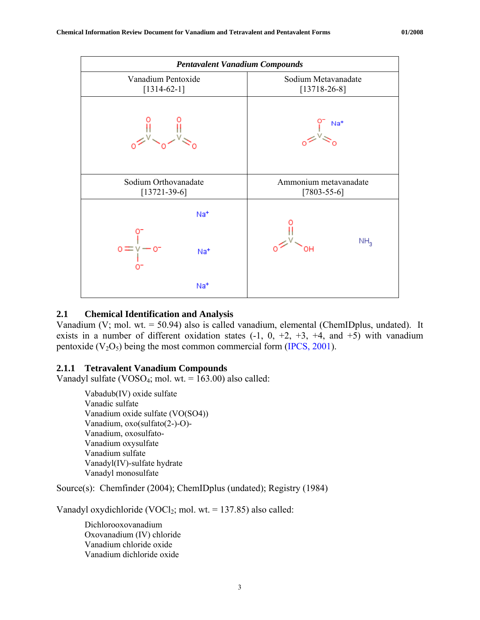<span id="page-9-0"></span>

#### **2.1 Chemical Identification and Analysis**

Vanadium (V; mol. wt. = 50.94) also is called vanadium, elemental (ChemIDplus, undated). It exists in a number of different oxidation states  $(-1, 0, +2, +3, +4,$  and  $+5)$  with vanadium pentoxide  $(V_2O_5)$  being the most common commercial form [\(IPCS, 2001\)](http://www.inchem.org/documents/cicads/cicads/cicad29.htm).

## **2.1.1 Tetravalent Vanadium Compounds**

Vanadyl sulfate (VOSO<sub>4</sub>; mol. wt.  $= 163.00$ ) also called:

Vabadub(IV) oxide sulfate Vanadic sulfate Vanadium oxide sulfate (VO(SO4)) Vanadium, oxo(sulfato(2-)-O)- Vanadium, oxosulfato-Vanadium oxysulfate Vanadium sulfate Vanadyl(IV)-sulfate hydrate Vanadyl monosulfate

Source(s): Chemfinder (2004); ChemIDplus (undated); Registry (1984)

Vanadyl oxydichloride (VOCl<sub>2</sub>; mol. wt. = 137.85) also called:

Dichlorooxovanadium Oxovanadium (IV) chloride Vanadium chloride oxide Vanadium dichloride oxide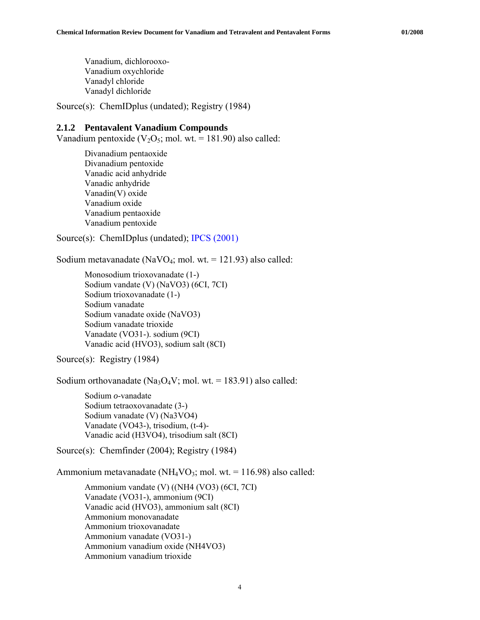Vanadium, dichlorooxo-Vanadium oxychloride Vanadyl chloride Vanadyl dichloride

Source(s): ChemIDplus (undated); Registry (1984)

#### **2.1.2 Pentavalent Vanadium Compounds**

Vanadium pentoxide  $(V_2O_5$ ; mol. wt. = 181.90) also called:

Divanadium pentaoxide Divanadium pentoxide Vanadic acid anhydride Vanadic anhydride Vanadin(V) oxide Vanadium oxide Vanadium pentaoxide Vanadium pentoxide

Source(s): ChemIDplus (undated); [IPCS \(2001\)](http://www.inchem.org/documents/cicads/cicads/cicad29.htm)

Sodium metavanadate (NaVO<sub>4</sub>; mol. wt. = 121.93) also called:

```
Monosodium trioxovanadate (1-) 
Sodium vandate (V) (NaVO3) (6CI, 7CI) 
Sodium trioxovanadate (1-) 
Sodium vanadate 
Sodium vanadate oxide (NaVO3) 
Sodium vanadate trioxide 
Vanadate (VO31-). sodium (9CI) 
Vanadic acid (HVO3), sodium salt (8CI)
```
Source(s): Registry (1984)

Sodium orthovanadate (Na<sub>3</sub>O<sub>4</sub>V; mol. wt. = 183.91) also called:

Sodium *o*-vanadate Sodium tetraoxovanadate (3-) Sodium vanadate (V) (Na3VO4) Vanadate (VO43-), trisodium, (t-4)- Vanadic acid (H3VO4), trisodium salt (8CI)

Source(s): Chemfinder (2004); Registry (1984)

Ammonium metavanadate (NH<sub>4</sub>VO<sub>3</sub>; mol. wt. = 116.98) also called:

Ammonium vandate (V) ((NH4 (VO3) (6CI, 7CI) Vanadate (VO31-), ammonium (9CI) Vanadic acid (HVO3), ammonium salt (8CI) Ammonium monovanadate Ammonium trioxovanadate Ammonium vanadate (VO31-) Ammonium vanadium oxide (NH4VO3) Ammonium vanadium trioxide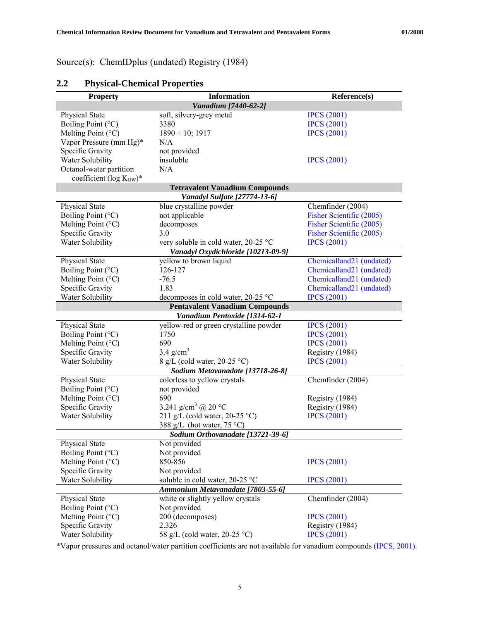<span id="page-11-0"></span>Source(s): ChemIDplus (undated) Registry (1984)

| <b>Property</b>                       | <b>Information</b>                     | Reference(s)                         |  |  |  |  |  |
|---------------------------------------|----------------------------------------|--------------------------------------|--|--|--|--|--|
|                                       | Vanadium [7440-62-2]                   |                                      |  |  |  |  |  |
| Physical State                        | soft, silvery-grey metal               | <b>IPCS</b> (2001)                   |  |  |  |  |  |
| Boiling Point (°C)                    | 3380                                   | <b>IPCS</b> (2001)                   |  |  |  |  |  |
| Melting Point $(^{\circ}C)$           | $1890 \pm 10$ ; 1917                   | <b>IPCS</b> (2001)                   |  |  |  |  |  |
| Vapor Pressure (mm Hg)*               | N/A                                    |                                      |  |  |  |  |  |
| Specific Gravity                      | not provided                           |                                      |  |  |  |  |  |
| Water Solubility                      | insoluble                              | <b>IPCS</b> (2001)                   |  |  |  |  |  |
| Octanol-water partition               | N/A                                    |                                      |  |  |  |  |  |
| coefficient (log $K_{\text{OW}}$ )*   |                                        |                                      |  |  |  |  |  |
| <b>Tetravalent Vanadium Compounds</b> |                                        |                                      |  |  |  |  |  |
|                                       | Vanadyl Sulfate [27774-13-6]           |                                      |  |  |  |  |  |
| <b>Physical State</b>                 | blue crystalline powder                | Chemfinder (2004)                    |  |  |  |  |  |
| Boiling Point (°C)                    | not applicable                         | Fisher Scientific (2005)             |  |  |  |  |  |
| Melting Point $(^{\circ}C)$           | decomposes                             | Fisher Scientific (2005)             |  |  |  |  |  |
| Specific Gravity                      | 3.0                                    | Fisher Scientific (2005)             |  |  |  |  |  |
| Water Solubility                      | very soluble in cold water, 20-25 °C   | <b>IPCS</b> (2001)                   |  |  |  |  |  |
|                                       | Vanadyl Oxydichloride [10213-09-9]     |                                      |  |  |  |  |  |
| <b>Physical State</b>                 | yellow to brown liquid                 | Chemicalland <sub>21</sub> (undated) |  |  |  |  |  |
| Boiling Point (°C)                    | 126-127                                | Chemicalland21 (undated)             |  |  |  |  |  |
| Melting Point $(^{\circ}C)$           | $-76.5$                                | Chemicalland21 (undated)             |  |  |  |  |  |
| Specific Gravity                      | 1.83                                   | Chemicalland21 (undated)             |  |  |  |  |  |
| Water Solubility                      | decomposes in cold water, $20-25$ °C   | <b>IPCS</b> (2001)                   |  |  |  |  |  |
|                                       | <b>Pentavalent Vanadium Compounds</b>  |                                      |  |  |  |  |  |
|                                       | Vanadium Pentoxide [1314-62-1          |                                      |  |  |  |  |  |
| Physical State                        | yellow-red or green crystalline powder | <b>IPCS</b> (2001)                   |  |  |  |  |  |
| Boiling Point (°C)                    | 1750                                   | <b>IPCS</b> (2001)                   |  |  |  |  |  |
| Melting Point (°C)                    | 690                                    | <b>IPCS</b> (2001)                   |  |  |  |  |  |
| Specific Gravity                      | $3.4$ g/cm <sup>3</sup>                | Registry (1984)                      |  |  |  |  |  |
| Water Solubility                      | 8 g/L (cold water, 20-25 °C)           | <b>IPCS</b> (2001)                   |  |  |  |  |  |
|                                       | Sodium Metavanadate [13718-26-8]       |                                      |  |  |  |  |  |
| Physical State                        | colorless to yellow crystals           | Chemfinder (2004)                    |  |  |  |  |  |
| Boiling Point (°C)                    | not provided                           |                                      |  |  |  |  |  |
| Melting Point (°C)                    | 690                                    | Registry (1984)                      |  |  |  |  |  |
| Specific Gravity                      | 3.241 g/cm <sup>3</sup> @ 20 °C        | Registry (1984)                      |  |  |  |  |  |
| Water Solubility                      | 211 g/L (cold water, 20-25 °C)         | <b>IPCS</b> (2001)                   |  |  |  |  |  |
|                                       | 388 g/L (hot water, $75^{\circ}$ C)    |                                      |  |  |  |  |  |
|                                       | Sodium Orthovanadate [13721-39-6]      |                                      |  |  |  |  |  |
| Physical State                        | Not provided                           |                                      |  |  |  |  |  |
| Boiling Point (°C)                    | Not provided                           |                                      |  |  |  |  |  |
| Melting Point $(^{\circ}C)$           | 850-856                                | <b>IPCS</b> (2001)                   |  |  |  |  |  |
| Specific Gravity                      | Not provided                           |                                      |  |  |  |  |  |
| Water Solubility                      | soluble in cold water, 20-25 °C        | <b>IPCS</b> (2001)                   |  |  |  |  |  |
|                                       | Ammonium Metavanadate [7803-55-6]      |                                      |  |  |  |  |  |
| Physical State                        | white or slightly yellow crystals      | Chemfinder (2004)                    |  |  |  |  |  |
| Boiling Point (°C)                    | Not provided                           |                                      |  |  |  |  |  |
| Melting Point $(^{\circ}C)$           | 200 (decomposes)                       | <b>IPCS</b> (2001)                   |  |  |  |  |  |
| Specific Gravity                      | 2.326                                  | Registry (1984)                      |  |  |  |  |  |
| Water Solubility                      | 58 g/L (cold water, $20-25$ °C)        | <b>IPCS</b> (2001)                   |  |  |  |  |  |

# **2.2 Physical-Chemical Properties**

\*Vapor pressures and octanol/water partition coefficients are not available for vanadium compounds [\(IPCS, 2001\).](http://www.inchem.org/documents/cicads/cicads/cicad29.htm)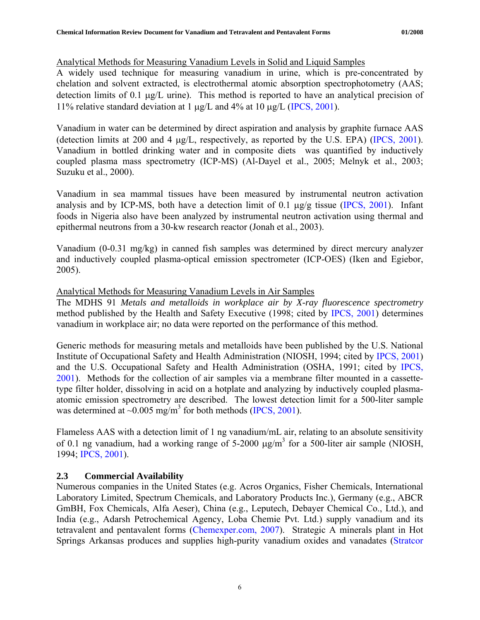## <span id="page-12-0"></span>Analytical Methods for Measuring Vanadium Levels in Solid and Liquid Samples

A widely used technique for measuring vanadium in urine, which is pre-concentrated by chelation and solvent extracted, is electrothermal atomic absorption spectrophotometry (AAS; detection limits of 0.1 μg/L urine). This method is reported to have an analytical precision of 11% relative standard deviation at 1 μg/L and 4% at 10 μg/L [\(IPCS, 2001](http://www.inchem.org/documents/cicads/cicads/cicad29.htm)).

Vanadium in water can be determined by direct aspiration and analysis by graphite furnace AAS (detection limits at 200 and 4 μg/L, respectively, as reported by the U.S. EPA) [\(IPCS, 2001\)](http://www.inchem.org/documents/cicads/cicads/cicad29.htm). Vanadium in bottled drinking water and in composite diets was quantified by inductively coupled plasma mass spectrometry (ICP-MS) (Al-Dayel et al., 2005; Melnyk et al., 2003; Suzuku et al., 2000).

Vanadium in sea mammal tissues have been measured by instrumental neutron activation analysis and by ICP-MS, both have a detection limit of 0.1  $\mu$ g/g tissue [\(IPCS, 2001](http://www.inchem.org/documents/cicads/cicads/cicad29.htm)). Infant foods in Nigeria also have been analyzed by instrumental neutron activation using thermal and epithermal neutrons from a 30-kw research reactor (Jonah et al., 2003).

Vanadium (0-0.31 mg/kg) in canned fish samples was determined by direct mercury analyzer and inductively coupled plasma-optical emission spectrometer (ICP-OES) (Iken and Egiebor, 2005).

## Analytical Methods for Measuring Vanadium Levels in Air Samples

The MDHS 91 *Metals and metalloids in workplace air by X-ray fluorescence spectrometry* method published by the Health and Safety Executive (1998; cited by [IPCS, 2001](http://www.inchem.org/documents/cicads/cicads/cicad29.htm)) determines vanadium in workplace air; no data were reported on the performance of this method.

Generic methods for measuring metals and metalloids have been published by the U.S. National Institute of Occupational Safety and Health Administration (NIOSH, 1994; cited by [IPCS, 2001\)](http://www.inchem.org/documents/cicads/cicads/cicad29.htm) and the U.S. Occupational Safety and Health Administration (OSHA, 1991; cited by [IPCS,](http://www.inchem.org/documents/cicads/cicads/cicad29.htm)  [2001](http://www.inchem.org/documents/cicads/cicads/cicad29.htm)). Methods for the collection of air samples via a membrane filter mounted in a cassettetype filter holder, dissolving in acid on a hotplate and analyzing by inductively coupled plasmaatomic emission spectrometry are described. The lowest detection limit for a 500-liter sample was determined at  $\sim 0.005$  mg/m<sup>3</sup> for both methods ([IPCS, 2001](http://www.inchem.org/documents/cicads/cicads/cicad29.htm)).

Flameless AAS with a detection limit of 1 ng vanadium/mL air, relating to an absolute sensitivity of 0.1 ng vanadium, had a working range of 5-2000  $\mu$ g/m<sup>3</sup> for a 500-liter air sample (NIOSH, 1994; [IPCS, 2001\)](http://www.inchem.org/documents/cicads/cicads/cicad29.htm).

# **2.3 Commercial Availability**

Numerous companies in the United States (e.g. Acros Organics, Fisher Chemicals, International Laboratory Limited, Spectrum Chemicals, and Laboratory Products Inc.), Germany (e.g., ABCR GmBH, Fox Chemicals, Alfa Aeser), China (e.g., Leputech, Debayer Chemical Co., Ltd.), and India (e.g., Adarsh Petrochemical Agency, Loba Chemie Pvt. Ltd.) supply vanadium and its tetravalent and pentavalent forms ([Chemexper.com, 2007](http://www.chemexper.com/)). Strategic A minerals plant in Hot Springs Arkansas produces and supplies high-purity vanadium oxides and vanadates [\(Stratcor](http://www.stratcor.com/steel/steel.html)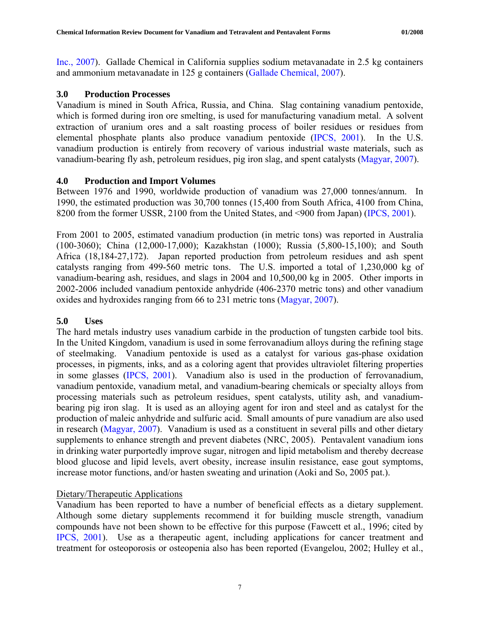<span id="page-13-0"></span>[Inc., 2007](http://www.stratcor.com/steel/steel.html)). Gallade Chemical in California supplies sodium metavanadate in 2.5 kg containers and ammonium metavanadate in 125 g containers ([Gallade Chemical, 2007\)](http://store.galladechem.com/shared/StoreFront/default.asp?CS=gallade&BusType=BtoC&).

## **3.0 Production Processes**

Vanadium is mined in South Africa, Russia, and China. Slag containing vanadium pentoxide, which is formed during iron ore smelting, is used for manufacturing vanadium metal. A solvent extraction of uranium ores and a salt roasting process of boiler residues or residues from elemental phosphate plants also produce vanadium pentoxide [\(IPCS, 2001\)](http://www.inchem.org/documents/cicads/cicads/cicad29.htm). In the U.S. vanadium production is entirely from recovery of various industrial waste materials, such as vanadium-bearing fly ash, petroleum residues, pig iron slag, and spent catalysts [\(Magyar, 2007\)](http://minerals.usgs.gov/minerals/pubs/commodity/vanadium/vanadmyb05.pdf).

## **4.0 Production and Import Volumes**

Between 1976 and 1990, worldwide production of vanadium was 27,000 tonnes/annum. In 1990, the estimated production was 30,700 tonnes (15,400 from South Africa, 4100 from China, 8200 from the former USSR, 2100 from the United States, and <900 from Japan) ([IPCS, 2001\)](http://www.inchem.org/documents/cicads/cicads/cicad29.htm).

From 2001 to 2005, estimated vanadium production (in metric tons) was reported in Australia (100-3060); China (12,000-17,000); Kazakhstan (1000); Russia (5,800-15,100); and South Africa (18,184-27,172). Japan reported production from petroleum residues and ash spent catalysts ranging from 499-560 metric tons. The U.S. imported a total of 1,230,000 kg of vanadium-bearing ash, residues, and slags in 2004 and 10,500,00 kg in 2005. Other imports in 2002-2006 included vanadium pentoxide anhydride (406-2370 metric tons) and other vanadium oxides and hydroxides ranging from 66 to 231 metric tons ([Magyar, 2007](http://minerals.usgs.gov/minerals/pubs/commodity/vanadium/vanadmyb05.pdf)).

## **5.0 Uses**

The hard metals industry uses vanadium carbide in the production of tungsten carbide tool bits. In the United Kingdom, vanadium is used in some ferrovanadium alloys during the refining stage of steelmaking. Vanadium pentoxide is used as a catalyst for various gas-phase oxidation processes, in pigments, inks, and as a coloring agent that provides ultraviolet filtering properties in some glasses [\(IPCS, 2001](http://www.inchem.org/documents/cicads/cicads/cicad29.htm)). Vanadium also is used in the production of ferrovanadium, vanadium pentoxide, vanadium metal, and vanadium-bearing chemicals or specialty alloys from processing materials such as petroleum residues, spent catalysts, utility ash, and vanadiumbearing pig iron slag. It is used as an alloying agent for iron and steel and as catalyst for the production of maleic anhydride and sulfuric acid. Small amounts of pure vanadium are also used in research [\(Magyar, 2007](http://minerals.usgs.gov/minerals/pubs/commodity/vanadium/vanadmyb05.pdf)). Vanadium is used as a constituent in several pills and other dietary supplements to enhance strength and prevent diabetes (NRC, 2005). Pentavalent vanadium ions in drinking water purportedly improve sugar, nitrogen and lipid metabolism and thereby decrease blood glucose and lipid levels, avert obesity, increase insulin resistance, ease gout symptoms, increase motor functions, and/or hasten sweating and urination (Aoki and So, 2005 pat.).

## Dietary/Therapeutic Applications

Vanadium has been reported to have a number of beneficial effects as a dietary supplement. Although some dietary supplements recommend it for building muscle strength, vanadium compounds have not been shown to be effective for this purpose (Fawcett et al., 1996; cited by [IPCS, 2001\)](http://www.inchem.org/documents/cicads/cicads/cicad29.htm). Use as a therapeutic agent, including applications for cancer treatment and treatment for osteoporosis or osteopenia also has been reported (Evangelou, 2002; Hulley et al.,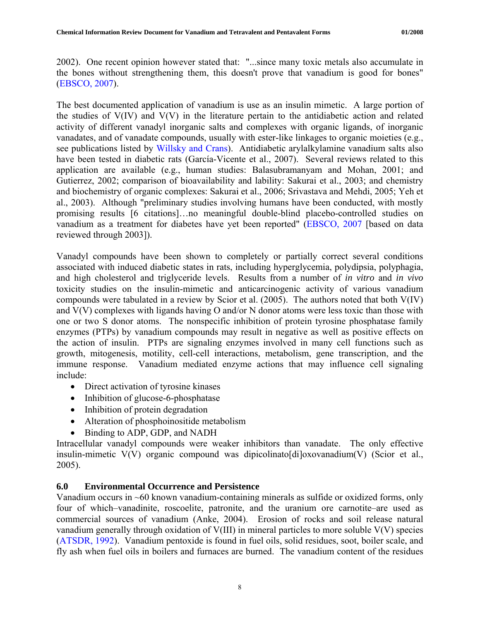<span id="page-14-0"></span>2002). One recent opinion however stated that: "...since many toxic metals also accumulate in the bones without strengthening them, this doesn't prove that vanadium is good for bones" ([EBSCO, 2007\)](http://healthlibrary.epnet.com/GetContent.aspx?token=8482e079-8512-47c2-960c-a403c77a5e4c&chunkiid=21881).

The best documented application of vanadium is use as an insulin mimetic. A large portion of the studies of V(IV) and V(V) in the literature pertain to the antidiabetic action and related activity of different vanadyl inorganic salts and complexes with organic ligands, of inorganic vanadates, and of vanadate compounds, usually with ester-like linkages to organic moieties (e.g., see publications listed by [Willsky and Crans\)](http://www.smbs.buffalo.edu/bch/faculty/willsky.htm). Antidiabetic arylalkylamine vanadium salts also have been tested in diabetic rats (García-Vicente et al., 2007). Several reviews related to this application are available (e.g., human studies: Balasubramanyam and Mohan, 2001; and Gutierrez, 2002; comparison of bioavailability and lability: Sakurai et al., 2003; and chemistry and biochemistry of organic complexes: Sakurai et al., 2006; Srivastava and Mehdi, 2005; Yeh et al., 2003). Although "preliminary studies involving humans have been conducted, with mostly promising results [6 citations]…no meaningful double-blind placebo-controlled studies on vanadium as a treatment for diabetes have yet been reported" [\(EBSCO, 2007](http://healthlibrary.epnet.com/GetContent.aspx?token=8482e079-8512-47c2-960c-a403c77a5e4c&chunkiid=21881) [based on data reviewed through 2003]).

Vanadyl compounds have been shown to completely or partially correct several conditions associated with induced diabetic states in rats, including hyperglycemia, polydipsia, polyphagia, and high cholesterol and triglyceride levels. Results from a number of *in vitro* and *in vivo* toxicity studies on the insulin-mimetic and anticarcinogenic activity of various vanadium compounds were tabulated in a review by Scior et al. (2005). The authors noted that both V(IV) and V(V) complexes with ligands having O and/or N donor atoms were less toxic than those with one or two S donor atoms. The nonspecific inhibition of protein tyrosine phosphatase family enzymes (PTPs) by vanadium compounds may result in negative as well as positive effects on the action of insulin. PTPs are signaling enzymes involved in many cell functions such as growth, mitogenesis, motility, cell-cell interactions, metabolism, gene transcription, and the immune response. Vanadium mediated enzyme actions that may influence cell signaling include:

- Direct activation of tyrosine kinases
- Inhibition of glucose-6-phosphatase
- Inhibition of protein degradation
- Alteration of phosphoinositide metabolism
- Binding to ADP, GDP, and NADH

Intracellular vanadyl compounds were weaker inhibitors than vanadate. The only effective insulin-mimetic V(V) organic compound was dipicolinato[di]oxovanadium(V) (Scior et al., 2005).

# **6.0 Environmental Occurrence and Persistence**

Vanadium occurs in ~60 known vanadium-containing minerals as sulfide or oxidized forms, only four of which–vanadinite, roscoelite, patronite, and the uranium ore carnotite–are used as commercial sources of vanadium (Anke, 2004). Erosion of rocks and soil release natural vanadium generally through oxidation of V(III) in mineral particles to more soluble V(V) species ([ATSDR, 1992\)](http://www.atsdr.cdc.gov/toxprofiles/tp58.pdf). Vanadium pentoxide is found in fuel oils, solid residues, soot, boiler scale, and fly ash when fuel oils in boilers and furnaces are burned. The vanadium content of the residues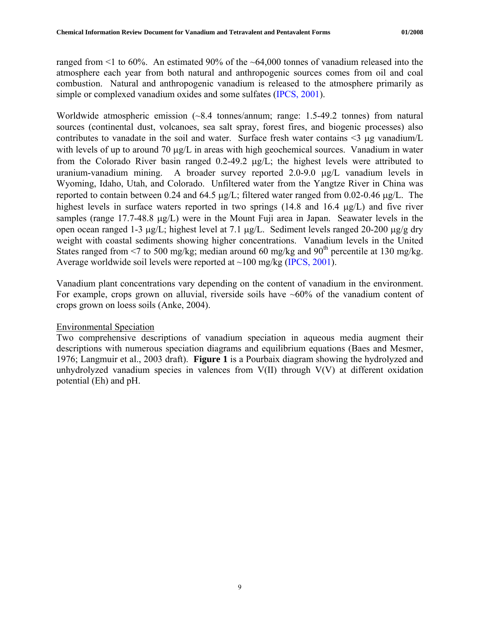ranged from <1 to 60%. An estimated 90% of the ~64,000 tonnes of vanadium released into the atmosphere each year from both natural and anthropogenic sources comes from oil and coal combustion. Natural and anthropogenic vanadium is released to the atmosphere primarily as simple or complexed vanadium oxides and some sulfates ([IPCS, 2001\)](http://www.inchem.org/documents/cicads/cicads/cicad29.htm).

Worldwide atmospheric emission (~8.4 tonnes/annum; range: 1.5-49.2 tonnes) from natural sources (continental dust, volcanoes, sea salt spray, forest fires, and biogenic processes) also contributes to vanadate in the soil and water. Surface fresh water contains <3 μg vanadium/L with levels of up to around 70 μg/L in areas with high geochemical sources. Vanadium in water from the Colorado River basin ranged 0.2-49.2 μg/L; the highest levels were attributed to uranium-vanadium mining. A broader survey reported 2.0-9.0 μg/L vanadium levels in Wyoming, Idaho, Utah, and Colorado. Unfiltered water from the Yangtze River in China was reported to contain between 0.24 and 64.5 μg/L; filtered water ranged from 0.02-0.46 μg/L. The highest levels in surface waters reported in two springs (14.8 and 16.4 μg/L) and five river samples (range 17.7-48.8 μg/L) were in the Mount Fuji area in Japan. Seawater levels in the open ocean ranged 1-3 μg/L; highest level at 7.1 μg/L. Sediment levels ranged 20-200 μg/g dry weight with coastal sediments showing higher concentrations. Vanadium levels in the United States ranged from  $\leq$  to 500 mg/kg; median around 60 mg/kg and 90<sup>th</sup> percentile at 130 mg/kg. Average worldwide soil levels were reported at ~100 mg/kg [\(IPCS, 2001\)](http://www.inchem.org/documents/cicads/cicads/cicad29.htm).

Vanadium plant concentrations vary depending on the content of vanadium in the environment. For example, crops grown on alluvial, riverside soils have  $~60\%$  of the vanadium content of crops grown on loess soils (Anke, 2004).

## Environmental Speciation

Two comprehensive descriptions of vanadium speciation in aqueous media augment their descriptions with numerous speciation diagrams and equilibrium equations (Baes and Mesmer, 1976; [Langmuir et al., 2003 draft](http://oaspub.epa.gov/eims/eimscomm.getfile?p_download_id=379035)). **Figure 1** is a Pourbaix diagram showing the hydrolyzed and unhydrolyzed vanadium species in valences from V(II) through V(V) at different oxidation potential (Eh) and pH.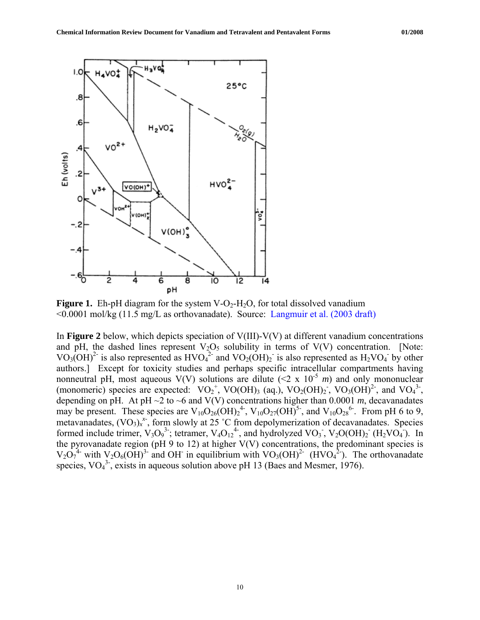

**Figure 1.** Eh-pH diagram for the system  $V$ -O<sub>2</sub>-H<sub>2</sub>O, for total dissolved vanadium <0.0001 mol/kg (11.5 mg/L as orthovanadate). Source: [Langmuir et al. \(2003 draft\)](http://oaspub.epa.gov/eims/eimscomm.getfile?p_download_id=379035)

In **Figure 2** below, which depicts speciation of V(III)-V(V) at different vanadium concentrations and pH, the dashed lines represent  $V_2O_5$  solubility in terms of  $V(V)$  concentration. [Note: VO<sub>3</sub>(OH)<sup>2-</sup> is also represented as HVO<sub>4</sub><sup>2-</sup> and VO<sub>2</sub>(OH)<sub>2</sub><sup>-</sup> is also represented as H<sub>2</sub>VO<sub>4</sub><sup>-</sup> by other authors.] Except for toxicity studies and perhaps specific intracellular compartments having nonneutral pH, most aqueous V(V) solutions are dilute  $(2 \times 10^{-5} \text{ m})$  and only mononuclear (monomeric) species are expected:  $VO_2^+$ ,  $VO(OH)_3$  (aq.),  $VO_2(OH)_2$ ,  $VO_3(OH)^2$ , and  $VO_4^3$ , depending on pH. At pH  $\sim$ 2 to  $\sim$ 6 and V(V) concentrations higher than 0.0001 *m*, decavanadates may be present. These species are  $V_{10}O_{26}(OH)<sub>2</sub><sup>4</sup>$ ,  $V_{10}O_{27}(OH)<sup>5</sup>$ , and  $V_{10}O_{28}^{6}$ . From pH 6 to 9, metavanadates,  $(VO_3)_x^x$ , form slowly at 25 °C from depolymerization of decavanadates. Species formed include trimer,  $V_3O_9^3$ ; tetramer,  $V_4O_{12}^4$ , and hydrolyzed  $VO_3$ ,  $V_2O(OH)_2$  (H<sub>2</sub>VO<sub>4</sub>). In the pyrovanadate region (pH 9 to 12) at higher  $V(V)$  concentrations, the predominant species is  $V_2O_7^4$  with  $V_2O_6(OH)^3$  and OH in equilibrium with  $VO_3(OH)^2$  (HVO<sub>4</sub><sup>2</sup>). The orthovanadate species,  $VO<sub>4</sub><sup>3</sup>$ , exists in aqueous solution above pH 13 (Baes and Mesmer, 1976).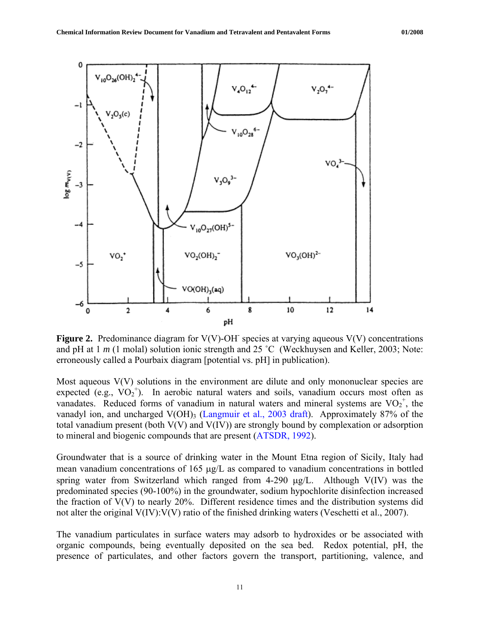

**Figure 2.** Predominance diagram for  $V(V)$ -OH species at varying aqueous  $V(V)$  concentrations and pH at 1 *m* (1 molal) solution ionic strength and 25 °C ([Weckhuysen and Keller, 2003;](http://igitur-archive.library.uu.nl/chem/2007-0524-200721/weckh_03_chemistryspectroscopy.pdf) Note: erroneously called a Pourbaix diagram [potential vs. pH] in publication).

Most aqueous  $V(V)$  solutions in the environment are dilute and only mononuclear species are expected (e.g.,  $VO_2^+$ ). In aerobic natural waters and soils, vanadium occurs most often as vanadates. Reduced forms of vanadium in natural waters and mineral systems are  $VO_2^+$ , the vanadyl ion, and uncharged V(OH)<sub>3</sub> ([Langmuir et al., 2003 draft\)](http://oaspub.epa.gov/eims/eimscomm.getfile?p_download_id=379035). Approximately 87% of the total vanadium present (both V(V) and V(IV)) are strongly bound by complexation or adsorption to mineral and biogenic compounds that are present [\(ATSDR, 1992\)](http://www.atsdr.cdc.gov/toxprofiles/tp58.pdf).

Groundwater that is a source of drinking water in the Mount Etna region of Sicily, Italy had mean vanadium concentrations of 165 μg/L as compared to vanadium concentrations in bottled spring water from Switzerland which ranged from 4-290 μg/L. Although V(IV) was the predominated species (90-100%) in the groundwater, sodium hypochlorite disinfection increased the fraction of V(V) to nearly 20%. Different residence times and the distribution systems did not alter the original V(IV):V(V) ratio of the finished drinking waters (Veschetti et al., 2007).

The vanadium particulates in surface waters may adsorb to hydroxides or be associated with organic compounds, being eventually deposited on the sea bed. Redox potential, pH, the presence of particulates, and other factors govern the transport, partitioning, valence, and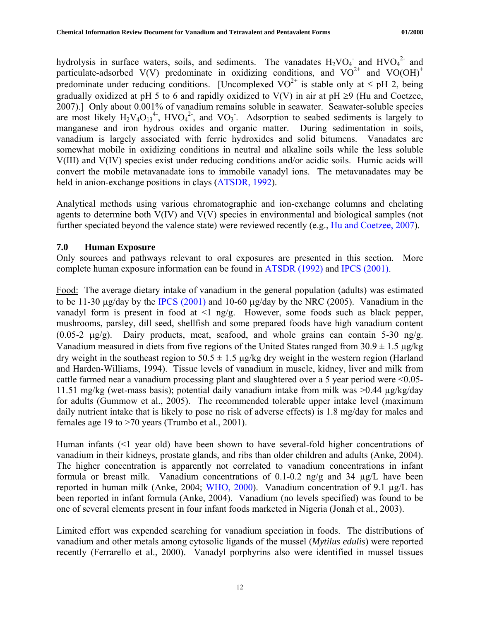<span id="page-18-0"></span>hydrolysis in surface waters, soils, and sediments. The vanadates  $H_2VO_4$  and  $HVO_4^2$  and particulate-adsorbed V(V) predominate in oxidizing conditions, and  $VO^{2+}$  and  $VO(OH)^{+}$ predominate under reducing conditions. [Uncomplexed  $VO^{2+}$  is stable only at  $\leq$  pH 2, being gradually oxidized at pH 5 to 6 and rapidly oxidized to V(V) in air at pH  $\geq$ 9 (Hu and Coetzee, [2007](http://www.wrc.org.za/downloads/watersa/2007/Apr%2007/2090.pdf)).] Only about 0.001% of vanadium remains soluble in seawater. Seawater-soluble species are most likely  $H_2V_4O_{13}^4$ ,  $HVO_4^2$ , and  $VO_3$ . Adsorption to seabed sediments is largely to manganese and iron hydrous oxides and organic matter. During sedimentation in soils, vanadium is largely associated with ferric hydroxides and solid bitumens. Vanadates are somewhat mobile in oxidizing conditions in neutral and alkaline soils while the less soluble V(III) and V(IV) species exist under reducing conditions and/or acidic soils. Humic acids will convert the mobile metavanadate ions to immobile vanadyl ions. The metavanadates may be held in anion-exchange positions in clays [\(ATSDR, 1992\)](http://www.atsdr.cdc.gov/toxprofiles/tp58.pdf).

Analytical methods using various chromatographic and ion-exchange columns and chelating agents to determine both V(IV) and V(V) species in environmental and biological samples (not further speciated beyond the valence state) were reviewed recently (e.g., [Hu and Coetzee, 2007\)](http://www.wrc.org.za/downloads/watersa/2007/Apr%2007/2090.pdf).

## **7.0 Human Exposure**

Only sources and pathways relevant to oral exposures are presented in this section. More complete human exposure information can be found in [ATSDR \(1992\)](http://www.atsdr.cdc.gov/toxprofiles/tp58.pdf) and [IPCS \(2001\).](http://www.inchem.org/documents/cicads/cicads/cicad29.htm)

Food: The average dietary intake of vanadium in the general population (adults) was estimated to be 11-30 μg/day by the [IPCS \(2001\)](http://www.inchem.org/documents/cicads/cicads/cicad29.htm) and 10-60 μg/day by the NRC (2005). Vanadium in the vanadyl form is present in food at  $\leq 1$  ng/g. However, some foods such as black pepper, mushrooms, parsley, dill seed, shellfish and some prepared foods have high vanadium content (0.05-2 μg/g). Dairy products, meat, seafood, and whole grains can contain 5-30 ng/g. Vanadium measured in diets from five regions of the United States ranged from  $30.9 \pm 1.5 \,\mu g/kg$ dry weight in the southeast region to  $50.5 \pm 1.5$  µg/kg dry weight in the western region (Harland and Harden-Williams, 1994). Tissue levels of vanadium in muscle, kidney, liver and milk from cattle farmed near a vanadium processing plant and slaughtered over a 5 year period were <0.05- 11.51 mg/kg (wet-mass basis); potential daily vanadium intake from milk was >0.44 µg/kg/day for adults (Gummow et al., 2005). The recommended tolerable upper intake level (maximum daily nutrient intake that is likely to pose no risk of adverse effects) is 1.8 mg/day for males and females age 19 to >70 years (Trumbo et al., 2001).

Human infants (<1 year old) have been shown to have several-fold higher concentrations of vanadium in their kidneys, prostate glands, and ribs than older children and adults (Anke, 2004). The higher concentration is apparently not correlated to vanadium concentrations in infant formula or breast milk. Vanadium concentrations of 0.1-0.2 ng/g and 34 µg/L have been reported in human milk (Anke, 2004; [WHO, 2000\)](http://www.euro.who.int/document/aiq/6_12vanadium.pdf). Vanadium concentration of 9.1 µg/L has been reported in infant formula (Anke, 2004). Vanadium (no levels specified) was found to be one of several elements present in four infant foods marketed in Nigeria (Jonah et al., 2003).

Limited effort was expended searching for vanadium speciation in foods. The distributions of vanadium and other metals among cytosolic ligands of the mussel (*Mytilus edulis*) were reported recently (Ferrarello et al., 2000). Vanadyl porphyrins also were identified in mussel tissues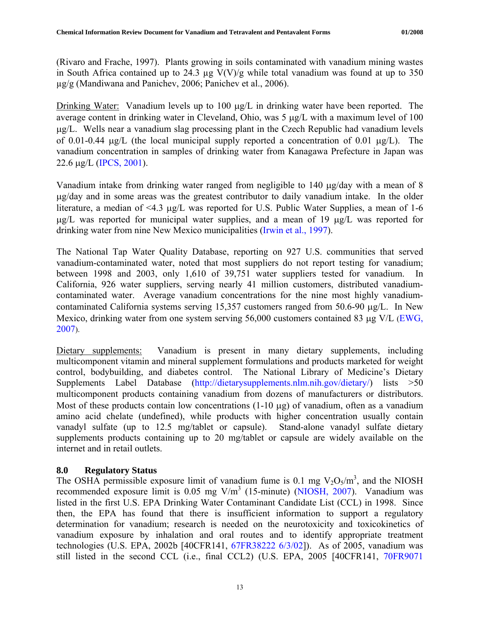<span id="page-19-0"></span>(Rivaro and Frache, 1997). Plants growing in soils contaminated with vanadium mining wastes in South Africa contained up to 24.3  $\mu$ g V(V)/g while total vanadium was found at up to 350 µg/g (Mandiwana and Panichev, 2006; Panichev et al., 2006).

Drinking Water: Vanadium levels up to 100 μg/L in drinking water have been reported. The average content in drinking water in Cleveland, Ohio, was 5 μg/L with a maximum level of 100 μg/L. Wells near a vanadium slag processing plant in the Czech Republic had vanadium levels of 0.01-0.44 μg/L (the local municipal supply reported a concentration of 0.01 μg/L). The vanadium concentration in samples of drinking water from Kanagawa Prefecture in Japan was 22.6 μg/L ([IPCS, 2001\)](http://www.inchem.org/documents/cicads/cicads/cicad29.htm).

Vanadium intake from drinking water ranged from negligible to 140 μg/day with a mean of 8 μg/day and in some areas was the greatest contributor to daily vanadium intake. In the older literature, a median of <4.3 μg/L was reported for U.S. Public Water Supplies, a mean of 1-6 μg/L was reported for municipal water supplies, and a mean of 19 μg/L was reported for drinking water from nine New Mexico municipalities ([Irwin et al., 1997\)](http://www.nature.nps.gov/hazardssafety/toxic/vanadium.pdf).

The National Tap Water Quality Database, reporting on 927 U.S. communities that served vanadium-contaminated water, noted that most suppliers do not report testing for vanadium; between 1998 and 2003, only 1,610 of 39,751 water suppliers tested for vanadium. In California, 926 water suppliers, serving nearly 41 million customers, distributed vanadiumcontaminated water. Average vanadium concentrations for the nine most highly vanadiumcontaminated California systems serving 15,357 customers ranged from 50.6-90 μg/L. In New Mexico, drinking water from one system serving 56,000 customers contained 83 μg V/L ([EWG,](http://www.ewg.org/tapwater/contaminants/contaminant.php?contamcode=1088)  [2007](http://www.ewg.org/tapwater/contaminants/contaminant.php?contamcode=1088)).

Dietary supplements: Vanadium is present in many dietary supplements, including multicomponent vitamin and mineral supplement formulations and products marketed for weight control, bodybuilding, and diabetes control. The National Library of Medicine's Dietary Supplements Label Database ([http://dietarysupplements.nlm.nih.gov/dietary/\)](http://dietarysupplements.nlm.nih.gov/dietary/) lists >50 multicomponent products containing vanadium from dozens of manufacturers or distributors. Most of these products contain low concentrations (1-10 μg) of vanadium, often as a vanadium amino acid chelate (undefined), while products with higher concentration usually contain vanadyl sulfate (up to 12.5 mg/tablet or capsule). Stand-alone vanadyl sulfate dietary supplements products containing up to 20 mg/tablet or capsule are widely available on the internet and in retail outlets.

# **8.0 Regulatory Status**

The OSHA permissible exposure limit of vanadium fume is 0.1 mg  $V_2O_5/m^3$ , and the NIOSH recommended exposure limit is 0.05 mg V/m<sup>3</sup> (15-minute) [\(NIOSH, 2007](http://www.cdc.gov/niosh/npg/npgd0654.html)). Vanadium was listed in the first U.S. EPA Drinking Water Contaminant Candidate List (CCL) in 1998. Since then, the EPA has found that there is insufficient information to support a regulatory determination for vanadium; research is needed on the neurotoxicity and toxicokinetics of vanadium exposure by inhalation and oral routes and to identify appropriate treatment technologies (U.S. EPA, 2002b [40CFR141, [67FR38222 6/3/02\]](http://www.epa.gov/EPA-WATER/2002/June/Day-03/w13796.htm)). As of 2005, vanadium was still listed in the second CCL (i.e., final CCL2) (U.S. EPA, 2005 [40CFR141, [70FR9071](http://www.epa.gov/EPA-WATER/2005/February/Day-24/w3527.htm)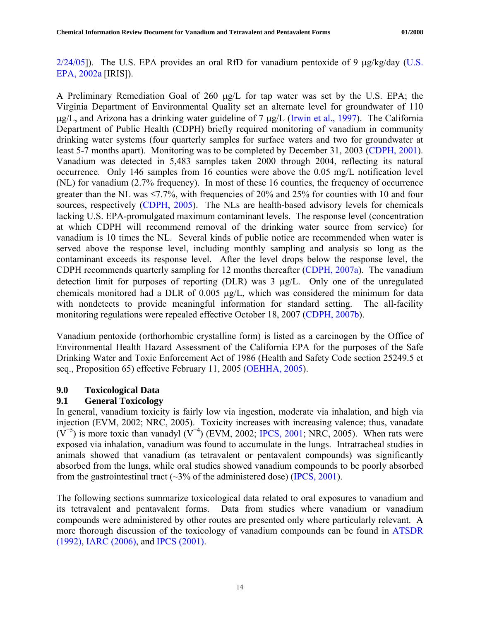<span id="page-20-0"></span> $2/24/05$ ]). The [U.S.](http://www.epa.gov/iris/subst/0125.htm) EPA provides an oral RfD for vanadium pentoxide of 9  $\mu$ g/kg/day (U.S. [EPA, 2002a](http://www.epa.gov/iris/subst/0125.htm) [IRIS]).

A Preliminary Remediation Goal of 260 μg/L for tap water was set by the U.S. EPA; the Virginia Department of Environmental Quality set an alternate level for groundwater of 110 μg/L, and Arizona has a drinking water guideline of 7 μg/L ([Irwin et al., 1997\)](http://www.nature.nps.gov/hazardssafety/toxic/vanadium.pdf). The California Department of Public Health (CDPH) briefly required monitoring of vanadium in community drinking water systems (four quarterly samples for surface waters and two for groundwater at least 5-7 months apart). Monitoring was to be completed by December 31, 2003 ([CDPH, 2001\)](http://www.cdph.ca.gov/certlic/drinkingwater/Documents/UCMR/UCMRregulation.pdf). Vanadium was detected in 5,483 samples taken 2000 through 2004, reflecting its natural occurrence. Only 146 samples from 16 counties were above the 0.05 mg/L notification level (NL) for vanadium (2.7% frequency). In most of these 16 counties, the frequency of occurrence greater than the NL was  $\leq 7.7\%$ , with frequencies of 20% and 25% for counties with 10 and four sources, respectively [\(CDPH, 2005\)](http://www.cdph.ca.gov/certlic/drinkingwater/Pages/UCMRmonitoringresults.aspx). The NLs are health-based advisory levels for chemicals lacking U.S. EPA-promulgated maximum contaminant levels. The response level (concentration at which CDPH will recommend removal of the drinking water source from service) for vanadium is 10 times the NL. Several kinds of public notice are recommended when water is served above the response level, including monthly sampling and analysis so long as the contaminant exceeds its response level. After the level drops below the response level, the CDPH recommends quarterly sampling for 12 months thereafter ([CDPH, 2007a](http://www.cdph.ca.gov/certlic/drinkingwater/Pages/NotificationLevels.aspx)). The vanadium detection limit for purposes of reporting (DLR) was 3 μg/L. Only one of the unregulated chemicals monitored had a DLR of 0.005 μg/L, which was considered the minimum for data with nondetects to provide meaningful information for standard setting. The all-facility monitoring regulations were repealed effective October 18, 2007 [\(CDPH, 2007b](http://www.cdph.ca.gov/certlic/drinkingwater/Pages/UCMR.aspx)).

Vanadium pentoxide (orthorhombic crystalline form) is listed as a carcinogen by the Office of Environmental Health Hazard Assessment of the California EPA for the purposes of the Safe Drinking Water and Toxic Enforcement Act of 1986 (Health and Safety Code section 25249.5 et seq., Proposition 65) effective February 11, 2005 ([OEHHA, 2005\)](http://www.oehha.ca.gov/prop65/prop65_list/files/21105NotVanpent.pdf).

## **9.0 Toxicological Data**

# **9.1 General Toxicology**

In general, vanadium toxicity is fairly low via ingestion, moderate via inhalation, and high via injection (EVM, 2002; NRC, 2005). Toxicity increases with increasing valence; thus, vanadate  $(V^{+5})$  is more toxic than vanadyl  $(V^{+4})$  (EVM, 2002; [IPCS, 2001](http://www.inchem.org/documents/cicads/cicads/cicad29.htm); NRC, 2005). When rats were exposed via inhalation, vanadium was found to accumulate in the lungs. Intratracheal studies in animals showed that vanadium (as tetravalent or pentavalent compounds) was significantly absorbed from the lungs, while oral studies showed vanadium compounds to be poorly absorbed from the gastrointestinal tract  $(\sim]3\%$  of the administered dose) ([IPCS, 2001](http://www.inchem.org/documents/cicads/cicads/cicad29.htm)).

The following sections summarize toxicological data related to oral exposures to vanadium and its tetravalent and pentavalent forms. Data from studies where vanadium or vanadium compounds were administered by other routes are presented only where particularly relevant. A more thorough discussion of the toxicology of vanadium compounds can be found in [ATSDR](http://www.atsdr.cdc.gov/toxprofiles/tp58.pdf)  [\(1992\),](http://www.atsdr.cdc.gov/toxprofiles/tp58.pdf) [IARC \(2006\),](http://monographs.iarc.fr/ENG/Monographs/vol86/volume86.pdf) and [IPCS \(2001\)](http://www.inchem.org/documents/cicads/cicads/cicad29.htm).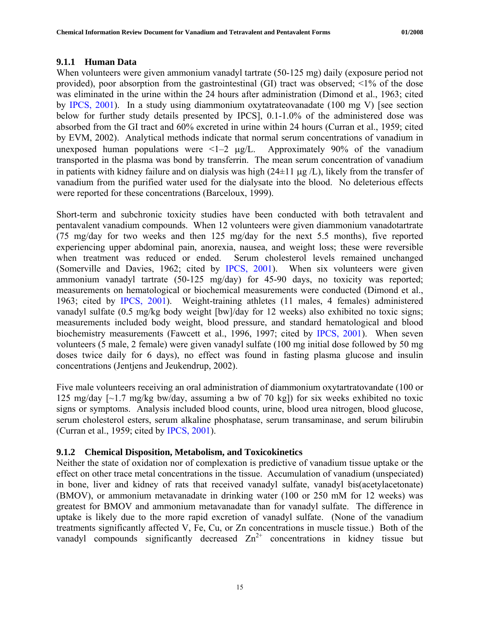#### <span id="page-21-0"></span>**9.1.1 Human Data**

When volunteers were given ammonium vanadyl tartrate (50-125 mg) daily (exposure period not provided), poor absorption from the gastrointestinal (GI) tract was observed; <1% of the dose was eliminated in the urine within the 24 hours after administration (Dimond et al., 1963; cited by [IPCS, 2001\)](http://www.inchem.org/documents/cicads/cicads/cicad29.htm). In a study using diammonium oxytatrateovanadate (100 mg V) [see section below for further study details presented by IPCS], 0.1-1.0% of the administered dose was absorbed from the GI tract and 60% excreted in urine within 24 hours (Curran et al., 1959; cited by EVM, 2002). Analytical methods indicate that normal serum concentrations of vanadium in unexposed human populations were  $\langle -2 \mu g/L \rangle$ . Approximately 90% of the vanadium transported in the plasma was bond by transferrin. The mean serum concentration of vanadium in patients with kidney failure and on dialysis was high  $(24\pm 11 \text{ µg}/L)$ , likely from the transfer of vanadium from the purified water used for the dialysate into the blood. No deleterious effects were reported for these concentrations (Barceloux, 1999).

Short-term and subchronic toxicity studies have been conducted with both tetravalent and pentavalent vanadium compounds. When 12 volunteers were given diammonium vanadotartrate (75 mg/day for two weeks and then 125 mg/day for the next 5.5 months), five reported experiencing upper abdominal pain, anorexia, nausea, and weight loss; these were reversible when treatment was reduced or ended. Serum cholesterol levels remained unchanged (Somerville and Davies, 1962; cited by [IPCS, 2001](http://www.inchem.org/documents/cicads/cicads/cicad29.htm)). When six volunteers were given ammonium vanadyl tartrate (50-125 mg/day) for 45-90 days, no toxicity was reported; measurements on hematological or biochemical measurements were conducted (Dimond et al., 1963; cited by [IPCS, 2001](http://www.inchem.org/documents/cicads/cicads/cicad29.htm)). Weight-training athletes (11 males, 4 females) administered vanadyl sulfate (0.5 mg/kg body weight [bw]/day for 12 weeks) also exhibited no toxic signs; measurements included body weight, blood pressure, and standard hematological and blood biochemistry measurements (Fawcett et al., 1996, 1997; cited by [IPCS, 2001\)](http://www.inchem.org/documents/cicads/cicads/cicad29.htm). When seven volunteers (5 male, 2 female) were given vanadyl sulfate (100 mg initial dose followed by 50 mg doses twice daily for 6 days), no effect was found in fasting plasma glucose and insulin concentrations (Jentjens and Jeukendrup, 2002).

Five male volunteers receiving an oral administration of diammonium oxytartratovandate (100 or 125 mg/day  $\lceil \sim 1.7 \rceil$  mg/kg bw/day, assuming a bw of 70 kg]) for six weeks exhibited no toxic signs or symptoms. Analysis included blood counts, urine, blood urea nitrogen, blood glucose, serum cholesterol esters, serum alkaline phosphatase, serum transaminase, and serum bilirubin (Curran et al., 1959; cited by [IPCS, 2001\)](http://www.inchem.org/documents/cicads/cicads/cicad29.htm).

## **9.1.2 Chemical Disposition, Metabolism, and Toxicokinetics**

Neither the state of oxidation nor of complexation is predictive of vanadium tissue uptake or the effect on other trace metal concentrations in the tissue. Accumulation of vanadium (unspeciated) in bone, liver and kidney of rats that received vanadyl sulfate, vanadyl bis(acetylacetonate) (BMOV), or ammonium metavanadate in drinking water (100 or 250 mM for 12 weeks) was greatest for BMOV and ammonium metavanadate than for vanadyl sulfate. The difference in uptake is likely due to the more rapid excretion of vanadyl sulfate. (None of the vanadium treatments significantly affected V, Fe, Cu, or Zn concentrations in muscle tissue.) Both of the vanadyl compounds significantly decreased  $Zn^{2+}$  concentrations in kidney tissue but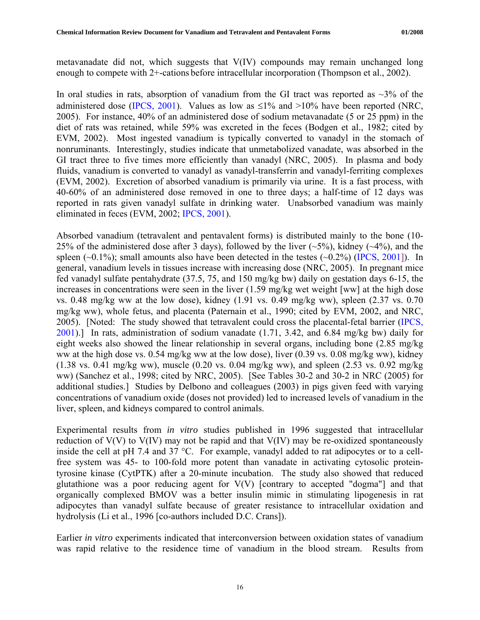metavanadate did not, which suggests that V(IV) compounds may remain unchanged long enough to compete with 2+-cations before intracellular incorporation (Thompson et al., 2002).

In oral studies in rats, absorption of vanadium from the GI tract was reported as  $\sim$ 3% of the administered dose [\(IPCS, 2001](http://www.inchem.org/documents/cicads/cicads/cicad29.htm)). Values as low as  $\leq$ 1% and >10% have been reported (NRC, 2005). For instance, 40% of an administered dose of sodium metavanadate (5 or 25 ppm) in the diet of rats was retained, while 59% was excreted in the feces (Bodgen et al., 1982; cited by EVM, 2002). Most ingested vanadium is typically converted to vanadyl in the stomach of nonruminants. Interestingly, studies indicate that unmetabolized vanadate, was absorbed in the GI tract three to five times more efficiently than vanadyl (NRC, 2005). In plasma and body fluids, vanadium is converted to vanadyl as vanadyl-transferrin and vanadyl-ferriting complexes (EVM, 2002). Excretion of absorbed vanadium is primarily via urine. It is a fast process, with 40-60% of an administered dose removed in one to three days; a half-time of 12 days was reported in rats given vanadyl sulfate in drinking water. Unabsorbed vanadium was mainly eliminated in feces (EVM, 2002; [IPCS, 2001\)](http://www.inchem.org/documents/cicads/cicads/cicad29.htm).

Absorbed vanadium (tetravalent and pentavalent forms) is distributed mainly to the bone (10- 25% of the administered dose after 3 days), followed by the liver  $(-5\%)$ , kidney  $(-4\%)$ , and the spleen  $(\sim 0.1\%)$ ; small amounts also have been detected in the testes  $(\sim 0.2\%)$  ([IPCS, 2001\]](http://www.inchem.org/documents/cicads/cicads/cicad29.htm)). In general, vanadium levels in tissues increase with increasing dose (NRC, 2005). In pregnant mice fed vanadyl sulfate pentahydrate (37.5, 75, and 150 mg/kg bw) daily on gestation days 6-15, the increases in concentrations were seen in the liver (1.59 mg/kg wet weight [ww] at the high dose vs. 0.48 mg/kg ww at the low dose), kidney (1.91 vs. 0.49 mg/kg ww), spleen (2.37 vs. 0.70 mg/kg ww), whole fetus, and placenta (Paternain et al., 1990; cited by EVM, 2002, and NRC, 2005). [Noted: The study showed that tetravalent could cross the placental-fetal barrier ([IPCS,](http://www.inchem.org/documents/cicads/cicads/cicad29.htm)  [2001](http://www.inchem.org/documents/cicads/cicads/cicad29.htm)).] In rats, administration of sodium vanadate (1.71, 3.42, and 6.84 mg/kg bw) daily for eight weeks also showed the linear relationship in several organs, including bone (2.85 mg/kg ww at the high dose vs. 0.54 mg/kg ww at the low dose), liver (0.39 vs. 0.08 mg/kg ww), kidney (1.38 vs. 0.41 mg/kg ww), muscle (0.20 vs. 0.04 mg/kg ww), and spleen (2.53 vs. 0.92 mg/kg ww) (Sanchez et al., 1998; cited by NRC, 2005). [See Tables 30-2 and 30-2 in NRC (2005) for additional studies.] Studies by Delbono and colleagues (2003) in pigs given feed with varying concentrations of vanadium oxide (doses not provided) led to increased levels of vanadium in the liver, spleen, and kidneys compared to control animals.

Experimental results from *in vitro* studies published in 1996 suggested that intracellular reduction of  $V(V)$  to  $V(IV)$  may not be rapid and that  $V(IV)$  may be re-oxidized spontaneously inside the cell at pH 7.4 and 37 °C. For example, vanadyl added to rat adipocytes or to a cellfree system was 45- to 100-fold more potent than vanadate in activating cytosolic proteintyrosine kinase (CytPTK) after a 20-minute incubation. The study also showed that reduced glutathione was a poor reducing agent for  $V(V)$  [contrary to accepted "dogma"] and that organically complexed BMOV was a better insulin mimic in stimulating lipogenesis in rat adipocytes than vanadyl sulfate because of greater resistance to intracellular oxidation and hydrolysis (Li et al., 1996 [co-authors included D.C. Crans]).

Earlier *in vitro* experiments indicated that interconversion between oxidation states of vanadium was rapid relative to the residence time of vanadium in the blood stream. Results from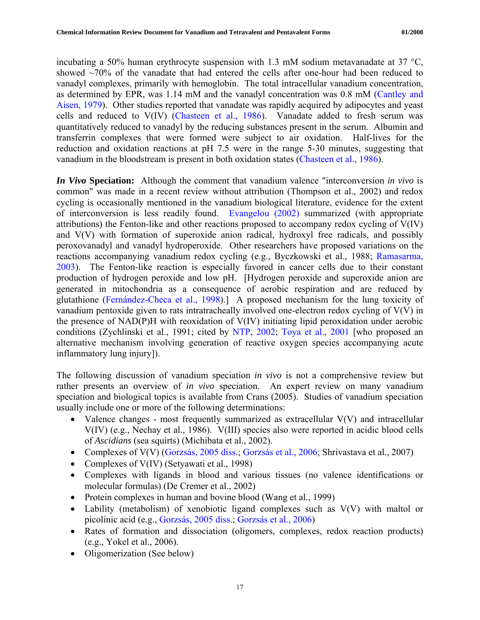incubating a 50% human erythrocyte suspension with 1.3 mM sodium metavanadate at 37 °C, showed  $\sim$ 70% of the vanadate that had entered the cells after one-hour had been reduced to vanadyl complexes, primarily with hemoglobin. The total intracellular vanadium concentration, as determined by EPR, was 1.14 mM and the vanadyl concentration was 0.8 mM [\(Cantley and](http://www.jbc.org/cgi/reprint/254/6/1781.pdf)  [Aisen, 1979](http://www.jbc.org/cgi/reprint/254/6/1781.pdf)). Other studies reported that vanadate was rapidly acquired by adipocytes and yeast cells and reduced to V(IV) [\(Chasteen et al., 1986\)](http://pubs.acs.org/cgi-bin/abstract.cgi/inocaj/1986/25/i16/f-pdf/f_ic00236a021.pdf?sessid=6006l3). Vanadate added to fresh serum was quantitatively reduced to vanadyl by the reducing substances present in the serum. Albumin and transferrin complexes that were formed were subject to air oxidation. Half-lives for the reduction and oxidation reactions at pH 7.5 were in the range 5-30 minutes, suggesting that vanadium in the bloodstream is present in both oxidation states ([Chasteen et al., 1986](http://pubs.acs.org/cgi-bin/abstract.cgi/inocaj/1986/25/i16/f-pdf/f_ic00236a021.pdf?sessid=6006l3)).

*In Vivo* **Speciation:** Although the comment that vanadium valence "interconversion *in vivo* is common" was made in a recent review without attribution (Thompson et al., 2002) and redox cycling is occasionally mentioned in the vanadium biological literature, evidence for the extent of interconversion is less readily found. [Evangelou \(2002\)](http://www.osteosarcomasupport.org/osteo28/vanadium-cancer-treatment.pdf) summarized (with appropriate attributions) the Fenton-like and other reactions proposed to accompany redox cycling of V(IV) and V(V) with formation of superoxide anion radical, hydroxyl free radicals, and possibly peroxovanadyl and vanadyl hydroperoxide. Other researchers have proposed variations on the reactions accompanying vanadium redox cycling (e.g., Byczkowski et al., 1988; [Ramasarma,](http://www.new.dli.ernet.in/insa/INSA_1/20008a2f_649.pdf)  [2003](http://www.new.dli.ernet.in/insa/INSA_1/20008a2f_649.pdf)). The Fenton-like reaction is especially favored in cancer cells due to their constant production of hydrogen peroxide and low pH. [Hydrogen peroxide and superoxide anion are generated in mitochondria as a consequence of aerobic respiration and are reduced by glutathione ([Fernández-Checa et al., 1998\)](http://iospress.metapress.com/app/home/contribution.asp?referrer=parent&backto=issue,2,29;journal,43,50;linkingpublicationresults,1:103144,1).] A proposed mechanism for the lung toxicity of vanadium pentoxide given to rats intratracheally involved one-electron redox cycling of V(V) in the presence of NAD(P)H with reoxidation of V(IV) initiating lipid peroxidation under aerobic conditions (Zychlinski et al., 1991; cited by [NTP, 2002](http://ntp.niehs.nih.gov/ntp/htdocs/LT_rpts/tr507.pdf); [Toya et al., 2001](http://66.102.1.104/scholar?num=100&hl=en&lr=&q=cache:U3ncIGlm16kJ:server11.niih.go.jp/jp/indu_hel/2001/pdf/IH39_02.pdf+vanadyl+%22redox+cycling%22) [who proposed an alternative mechanism involving generation of reactive oxygen species accompanying acute inflammatory lung injury]).

The following discussion of vanadium speciation *in vivo* is not a comprehensive review but rather presents an overview of *in vivo* speciation. An expert review on many vanadium speciation and biological topics is available from Crans (2005). Studies of vanadium speciation usually include one or more of the following determinations:

- Valence changes most frequently summarized as extracellular  $V(V)$  and intracellular V(IV) (e.g., Nechay et al., 1986). V(III) species also were reported in acidic blood cells of *Ascidians* (sea squirts) (Michibata et al., 2002).
- Complexes of V(V) [\(Gorzsás, 2005 diss.;](http://www.diva-portal.org/diva/getDocument?urn_nbn_se_umu_diva-489-2__fulltext.pdf) [Gorzsás et al., 2006;](http://cat.inist.fr/?aModele=afficheN&cpsidt=18113581) Shrivastava et al., 2007)
- Complexes of V(IV) (Setyawati et al., 1998)
- Complexes with ligands in blood and various tissues (no valence identifications or molecular formulas) (De Cremer et al., 2002)
- Protein complexes in human and bovine blood (Wang et al., 1999)
- Lability (metabolism) of xenobiotic ligand complexes such as V(V) with maltol or picolinic acid (e.g., [Gorzsás, 2005 diss.;](http://www.diva-portal.org/diva/getDocument?urn_nbn_se_umu_diva-489-2__fulltext.pdf) [Gorzsás et al., 2006\)](http://cat.inist.fr/?aModele=afficheN&cpsidt=18113581)
- Rates of formation and dissociation (oligomers, complexes, redox reaction products) (e.g., Yokel et al., 2006).
- Oligomerization (See below)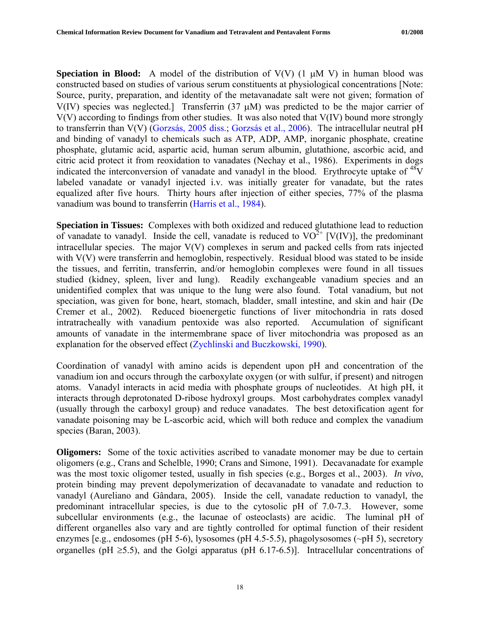**Speciation in Blood:** A model of the distribution of  $V(V)$  (1  $\mu$ M V) in human blood was constructed based on studies of various serum constituents at physiological concentrations [Note: Source, purity, preparation, and identity of the metavanadate salt were not given; formation of V(IV) species was neglected.] Transferrin  $(37 \mu M)$  was predicted to be the major carrier of V(V) according to findings from other studies. It was also noted that V(IV) bound more strongly to transferrin than V(V) ([Gorzsás, 2005 diss.;](http://www.diva-portal.org/diva/getDocument?urn_nbn_se_umu_diva-489-2__fulltext.pdf) [Gorzsás et al., 2006\)](http://cat.inist.fr/?aModele=afficheN&cpsidt=18113581). The intracellular neutral pH and binding of vanadyl to chemicals such as ATP, ADP, AMP, inorganic phosphate, creatine phosphate, glutamic acid, aspartic acid, human serum albumin, glutathione, ascorbic acid, and citric acid protect it from reoxidation to vanadates (Nechay et al., 1986). Experiments in dogs indicated the interconversion of vanadate and vanadyl in the blood. Erythrocyte uptake of  $^{48}V$ labeled vanadate or vanadyl injected i.v. was initially greater for vanadate, but the rates equalized after five hours. Thirty hours after injection of either species, 77% of the plasma vanadium was bound to transferrin [\(Harris et al., 1984\)](http://www.ncbi.nlm.nih.gov/sites/entrez?Db=pubmed&Cmd=ShowDetailView&TermToSearch=6609223&ordinalpos=2&itool=EntrezSystem2.PEntrez.Pubmed.Pubmed_ResultsPanel.Pubmed_RVDocSum).

**Speciation in Tissues:** Complexes with both oxidized and reduced glutathione lead to reduction of vanadate to vanadyl. Inside the cell, vanadate is reduced to  $VO^{2+}$  [V(IV)], the predominant intracellular species. The major V(V) complexes in serum and packed cells from rats injected with V(V) were transferrin and hemoglobin, respectively. Residual blood was stated to be inside the tissues, and ferritin, transferrin, and/or hemoglobin complexes were found in all tissues studied (kidney, spleen, liver and lung). Readily exchangeable vanadium species and an unidentified complex that was unique to the lung were also found. Total vanadium, but not speciation, was given for bone, heart, stomach, bladder, small intestine, and skin and hair (De Cremer et al., 2002). Reduced bioenergetic functions of liver mitochondria in rats dosed intratracheally with vanadium pentoxide was also reported. Accumulation of significant amounts of vanadate in the intermembrane space of liver mitochondria was proposed as an explanation for the observed effect [\(Zychlinski and Buczkowski, 1990](http://www.ncbi.nlm.nih.gov/sites/entrez?Db=pubmed&Cmd=ShowDetailView&TermToSearch=2331148&ordinalpos=5&itool=EntrezSystem2.PEntrez.Pubmed.Pubmed_ResultsPanel.Pubmed_RVDocSum)).

Coordination of vanadyl with amino acids is dependent upon pH and concentration of the vanadium ion and occurs through the carboxylate oxygen (or with sulfur, if present) and nitrogen atoms. Vanadyl interacts in acid media with phosphate groups of nucleotides. At high pH, it interacts through deprotonated D-ribose hydroxyl groups. Most carbohydrates complex vanadyl (usually through the carboxyl group) and reduce vanadates. The best detoxification agent for vanadate poisoning may be L-ascorbic acid, which will both reduce and complex the vanadium species (Baran, 2003).

**Oligomers:** Some of the toxic activities ascribed to vanadate monomer may be due to certain oligomers (e.g., Crans and Schelble, 1990; Crans and Simone, 1991). Decavanadate for example was the most toxic oligomer tested, usually in fish species (e.g., Borges et al., 2003). *In vivo*, protein binding may prevent depolymerization of decavanadate to vanadate and reduction to vanadyl (Aureliano and Gândara, 2005). Inside the cell, vanadate reduction to vanadyl, the predominant intracellular species, is due to the cytosolic pH of 7.0-7.3. However, some subcellular environments (e.g., the lacunae of osteoclasts) are acidic. The luminal pH of different organelles also vary and are tightly controlled for optimal function of their resident enzymes [e.g., endosomes (pH 5-6), lysosomes (pH 4.5-5.5), phagolysosomes (~pH 5), secretory organelles (pH  $\geq$ 5.5), and the Golgi apparatus (pH 6.17-6.5)]. Intracellular concentrations of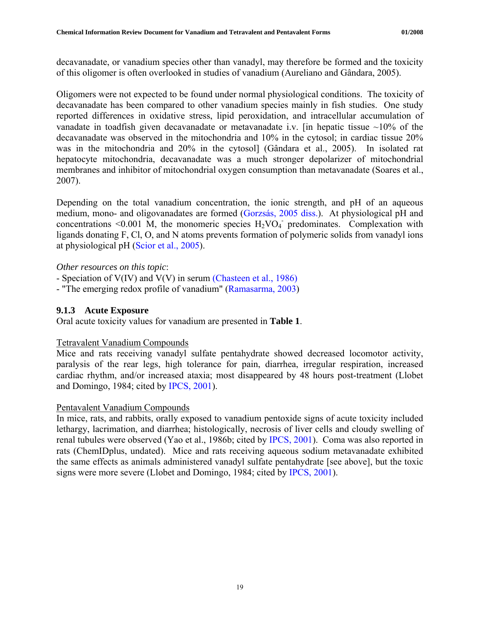<span id="page-25-0"></span>decavanadate, or vanadium species other than vanadyl, may therefore be formed and the toxicity of this oligomer is often overlooked in studies of vanadium (Aureliano and Gândara, 2005).

Oligomers were not expected to be found under normal physiological conditions. The toxicity of decavanadate has been compared to other vanadium species mainly in fish studies. One study reported differences in oxidative stress, lipid peroxidation, and intracellular accumulation of vanadate in toadfish given decavanadate or metavanadate i.v. [in hepatic tissue  $\sim$ 10% of the decavanadate was observed in the mitochondria and 10% in the cytosol; in cardiac tissue 20% was in the mitochondria and 20% in the cytosol] (Gândara et al., 2005). In isolated rat hepatocyte mitochondria, decavanadate was a much stronger depolarizer of mitochondrial membranes and inhibitor of mitochondrial oxygen consumption than metavanadate (Soares et al., 2007).

Depending on the total vanadium concentration, the ionic strength, and pH of an aqueous medium, mono- and oligovanadates are formed ([Gorzsás, 2005 diss.\)](http://www.diva-portal.org/diva/getDocument?urn_nbn_se_umu_diva-489-2__fulltext.pdf). At physiological pH and concentrations <0.001 M, the monomeric species  $H_2VO_4$  predominates. Complexation with ligands donating F, Cl, O, and N atoms prevents formation of polymeric solids from vanadyl ions at physiological pH [\(Scior et al., 2005\)](http://www.ncbi.nlm.nih.gov/sites/entrez?Db=pubmed&Cmd=ShowDetailView&TermToSearch=16307529&ordinalpos=5&itool=EntrezSystem2.PEntrez.Pubmed.Pubmed_ResultsPanel.Pubmed_RVDocSum).

## *Other resources on this topic*:

- Speciation of V(IV) and V(V) in serum [\(Chasteen et al., 1986\)](http://pubs.acs.org/cgi-bin/abstract.cgi/inocaj/1986/25/i16/f-pdf/f_ic00236a021.pdf?sessid=6006l3)

- "The emerging redox profile of vanadium" [\(Ramasarma, 2003](http://www.new.dli.ernet.in/insa/INSA_1/20008a2f_649.pdf))

## **9.1.3 Acute Exposure**

Oral acute toxicity values for vanadium are presented in **Table 1**.

## Tetravalent Vanadium Compounds

Mice and rats receiving vanadyl sulfate pentahydrate showed decreased locomotor activity, paralysis of the rear legs, high tolerance for pain, diarrhea, irregular respiration, increased cardiac rhythm, and/or increased ataxia; most disappeared by 48 hours post-treatment (Llobet and Domingo, 1984; cited by [IPCS, 2001\)](http://www.inchem.org/documents/cicads/cicads/cicad29.htm).

## Pentavalent Vanadium Compounds

In mice, rats, and rabbits, orally exposed to vanadium pentoxide signs of acute toxicity included lethargy, lacrimation, and diarrhea; histologically, necrosis of liver cells and cloudy swelling of renal tubules were observed (Yao et al., 1986b; cited by [IPCS, 2001\)](http://www.inchem.org/documents/cicads/cicads/cicad29.htm). Coma was also reported in rats (ChemIDplus, undated). Mice and rats receiving aqueous sodium metavanadate exhibited the same effects as animals administered vanadyl sulfate pentahydrate [see above], but the toxic signs were more severe (Llobet and Domingo, 1984; cited by [IPCS, 2001](http://www.inchem.org/documents/cicads/cicads/cicad29.htm)).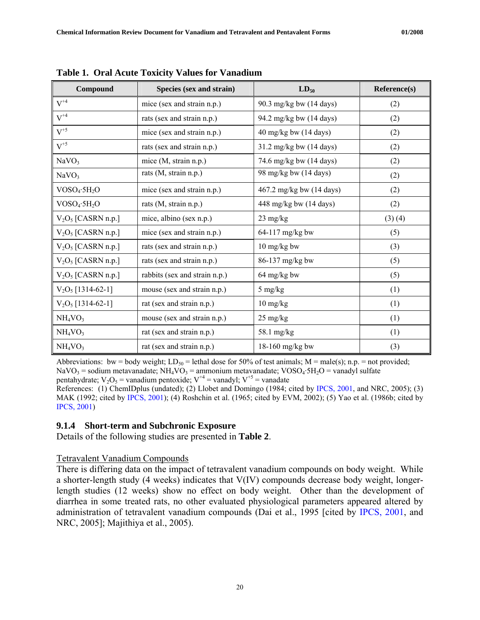| Compound                        | Species (sex and strain)      | $LD_{50}$                                 | Reference(s) |
|---------------------------------|-------------------------------|-------------------------------------------|--------------|
| $V^{+4}$                        | mice (sex and strain n.p.)    | 90.3 mg/kg bw (14 days)                   | (2)          |
| $V^{+4}$                        | rats (sex and strain n.p.)    | 94.2 mg/kg bw (14 days)                   | (2)          |
| $V^{+5}$                        | mice (sex and strain n.p.)    | $40 \text{ mg/kg}$ bw $(14 \text{ days})$ | (2)          |
| $V^{+5}$                        | rats (sex and strain n.p.)    | 31.2 mg/kg bw (14 days)                   | (2)          |
| NaVO <sub>3</sub>               | mice (M, strain n.p.)         | 74.6 mg/kg bw (14 days)                   | (2)          |
| NaVO <sub>3</sub>               | rats (M, strain n.p.)         | 98 mg/kg bw (14 days)                     | (2)          |
| $VOSO_4 \cdot 5H_2O$            | mice (sex and strain n.p.)    | 467.2 mg/kg bw (14 days)                  | (2)          |
| $VOSO_4 \cdot 5H_2O$            | rats (M, strain n.p.)         | 448 mg/kg bw (14 days)                    | (2)          |
| $V_2O_5$ [CASRN n.p.]           | mice, albino (sex n.p.)       | $23 \text{ mg/kg}$                        | (3)(4)       |
| $V_2O_5$ [CASRN n.p.]           | mice (sex and strain n.p.)    | 64-117 mg/kg bw                           | (5)          |
| $V_2O_5$ [CASRN n.p.]           | rats (sex and strain n.p.)    | 10 mg/kg bw                               | (3)          |
| $V_2O_5$ [CASRN n.p.]           | rats (sex and strain n.p.)    | 86-137 mg/kg bw                           | (5)          |
| $V_2O_5$ [CASRN n.p.]           | rabbits (sex and strain n.p.) | 64 mg/kg bw                               | (5)          |
| $V_2O_5$ [1314-62-1]            | mouse (sex and strain n.p.)   | 5 mg/kg                                   | (1)          |
| $V_2O_5$ [1314-62-1]            | rat (sex and strain n.p.)     | 10 mg/kg                                  | (1)          |
| NH <sub>4</sub> VO <sub>3</sub> | mouse (sex and strain n.p.)   | 25 mg/kg                                  | (1)          |
| NH <sub>4</sub> VO <sub>3</sub> | rat (sex and strain n.p.)     | 58.1 mg/kg                                | (1)          |
| NH <sub>4</sub> VO <sub>3</sub> | rat (sex and strain n.p.)     | 18-160 mg/kg bw                           | (3)          |

<span id="page-26-0"></span>**Table 1. Oral Acute Toxicity Values for Vanadium** 

Abbreviations: bw = body weight;  $LD_{50}$  = lethal dose for 50% of test animals; M = male(s); n.p. = not provided; NaVO<sub>3</sub> = sodium metavanadate; NH<sub>4</sub>VO<sub>3</sub> = ammonium metavanadate; VOSO<sub>4</sub>·5H<sub>2</sub>O = vanadyl sulfate pentahydrate;  $V_2O_5$  = vanadium pentoxide;  $V^{+4}$  = vanadyl;  $V^{+5}$  = vanadate

References: (1) ChemIDplus (undated); (2) Llobet and Domingo (1984; cited by [IPCS, 2001](http://www.inchem.org/documents/cicads/cicads/cicad29.htm), and NRC, 2005); (3) MAK (1992; cited by [IPCS, 2001\)](http://www.inchem.org/documents/cicads/cicads/cicad29.htm); (4) Roshchin et al. (1965; cited by EVM, 2002); (5) Yao et al. (1986b; cited by [IPCS, 2001](http://www.inchem.org/documents/cicads/cicads/cicad29.htm))

#### **9.1.4 Short-term and Subchronic Exposure**

Details of the following studies are presented in **Table 2**.

#### Tetravalent Vanadium Compounds

There is differing data on the impact of tetravalent vanadium compounds on body weight. While a shorter-length study (4 weeks) indicates that V(IV) compounds decrease body weight, longerlength studies (12 weeks) show no effect on body weight. Other than the development of diarrhea in some treated rats, no other evaluated physiological parameters appeared altered by administration of tetravalent vanadium compounds (Dai et al., 1995 [cited by [IPCS, 2001](http://www.inchem.org/documents/cicads/cicads/cicad29.htm), and NRC, 2005]; Majithiya et al., 2005).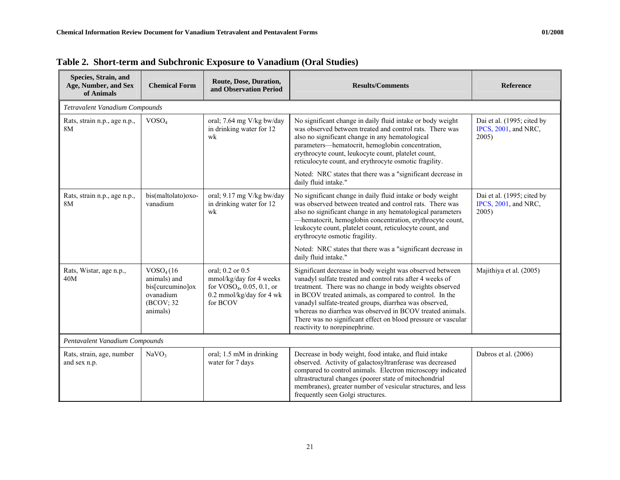| Species, Strain, and<br>Age, Number, and Sex<br>of Animals | Route, Dose, Duration,<br><b>Chemical Form</b><br>and Observation Period                         |                                                                                                                    | <b>Results/Comments</b>                                                                                                                                                                                                                                                                                                                                                                                                                                              | <b>Reference</b>                                            |  |  |
|------------------------------------------------------------|--------------------------------------------------------------------------------------------------|--------------------------------------------------------------------------------------------------------------------|----------------------------------------------------------------------------------------------------------------------------------------------------------------------------------------------------------------------------------------------------------------------------------------------------------------------------------------------------------------------------------------------------------------------------------------------------------------------|-------------------------------------------------------------|--|--|
| Tetravalent Vanadium Compounds                             |                                                                                                  |                                                                                                                    |                                                                                                                                                                                                                                                                                                                                                                                                                                                                      |                                                             |  |  |
| VOSO <sub>4</sub><br>Rats, strain n.p., age n.p.,<br>8M    |                                                                                                  | oral; 7.64 mg V/kg bw/day<br>in drinking water for 12<br>wk                                                        | No significant change in daily fluid intake or body weight<br>was observed between treated and control rats. There was<br>also no significant change in any hematological<br>parameters-hematocrit, hemoglobin concentration,<br>erythrocyte count, leukocyte count, platelet count,<br>reticulocyte count, and erythrocyte osmotic fragility.                                                                                                                       | Dai et al. (1995; cited by<br>IPCS, 2001, and NRC,<br>2005) |  |  |
|                                                            |                                                                                                  |                                                                                                                    | Noted: NRC states that there was a "significant decrease in<br>daily fluid intake."                                                                                                                                                                                                                                                                                                                                                                                  |                                                             |  |  |
| Rats, strain n.p., age n.p.,<br>8M                         | bis(maltolato)oxo-<br>vanadium                                                                   | oral; 9.17 mg V/kg bw/day<br>in drinking water for 12<br>wk                                                        | No significant change in daily fluid intake or body weight<br>was observed between treated and control rats. There was<br>also no significant change in any hematological parameters<br>-hematocrit, hemoglobin concentration, erythrocyte count,<br>leukocyte count, platelet count, reticulocyte count, and<br>erythrocyte osmotic fragility.                                                                                                                      | Dai et al. (1995; cited by<br>IPCS, 2001, and NRC,<br>2005) |  |  |
|                                                            |                                                                                                  |                                                                                                                    | Noted: NRC states that there was a "significant decrease in<br>daily fluid intake."                                                                                                                                                                                                                                                                                                                                                                                  |                                                             |  |  |
| Rats, Wistar, age n.p.,<br>40M                             | VOSO <sub>4</sub> (16)<br>animals) and<br>bis[curcumino]ox<br>ovanadium<br>(BCOV; 32<br>animals) | oral; 0.2 or 0.5<br>mmol/kg/day for 4 weeks<br>for $VOSO4$ , 0.05, 0.1, or<br>0.2 mmol/kg/day for 4 wk<br>for BCOV | Significant decrease in body weight was observed between<br>vanadyl sulfate treated and control rats after 4 weeks of<br>treatment. There was no change in body weights observed<br>in BCOV treated animals, as compared to control. In the<br>vanadyl sulfate-treated groups, diarrhea was observed,<br>whereas no diarrhea was observed in BCOV treated animals.<br>There was no significant effect on blood pressure or vascular<br>reactivity to norepinephrine. | Majithiya et al. (2005)                                     |  |  |
| Pentavalent Vanadium Compounds                             |                                                                                                  |                                                                                                                    |                                                                                                                                                                                                                                                                                                                                                                                                                                                                      |                                                             |  |  |
| Rats, strain, age, number<br>and sex n.p.                  | NaVO <sub>3</sub>                                                                                | oral; 1.5 mM in drinking<br>water for 7 days                                                                       | Decrease in body weight, food intake, and fluid intake<br>observed. Activity of galactosyltranferase was decreased<br>compared to control animals. Electron microscopy indicated<br>ultrastructural changes (poorer state of mitochondrial<br>membranes), greater number of vesicular structures, and less<br>frequently seen Golgi structures.                                                                                                                      | Dabros et al. (2006)                                        |  |  |

| Table 2. Short-term and Subchronic Exposure to Vanadium (Oral Studies) |  |  |  |  |  |  |
|------------------------------------------------------------------------|--|--|--|--|--|--|
|------------------------------------------------------------------------|--|--|--|--|--|--|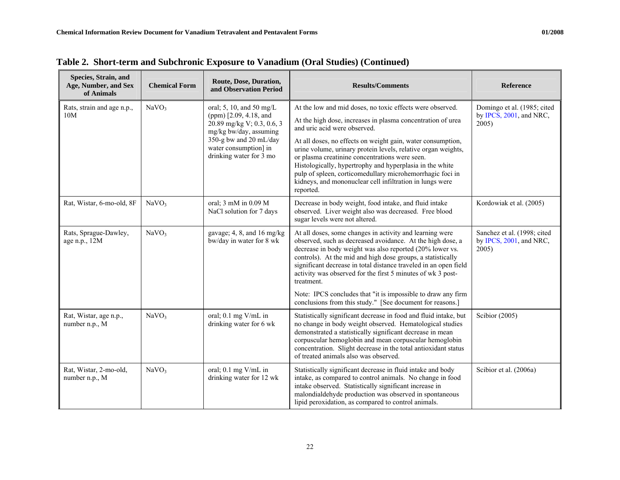| Species, Strain, and<br>Age, Number, and Sex<br>of Animals | <b>Chemical Form</b> | Route, Dose, Duration,<br>and Observation Period                                                                                                                                         | <b>Results/Comments</b>                                                                                                                                                                                                                                                                                                                                                                                                                                                                                                                      | Reference                                                       |
|------------------------------------------------------------|----------------------|------------------------------------------------------------------------------------------------------------------------------------------------------------------------------------------|----------------------------------------------------------------------------------------------------------------------------------------------------------------------------------------------------------------------------------------------------------------------------------------------------------------------------------------------------------------------------------------------------------------------------------------------------------------------------------------------------------------------------------------------|-----------------------------------------------------------------|
| Rats, strain and age n.p.,<br>10M                          | NaVO <sub>3</sub>    | oral; 5, 10, and 50 mg/L<br>(ppm) [2.09, 4.18, and<br>20.89 mg/kg V; 0.3, 0.6, 3<br>mg/kg bw/day, assuming<br>350-g bw and 20 mL/day<br>water consumption] in<br>drinking water for 3 mo | At the low and mid doses, no toxic effects were observed.<br>At the high dose, increases in plasma concentration of urea<br>and uric acid were observed.<br>At all doses, no effects on weight gain, water consumption,<br>urine volume, urinary protein levels, relative organ weights,<br>or plasma creatinine concentrations were seen.<br>Histologically, hypertrophy and hyperplasia in the white<br>pulp of spleen, corticomedullary microhemorrhagic foci in<br>kidneys, and mononuclear cell infiltration in lungs were<br>reported. | Domingo et al. (1985; cited<br>by IPCS, 2001, and NRC,<br>2005) |
| Rat, Wistar, 6-mo-old, 8F                                  | NaVO <sub>3</sub>    | oral; 3 mM in 0.09 M<br>NaCl solution for 7 days                                                                                                                                         | Decrease in body weight, food intake, and fluid intake<br>observed. Liver weight also was decreased. Free blood<br>sugar levels were not altered.                                                                                                                                                                                                                                                                                                                                                                                            | Kordowiak et al. (2005)                                         |
| Rats, Sprague-Dawley,<br>age n.p., 12M                     | NaVO <sub>3</sub>    | gavage; 4, 8, and 16 mg/kg<br>bw/day in water for 8 wk                                                                                                                                   | At all doses, some changes in activity and learning were<br>observed, such as decreased avoidance. At the high dose, a<br>decrease in body weight was also reported (20% lower vs.<br>controls). At the mid and high dose groups, a statistically<br>significant decrease in total distance traveled in an open field<br>activity was observed for the first 5 minutes of wk 3 post-<br>treatment.                                                                                                                                           | Sanchez et al. (1998; cited<br>by IPCS, 2001, and NRC,<br>2005) |
|                                                            |                      |                                                                                                                                                                                          | Note: IPCS concludes that "it is impossible to draw any firm<br>conclusions from this study." [See document for reasons.]                                                                                                                                                                                                                                                                                                                                                                                                                    |                                                                 |
| Rat, Wistar, age n.p.,<br>number n.p., M                   | NaVO <sub>3</sub>    | oral; 0.1 mg V/mL in<br>drinking water for 6 wk                                                                                                                                          | Statistically significant decrease in food and fluid intake, but<br>no change in body weight observed. Hematological studies<br>demonstrated a statistically significant decrease in mean<br>corpuscular hemoglobin and mean corpuscular hemoglobin<br>concentration. Slight decrease in the total antioxidant status<br>of treated animals also was observed.                                                                                                                                                                               | Scibior (2005)                                                  |
| Rat, Wistar, 2-mo-old,<br>number n.p., M                   | NaVO <sub>3</sub>    | oral; 0.1 mg V/mL in<br>drinking water for 12 wk                                                                                                                                         | Statistically significant decrease in fluid intake and body<br>intake, as compared to control animals. No change in food<br>intake observed. Statistically significant increase in<br>malondialdehyde production was observed in spontaneous<br>lipid peroxidation, as compared to control animals.                                                                                                                                                                                                                                          | Scibior et al. (2006a)                                          |

**Table 2. Short-term and Subchronic Exposure to Vanadium (Oral Studies) (Continued)**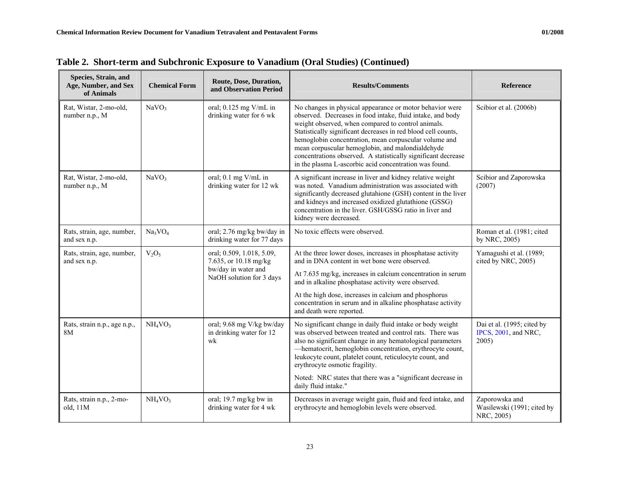| Species, Strain, and<br>Age, Number, and Sex<br>of Animals | <b>Chemical Form</b>            | Route, Dose, Duration,<br>and Observation Period                                                      | <b>Results/Comments</b>                                                                                                                                                                                                                                                                                                                                                                                                                                                               | Reference                                                   |
|------------------------------------------------------------|---------------------------------|-------------------------------------------------------------------------------------------------------|---------------------------------------------------------------------------------------------------------------------------------------------------------------------------------------------------------------------------------------------------------------------------------------------------------------------------------------------------------------------------------------------------------------------------------------------------------------------------------------|-------------------------------------------------------------|
| Rat, Wistar, 2-mo-old,<br>number n.p., M                   | NaVO <sub>3</sub>               | oral; 0.125 mg V/mL in<br>drinking water for 6 wk                                                     | No changes in physical appearance or motor behavior were<br>observed. Decreases in food intake, fluid intake, and body<br>weight observed, when compared to control animals.<br>Statistically significant decreases in red blood cell counts,<br>hemoglobin concentration, mean corpuscular volume and<br>mean corpuscular hemoglobin, and malondialdehyde<br>concentrations observed. A statistically significant decrease<br>in the plasma L-ascorbic acid concentration was found. | Scibior et al. (2006b)                                      |
| Rat, Wistar, 2-mo-old,<br>number n.p., M                   | NaVO <sub>3</sub>               | oral; 0.1 mg V/mL in<br>drinking water for 12 wk                                                      | A significant increase in liver and kidney relative weight<br>was noted. Vanadium administration was associated with<br>significantly decreased glutahione (GSH) content in the liver<br>and kidneys and increased oxidized glutathione (GSSG)<br>concentration in the liver. GSH/GSSG ratio in liver and<br>kidney were decreased.                                                                                                                                                   | Scibior and Zaporowska<br>(2007)                            |
| Rats, strain, age, number,<br>and sex n.p.                 | Na <sub>3</sub> VO <sub>4</sub> | oral; 2.76 mg/kg bw/day in<br>drinking water for 77 days                                              | No toxic effects were observed.                                                                                                                                                                                                                                                                                                                                                                                                                                                       | Roman et al. (1981; cited<br>by NRC, 2005)                  |
| Rats, strain, age, number,<br>and sex n.p.                 | $V_2O_5$                        | oral; 0.509, 1.018, 5.09,<br>7.635, or 10.18 mg/kg<br>bw/day in water and<br>NaOH solution for 3 days | At the three lower doses, increases in phosphatase activity<br>and in DNA content in wet bone were observed.<br>At 7.635 mg/kg, increases in calcium concentration in serum<br>and in alkaline phosphatase activity were observed.<br>At the high dose, increases in calcium and phosphorus<br>concentration in serum and in alkaline phosphatase activity                                                                                                                            | Yamagushi et al. (1989;<br>cited by NRC, 2005)              |
|                                                            |                                 |                                                                                                       | and death were reported.                                                                                                                                                                                                                                                                                                                                                                                                                                                              |                                                             |
| Rats, strain n.p., age n.p.,<br>8M                         | NH <sub>4</sub> VO <sub>3</sub> | oral; 9.68 mg V/kg bw/day<br>in drinking water for 12<br>wk                                           | No significant change in daily fluid intake or body weight<br>was observed between treated and control rats. There was<br>also no significant change in any hematological parameters<br>-hematocrit, hemoglobin concentration, erythrocyte count,<br>leukocyte count, platelet count, reticulocyte count, and<br>erythrocyte osmotic fragility.                                                                                                                                       | Dai et al. (1995; cited by<br>IPCS, 2001, and NRC,<br>2005) |
|                                                            |                                 |                                                                                                       | Noted: NRC states that there was a "significant decrease in<br>daily fluid intake."                                                                                                                                                                                                                                                                                                                                                                                                   |                                                             |
| Rats, strain n.p., 2-mo-<br>old, $11M$                     | NH <sub>4</sub> VO <sub>3</sub> | oral; 19.7 mg/kg bw in<br>drinking water for 4 wk                                                     | Decreases in average weight gain, fluid and feed intake, and<br>erythrocyte and hemoglobin levels were observed.                                                                                                                                                                                                                                                                                                                                                                      | Zaporowska and<br>Wasilewski (1991; cited by<br>NRC, 2005)  |

**Table 2. Short-term and Subchronic Exposure to Vanadium (Oral Studies) (Continued)**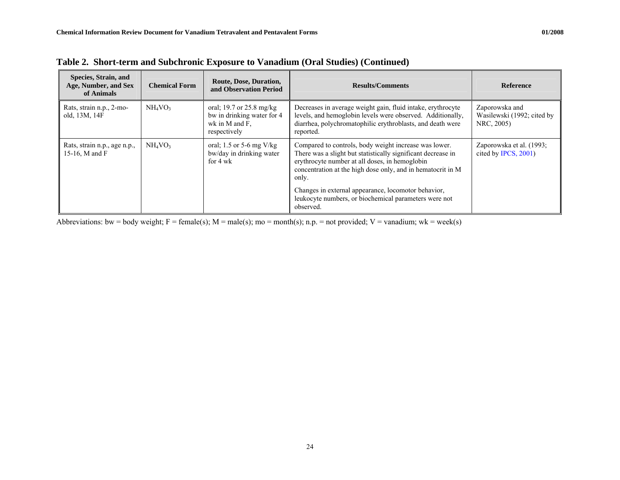| Species, Strain, and<br>Age, Number, and Sex<br>of Animals | <b>Chemical Form</b> | Route, Dose, Duration,<br>and Observation Period                                         | <b>Results/Comments</b>                                                                                                                                                                                                                                                                                                                                                      | Reference                                                  |
|------------------------------------------------------------|----------------------|------------------------------------------------------------------------------------------|------------------------------------------------------------------------------------------------------------------------------------------------------------------------------------------------------------------------------------------------------------------------------------------------------------------------------------------------------------------------------|------------------------------------------------------------|
| Rats, strain n.p., 2-mo-<br>old, 13M, 14F                  | $NH_4VO_3$           | oral; 19.7 or 25.8 mg/kg<br>bw in drinking water for 4<br>wk in M and F.<br>respectively | Decreases in average weight gain, fluid intake, erythrocyte<br>levels, and hemoglobin levels were observed. Additionally,<br>diarrhea, polychromatophilic erythroblasts, and death were<br>reported.                                                                                                                                                                         | Zaporowska and<br>Wasilewski (1992; cited by<br>NRC, 2005) |
| Rats, strain n.p., age n.p.,<br>15-16, M and F             | $NH_4VO_3$           | oral; 1.5 or 5-6 mg $V/kg$<br>bw/day in drinking water<br>for 4 wk                       | Compared to controls, body weight increase was lower.<br>There was a slight but statistically significant decrease in<br>erythrocyte number at all doses, in hemoglobin<br>concentration at the high dose only, and in hematocrit in M<br>only.<br>Changes in external appearance, locomotor behavior,<br>leukocyte numbers, or biochemical parameters were not<br>observed. | Zaporowska et al. (1993;<br>cited by IPCS, 2001)           |

**Table 2. Short-term and Subchronic Exposure to Vanadium (Oral Studies) (Continued)** 

Abbreviations: bw = body weight;  $F = female(s)$ ;  $M = male(s)$ ;  $mo = month(s)$ ; n.p. = not provided;  $V = vanadium$ ; wk = week(s)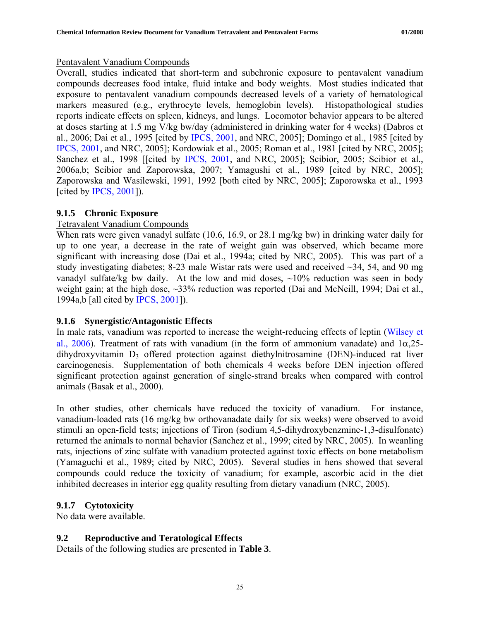#### <span id="page-31-0"></span>Pentavalent Vanadium Compounds

Overall, studies indicated that short-term and subchronic exposure to pentavalent vanadium compounds decreases food intake, fluid intake and body weights. Most studies indicated that exposure to pentavalent vanadium compounds decreased levels of a variety of hematological markers measured (e.g., erythrocyte levels, hemoglobin levels). Histopathological studies reports indicate effects on spleen, kidneys, and lungs. Locomotor behavior appears to be altered at doses starting at 1.5 mg V/kg bw/day (administered in drinking water for 4 weeks) (Dabros et al., 2006; Dai et al., 1995 [cited by [IPCS, 2001](http://www.inchem.org/documents/cicads/cicads/cicad29.htm), and NRC, 2005]; Domingo et al., 1985 [cited by [IPCS, 2001,](http://www.inchem.org/documents/cicads/cicads/cicad29.htm) and NRC, 2005]; Kordowiak et al., 2005; Roman et al., 1981 [cited by NRC, 2005]; Sanchez et al., 1998 [[cited by [IPCS, 2001](http://www.inchem.org/documents/cicads/cicads/cicad29.htm), and NRC, 2005]; Scibior, 2005; Scibior et al., 2006a,b; Scibior and Zaporowska, 2007; Yamagushi et al., 1989 [cited by NRC, 2005]; Zaporowska and Wasilewski, 1991, 1992 [both cited by NRC, 2005]; Zaporowska et al., 1993 [cited by [IPCS, 2001\]](http://www.inchem.org/documents/cicads/cicads/cicad29.htm)).

# **9.1.5 Chronic Exposure**

## Tetravalent Vanadium Compounds

When rats were given vanadyl sulfate (10.6, 16.9, or 28.1 mg/kg bw) in drinking water daily for up to one year, a decrease in the rate of weight gain was observed, which became more significant with increasing dose (Dai et al., 1994a; cited by NRC, 2005). This was part of a study investigating diabetes; 8-23 male Wistar rats were used and received ~34, 54, and 90 mg vanadyl sulfate/kg bw daily. At the low and mid doses,  $\sim$ 10% reduction was seen in body weight gain; at the high dose, ~33% reduction was reported (Dai and McNeill, 1994; Dai et al., 1994a,b [all cited by [IPCS, 2001\]](http://www.inchem.org/documents/cicads/cicads/cicad29.htm)).

# **9.1.6 Synergistic/Antagonistic Effects**

In male rats, vanadium was reported to increase the weight-reducing effects of leptin ([Wilsey et](http://endo.endojournals.org/cgi/content/full/147/1/493)  [al., 2006](http://endo.endojournals.org/cgi/content/full/147/1/493)). Treatment of rats with vanadium (in the form of ammonium vanadate) and  $1\alpha$ , 25dihydroxyvitamin D<sub>3</sub> offered protection against diethylnitrosamine (DEN)-induced rat liver carcinogenesis. Supplementation of both chemicals 4 weeks before DEN injection offered significant protection against generation of single-strand breaks when compared with control animals (Basak et al., 2000).

In other studies, other chemicals have reduced the toxicity of vanadium. For instance, vanadium-loaded rats (16 mg/kg bw orthovanadate daily for six weeks) were observed to avoid stimuli an open-field tests; injections of Tiron (sodium 4,5-dihydroxybenzmine-1,3-disulfonate) returned the animals to normal behavior (Sanchez et al., 1999; cited by NRC, 2005). In weanling rats, injections of zinc sulfate with vanadium protected against toxic effects on bone metabolism (Yamaguchi et al., 1989; cited by NRC, 2005). Several studies in hens showed that several compounds could reduce the toxicity of vanadium; for example, ascorbic acid in the diet inhibited decreases in interior egg quality resulting from dietary vanadium (NRC, 2005).

# **9.1.7 Cytotoxicity**

No data were available.

# **9.2 Reproductive and Teratological Effects**

Details of the following studies are presented in **Table 3**.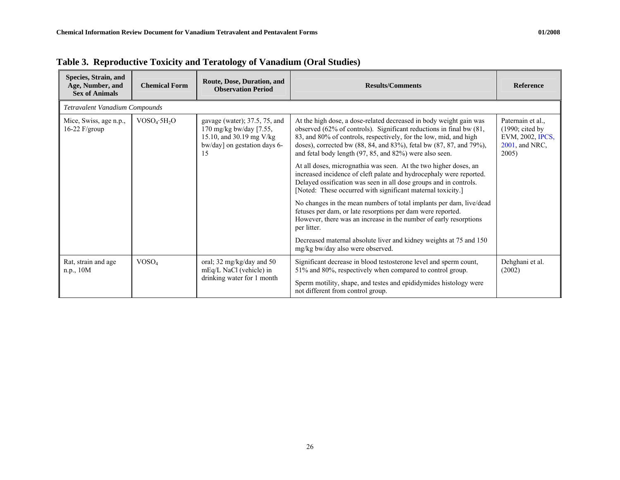| Species, Strain, and<br>Age, Number, and<br><b>Sex of Animals</b> | <b>Chemical Form</b>           | Route, Dose, Duration, and<br><b>Observation Period</b>                                                                      | <b>Results/Comments</b>                                                                                                                                                                                                                                                                                                                          | <b>Reference</b>                                                                               |  |  |  |  |
|-------------------------------------------------------------------|--------------------------------|------------------------------------------------------------------------------------------------------------------------------|--------------------------------------------------------------------------------------------------------------------------------------------------------------------------------------------------------------------------------------------------------------------------------------------------------------------------------------------------|------------------------------------------------------------------------------------------------|--|--|--|--|
|                                                                   | Tetravalent Vanadium Compounds |                                                                                                                              |                                                                                                                                                                                                                                                                                                                                                  |                                                                                                |  |  |  |  |
| Mice, Swiss, age n.p.,<br>16-22 $F/\text{group}$                  | $VOSO_4 \cdot 5H_2O$           | gavage (water); 37.5, 75, and<br>170 mg/kg bw/day $[7.55,$<br>15.10, and 30.19 mg V/kg<br>bw/day] on gestation days 6-<br>15 | At the high dose, a dose-related decreased in body weight gain was<br>observed (62% of controls). Significant reductions in final bw (81,<br>83, and 80% of controls, respectively, for the low, mid, and high<br>doses), corrected bw (88, 84, and 83%), fetal bw (87, 87, and 79%),<br>and fetal body length (97, 85, and 82%) were also seen. | Paternain et al.,<br>$(1990; \text{ cited by})$<br>EVM, 2002, IPCS,<br>2001, and NRC,<br>2005) |  |  |  |  |
|                                                                   |                                |                                                                                                                              | At all doses, micrognathia was seen. At the two higher doses, an<br>increased incidence of cleft palate and hydrocephaly were reported.<br>Delayed ossification was seen in all dose groups and in controls.<br>[Noted: These occurred with significant maternal toxicity.]                                                                      |                                                                                                |  |  |  |  |
|                                                                   |                                |                                                                                                                              | No changes in the mean numbers of total implants per dam, live/dead<br>fetuses per dam, or late resorptions per dam were reported.<br>However, there was an increase in the number of early resorptions<br>per litter.                                                                                                                           |                                                                                                |  |  |  |  |
|                                                                   |                                |                                                                                                                              | Decreased maternal absolute liver and kidney weights at 75 and 150<br>mg/kg bw/day also were observed.                                                                                                                                                                                                                                           |                                                                                                |  |  |  |  |
| Rat, strain and age<br>n.p., 10M                                  | VOSO <sub>4</sub>              | oral; 32 mg/kg/day and 50<br>mEq/L NaCl (vehicle) in                                                                         | Significant decrease in blood testosterone level and sperm count,<br>51% and 80%, respectively when compared to control group.                                                                                                                                                                                                                   | Dehghani et al.<br>(2002)                                                                      |  |  |  |  |
|                                                                   |                                | drinking water for 1 month                                                                                                   | Sperm motility, shape, and testes and epididymides histology were<br>not different from control group.                                                                                                                                                                                                                                           |                                                                                                |  |  |  |  |

**Table 3. Reproductive Toxicity and Teratology of Vanadium (Oral Studies)**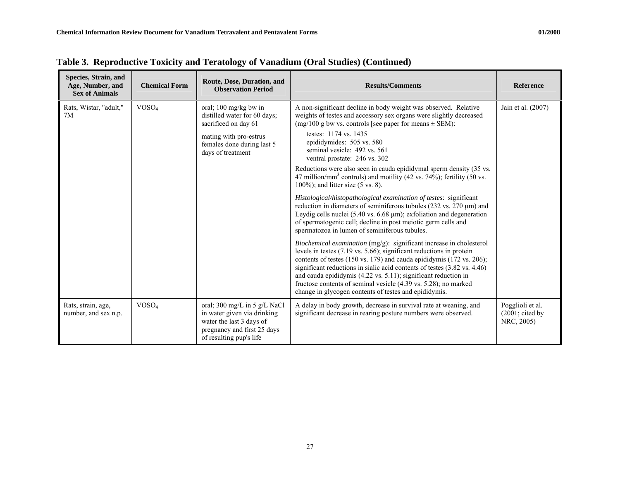| Species, Strain, and<br>Age, Number, and<br><b>Sex of Animals</b> | <b>Chemical Form</b> | Route, Dose, Duration, and<br><b>Observation Period</b>                                                                                           | <b>Results/Comments</b>                                                                                                                                                                                                                                                                                                                                                                                                                                                                                                        | <b>Reference</b>                                             |
|-------------------------------------------------------------------|----------------------|---------------------------------------------------------------------------------------------------------------------------------------------------|--------------------------------------------------------------------------------------------------------------------------------------------------------------------------------------------------------------------------------------------------------------------------------------------------------------------------------------------------------------------------------------------------------------------------------------------------------------------------------------------------------------------------------|--------------------------------------------------------------|
| Rats, Wistar, "adult,"<br>7M                                      | VOSO <sub>4</sub>    | oral; 100 mg/kg bw in<br>distilled water for 60 days;<br>sacrificed on day 61                                                                     | A non-significant decline in body weight was observed. Relative<br>weights of testes and accessory sex organs were slightly decreased<br>$(mg/100 g)$ bw vs. controls [see paper for means $\pm$ SEM):                                                                                                                                                                                                                                                                                                                         | Jain et al. (2007)                                           |
|                                                                   |                      | mating with pro-estrus<br>females done during last 5<br>days of treatment                                                                         | testes: 1174 vs. 1435<br>epididymides: 505 vs. 580<br>seminal vesicle: 492 vs. 561<br>ventral prostate: 246 vs. 302                                                                                                                                                                                                                                                                                                                                                                                                            |                                                              |
|                                                                   |                      |                                                                                                                                                   | Reductions were also seen in cauda epididymal sperm density (35 vs.<br>47 million/mm <sup>3</sup> controls) and motility (42 vs. $74\frac{6}{10}$ ); fertility (50 vs.<br>$100\%$ ; and litter size (5 vs. 8).                                                                                                                                                                                                                                                                                                                 |                                                              |
|                                                                   |                      |                                                                                                                                                   | Histological/histopathological examination of testes: significant<br>reduction in diameters of seminiferous tubules (232 vs. 270 µm) and<br>Leydig cells nuclei (5.40 vs. $6.68 \mu m$ ); exfoliation and degeneration<br>of spermatogenic cell; decline in post meiotic germ cells and<br>spermatozoa in lumen of seminiferous tubules.                                                                                                                                                                                       |                                                              |
|                                                                   |                      |                                                                                                                                                   | <i>Biochemical examination</i> $(mg/g)$ : significant increase in cholesterol<br>levels in testes $(7.19 \text{ vs. } 5.66)$ ; significant reductions in protein<br>contents of testes (150 vs. 179) and cauda epididymis (172 vs. 206);<br>significant reductions in sialic acid contents of testes (3.82 vs. 4.46)<br>and cauda epididymis $(4.22 \text{ vs. } 5.11)$ ; significant reduction in<br>fructose contents of seminal vesicle (4.39 vs. 5.28); no marked<br>change in glycogen contents of testes and epididymis. |                                                              |
| Rats, strain, age,<br>number, and sex n.p.                        | VOSO <sub>4</sub>    | oral; 300 mg/L in 5 g/L NaCl<br>in water given via drinking<br>water the last 3 days of<br>pregnancy and first 25 days<br>of resulting pup's life | A delay in body growth, decrease in survival rate at weaning, and<br>significant decrease in rearing posture numbers were observed.                                                                                                                                                                                                                                                                                                                                                                                            | Pogglioli et al.<br>$(2001; \text{ cited by})$<br>NRC, 2005) |

**Table 3. Reproductive Toxicity and Teratology of Vanadium (Oral Studies) (Continued)**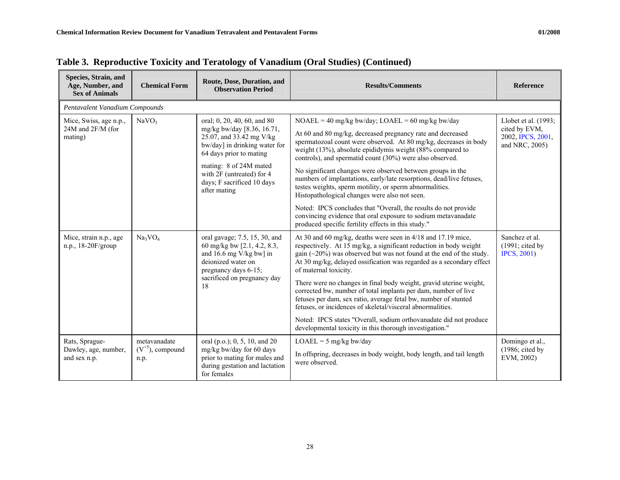| Species, Strain, and<br>Age, Number, and<br><b>Sex of Animals</b> | <b>Chemical Form</b>                          | Route, Dose, Duration, and<br><b>Observation Period</b>                                                                                                                                                                                                | <b>Results/Comments</b>                                                                                                                                                                                                                                                                                                                                                                                                                                                                                                                                                                                                                                                                                           | <b>Reference</b>                                                             |  |  |  |  |
|-------------------------------------------------------------------|-----------------------------------------------|--------------------------------------------------------------------------------------------------------------------------------------------------------------------------------------------------------------------------------------------------------|-------------------------------------------------------------------------------------------------------------------------------------------------------------------------------------------------------------------------------------------------------------------------------------------------------------------------------------------------------------------------------------------------------------------------------------------------------------------------------------------------------------------------------------------------------------------------------------------------------------------------------------------------------------------------------------------------------------------|------------------------------------------------------------------------------|--|--|--|--|
|                                                                   | Pentavalent Vanadium Compounds                |                                                                                                                                                                                                                                                        |                                                                                                                                                                                                                                                                                                                                                                                                                                                                                                                                                                                                                                                                                                                   |                                                                              |  |  |  |  |
| Mice, Swiss, age n.p.,<br>24M and 2F/M (for<br>mating)            | NaVO <sub>3</sub>                             | oral; 0, 20, 40, 60, and 80<br>mg/kg bw/day [8.36, 16.71,<br>25.07, and 33.42 mg V/kg<br>bw/day] in drinking water for<br>64 days prior to mating<br>mating: 8 of 24M mated<br>with 2F (untreated) for 4<br>days; F sacrificed 10 days<br>after mating | $NOAEL = 40$ mg/kg bw/day; $LOAEL = 60$ mg/kg bw/day<br>At 60 and 80 mg/kg, decreased pregnancy rate and decreased<br>spermatozoal count were observed. At 80 mg/kg, decreases in body<br>weight $(13%)$ , absolute epididymis weight $(88%$ compared to<br>controls), and spermatid count (30%) were also observed.<br>No significant changes were observed between groups in the<br>numbers of implantations, early/late resorptions, dead/live fetuses,<br>testes weights, sperm motility, or sperm abnormalities.<br>Histopathological changes were also not seen.<br>Noted: IPCS concludes that "Overall, the results do not provide                                                                         | Llobet et al. (1993;<br>cited by EVM,<br>2002, IPCS, 2001,<br>and NRC, 2005) |  |  |  |  |
| Mice, strain n.p., age<br>n.p., $18-20F/group$                    | $Na_3VO_4$                                    | oral gavage; 7.5, 15, 30, and<br>60 mg/kg bw [2.1, 4.2, 8.3,<br>and 16.6 mg $V/kg$ bw] in<br>deionized water on<br>pregnancy days 6-15;<br>sacrificed on pregnancy day<br>18                                                                           | convincing evidence that oral exposure to sodium metavanadate<br>produced specific fertility effects in this study."<br>At 30 and 60 mg/kg, deaths were seen in 4/18 and 17.19 mice,<br>respectively. At 15 mg/kg, a significant reduction in body weight<br>gain $(\sim 20\%)$ was observed but was not found at the end of the study.<br>At 30 mg/kg, delayed ossification was regarded as a secondary effect<br>of maternal toxicity.<br>There were no changes in final body weight, gravid uterine weight,<br>corrected bw, number of total implants per dam, number of live<br>fetuses per dam, sex ratio, average fetal bw, number of stunted<br>fetuses, or incidences of skeletal/visceral abnormalities. | Sanchez et al.<br>$(1991; \text{ cited by})$<br><b>IPCS</b> , 2001)          |  |  |  |  |
|                                                                   |                                               |                                                                                                                                                                                                                                                        | Noted: IPCS states "Overall, sodium orthovanadate did not produce<br>developmental toxicity in this thorough investigation."                                                                                                                                                                                                                                                                                                                                                                                                                                                                                                                                                                                      |                                                                              |  |  |  |  |
| Rats, Sprague-<br>Dawley, age, number,<br>and sex n.p.            | metavanadate<br>$(V^{+5})$ , compound<br>n.p. | oral (p.o.); 0, 5, 10, and 20<br>mg/kg bw/day for 60 days<br>prior to mating for males and<br>during gestation and lactation<br>for females                                                                                                            | $LOAEL = 5$ mg/kg bw/day<br>In offspring, decreases in body weight, body length, and tail length<br>were observed.                                                                                                                                                                                                                                                                                                                                                                                                                                                                                                                                                                                                | Domingo et al.,<br>$(1986; \text{ cited by})$<br>EVM, 2002)                  |  |  |  |  |

|  |  | Table 3. Reproductive Toxicity and Teratology of Vanadium (Oral Studies) (Continued) |  |
|--|--|--------------------------------------------------------------------------------------|--|
|  |  |                                                                                      |  |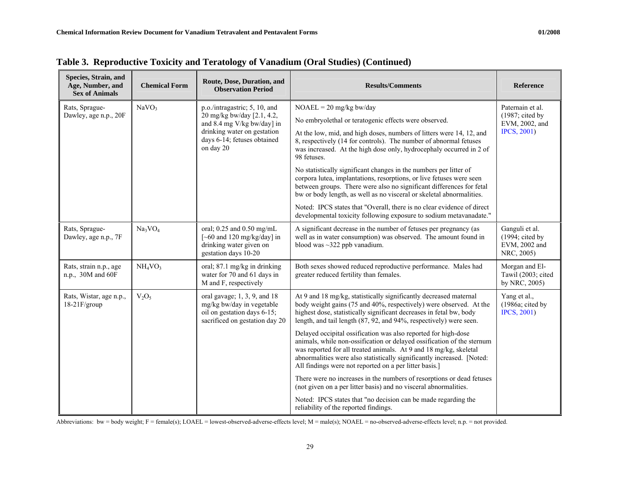| Species, Strain, and<br>Age, Number, and<br><b>Sex of Animals</b> | <b>Chemical Form</b>            | Route, Dose, Duration, and<br><b>Observation Period</b>                                                                                                              | <b>Results/Comments</b>                                                                                                                                                                                                                                                                                                                           | Reference                                                                   |  |
|-------------------------------------------------------------------|---------------------------------|----------------------------------------------------------------------------------------------------------------------------------------------------------------------|---------------------------------------------------------------------------------------------------------------------------------------------------------------------------------------------------------------------------------------------------------------------------------------------------------------------------------------------------|-----------------------------------------------------------------------------|--|
| Rats, Sprague-                                                    | NaVO <sub>3</sub>               | p.o./intragastric; 5, 10, and<br>20 mg/kg bw/day [2.1, 4.2,<br>and 8.4 mg V/kg bw/day] in<br>drinking water on gestation<br>days 6-14; fetuses obtained<br>on day 20 | $NOAEL = 20$ mg/kg bw/day                                                                                                                                                                                                                                                                                                                         | Paternain et al.                                                            |  |
| Dawley, age n.p., 20F                                             |                                 |                                                                                                                                                                      | No embryolethal or teratogenic effects were observed.                                                                                                                                                                                                                                                                                             | $(1987; \text{ cited by})$<br>EVM, 2002, and                                |  |
|                                                                   |                                 |                                                                                                                                                                      | At the low, mid, and high doses, numbers of litters were 14, 12, and<br>8, respectively (14 for controls). The number of abnormal fetuses<br>was increased. At the high dose only, hydrocephaly occurred in 2 of<br>98 fetuses.                                                                                                                   | <b>IPCS</b> , 2001)                                                         |  |
|                                                                   |                                 |                                                                                                                                                                      | No statistically significant changes in the numbers per litter of<br>corpora lutea, implantations, resorptions, or live fetuses were seen<br>between groups. There were also no significant differences for fetal<br>bw or body length, as well as no visceral or skeletal abnormalities.                                                         |                                                                             |  |
|                                                                   |                                 |                                                                                                                                                                      | Noted: IPCS states that "Overall, there is no clear evidence of direct<br>developmental toxicity following exposure to sodium metavanadate."                                                                                                                                                                                                      |                                                                             |  |
| Rats, Sprague-<br>Dawley, age n.p., 7F                            | $Na_3VO_4$                      | oral; 0.25 and 0.50 mg/mL<br>$\left[~-60$ and 120 mg/kg/day] in<br>drinking water given on<br>gestation days 10-20                                                   | A significant decrease in the number of fetuses per pregnancy (as<br>well as in water consumption) was observed. The amount found in<br>blood was $\sim$ 322 ppb vanadium.                                                                                                                                                                        | Ganguli et al.<br>$(1994; \text{ cited by})$<br>EVM, 2002 and<br>NRC, 2005) |  |
| Rats, strain n.p., age<br>n.p., 30M and 60F                       | NH <sub>4</sub> VO <sub>3</sub> | oral; 87.1 mg/kg in drinking<br>water for 70 and 61 days in<br>M and F, respectively                                                                                 | Both sexes showed reduced reproductive performance. Males had<br>greater reduced fertility than females.                                                                                                                                                                                                                                          | Morgan and El-<br>Tawil (2003; cited<br>by NRC, 2005)                       |  |
| Rats, Wistar, age n.p.,<br>$18-21$ F/group                        | $V_2O_5$                        | oral gavage; $1, 3, 9$ , and $18$<br>mg/kg bw/day in vegetable<br>oil on gestation days 6-15;<br>sacrificed on gestation day 20                                      | At 9 and 18 mg/kg, statistically significantly decreased maternal<br>body weight gains (75 and 40%, respectively) were observed. At the<br>highest dose, statistically significant decreases in fetal bw, body<br>length, and tail length (87, 92, and 94%, respectively) were seen.                                                              | Yang et al.,<br>(1986a; cited by<br><b>IPCS</b> , 2001)                     |  |
|                                                                   |                                 |                                                                                                                                                                      | Delayed occipital ossification was also reported for high-dose<br>animals, while non-ossification or delayed ossification of the sternum<br>was reported for all treated animals. At 9 and 18 mg/kg, skeletal<br>abnormalities were also statistically significantly increased. [Noted:<br>All findings were not reported on a per litter basis.] |                                                                             |  |
|                                                                   |                                 |                                                                                                                                                                      | There were no increases in the numbers of resorptions or dead fetuses<br>(not given on a per litter basis) and no visceral abnormalities.                                                                                                                                                                                                         |                                                                             |  |
|                                                                   |                                 |                                                                                                                                                                      | Noted: IPCS states that "no decision can be made regarding the<br>reliability of the reported findings.                                                                                                                                                                                                                                           |                                                                             |  |

**Table 3. Reproductive Toxicity and Teratology of Vanadium (Oral Studies) (Continued)** 

Abbreviations: bw = body weight; F = female(s); LOAEL = lowest-observed-adverse-effects level; M = male(s); NOAEL = no-observed-adverse-effects level; n.p. = not provided.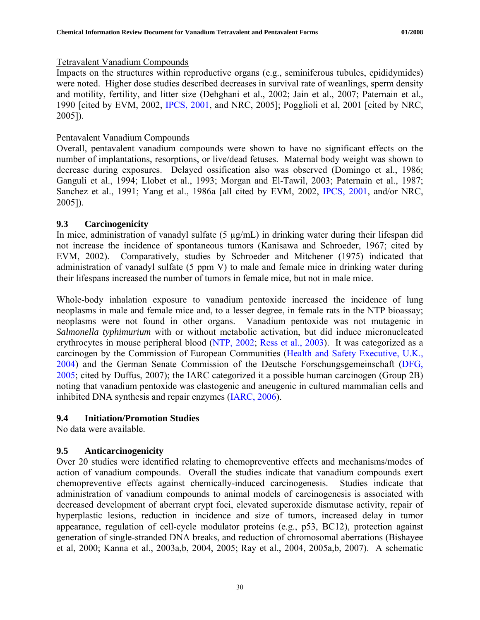## <span id="page-36-0"></span>Tetravalent Vanadium Compounds

Impacts on the structures within reproductive organs (e.g., seminiferous tubules, epididymides) were noted. Higher dose studies described decreases in survival rate of weanlings, sperm density and motility, fertility, and litter size (Dehghani et al., 2002; Jain et al., 2007; Paternain et al., 1990 [cited by EVM, 2002, [IPCS, 2001](http://www.inchem.org/documents/cicads/cicads/cicad29.htm), and NRC, 2005]; Pogglioli et al, 2001 [cited by NRC, 2005]).

## Pentavalent Vanadium Compounds

Overall, pentavalent vanadium compounds were shown to have no significant effects on the number of implantations, resorptions, or live/dead fetuses. Maternal body weight was shown to decrease during exposures. Delayed ossification also was observed (Domingo et al., 1986; Ganguli et al., 1994; Llobet et al., 1993; Morgan and El-Tawil, 2003; Paternain et al., 1987; Sanchez et al., 1991; Yang et al., 1986a [all cited by EVM, 2002, [IPCS, 2001](http://www.inchem.org/documents/cicads/cicads/cicad29.htm), and/or NRC, 2005]).

## **9.3 Carcinogenicity**

In mice, administration of vanadyl sulfate (5 µg/mL) in drinking water during their lifespan did not increase the incidence of spontaneous tumors (Kanisawa and Schroeder, 1967; cited by EVM, 2002). Comparatively, studies by Schroeder and Mitchener (1975) indicated that administration of vanadyl sulfate (5 ppm V) to male and female mice in drinking water during their lifespans increased the number of tumors in female mice, but not in male mice.

Whole-body inhalation exposure to vanadium pentoxide increased the incidence of lung neoplasms in male and female mice and, to a lesser degree, in female rats in the NTP bioassay; neoplasms were not found in other organs. Vanadium pentoxide was not mutagenic in *Salmonella typhimurium* with or without metabolic activation, but did induce micronucleated erythrocytes in mouse peripheral blood [\(NTP, 2002;](http://ntp.niehs.nih.gov/ntp/htdocs/LT_rpts/tr507.pdf) [Ress et al., 2003](http://toxsci.oxfordjournals.org/cgi/reprint/74/2/287.pdf)). It was categorized as a carcinogen by the Commission of European Communities ([Health and Safety Executive, U.K.,](http://ecb.jrc.it/classlab/11204_UK_vanadium_pentoxide.doc)  [2004](http://ecb.jrc.it/classlab/11204_UK_vanadium_pentoxide.doc)) and the German Senate Commission of the Deutsche Forschungsgemeinschaft ([DFG,](http://www.dfg.de/en/news/press_releases/2005/press_release_2005_46.html)  [2005](http://www.dfg.de/en/news/press_releases/2005/press_release_2005_46.html); cited by Duffus, 2007); the IARC categorized it a possible human carcinogen (Group 2B) noting that vanadium pentoxide was clastogenic and aneugenic in cultured mammalian cells and inhibited DNA synthesis and repair enzymes ([IARC, 2006\)](http://monographs.iarc.fr/ENG/Monographs/vol86/volume86.pdf).

## **9.4 Initiation/Promotion Studies**

No data were available.

# **9.5 Anticarcinogenicity**

Over 20 studies were identified relating to chemopreventive effects and mechanisms/modes of action of vanadium compounds. Overall the studies indicate that vanadium compounds exert chemopreventive effects against chemically-induced carcinogenesis. Studies indicate that administration of vanadium compounds to animal models of carcinogenesis is associated with decreased development of aberrant crypt foci, elevated superoxide dismutase activity, repair of hyperplastic lesions, reduction in incidence and size of tumors, increased delay in tumor appearance, regulation of cell-cycle modulator proteins (e.g., p53, BC12), protection against generation of single-stranded DNA breaks, and reduction of chromosomal aberrations (Bishayee et al, 2000; Kanna et al., 2003a,b, 2004, 2005; Ray et al., 2004, 2005a,b, 2007). A schematic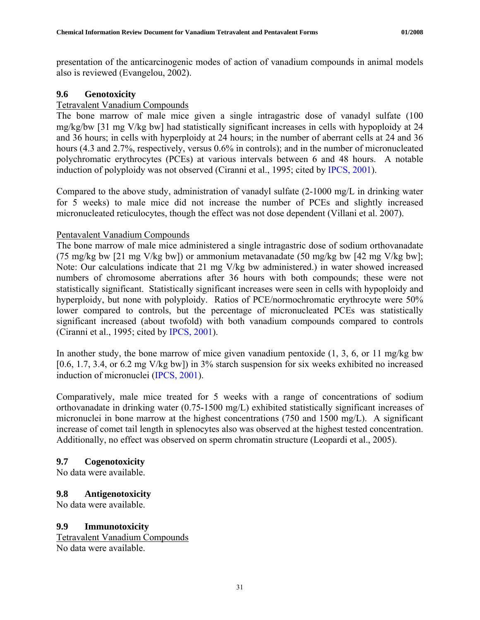<span id="page-37-0"></span>presentation of the anticarcinogenic modes of action of vanadium compounds in animal models also is reviewed (Evangelou, 2002).

## **9.6 Genotoxicity**

## Tetravalent Vanadium Compounds

The bone marrow of male mice given a single intragastric dose of vanadyl sulfate (100 mg/kg/bw [31 mg V/kg bw] had statistically significant increases in cells with hypoploidy at 24 and 36 hours; in cells with hyperploidy at 24 hours; in the number of aberrant cells at 24 and 36 hours (4.3 and 2.7%, respectively, versus 0.6% in controls); and in the number of micronucleated polychromatic erythrocytes (PCEs) at various intervals between 6 and 48 hours. A notable induction of polyploidy was not observed (Ciranni et al., 1995; cited by [IPCS, 2001\)](http://www.inchem.org/documents/cicads/cicads/cicad29.htm).

Compared to the above study, administration of vanadyl sulfate (2-1000 mg/L in drinking water for 5 weeks) to male mice did not increase the number of PCEs and slightly increased micronucleated reticulocytes, though the effect was not dose dependent (Villani et al. 2007).

## Pentavalent Vanadium Compounds

The bone marrow of male mice administered a single intragastric dose of sodium orthovanadate (75 mg/kg bw [21 mg V/kg bw]) or ammonium metavanadate (50 mg/kg bw [42 mg V/kg bw]; Note: Our calculations indicate that 21 mg V/kg bw administered.) in water showed increased numbers of chromosome aberrations after 36 hours with both compounds; these were not statistically significant. Statistically significant increases were seen in cells with hypoploidy and hyperploidy, but none with polyploidy. Ratios of PCE/normochromatic erythrocyte were 50% lower compared to controls, but the percentage of micronucleated PCEs was statistically significant increased (about twofold) with both vanadium compounds compared to controls (Ciranni et al., 1995; cited by [IPCS, 2001](http://www.inchem.org/documents/cicads/cicads/cicad29.htm)).

In another study, the bone marrow of mice given vanadium pentoxide  $(1, 3, 6, 0r)$  11 mg/kg bw [0.6, 1.7, 3.4, or 6.2 mg V/kg bw]) in 3% starch suspension for six weeks exhibited no increased induction of micronuclei ([IPCS, 2001\)](http://www.inchem.org/documents/cicads/cicads/cicad29.htm).

Comparatively, male mice treated for 5 weeks with a range of concentrations of sodium orthovanadate in drinking water (0.75-1500 mg/L) exhibited statistically significant increases of micronuclei in bone marrow at the highest concentrations (750 and 1500 mg/L). A significant increase of comet tail length in splenocytes also was observed at the highest tested concentration. Additionally, no effect was observed on sperm chromatin structure (Leopardi et al., 2005).

## **9.7 Cogenotoxicity**

No data were available.

## **9.8 Antigenotoxicity**

No data were available.

## **9.9 Immunotoxicity**

Tetravalent Vanadium Compounds No data were available.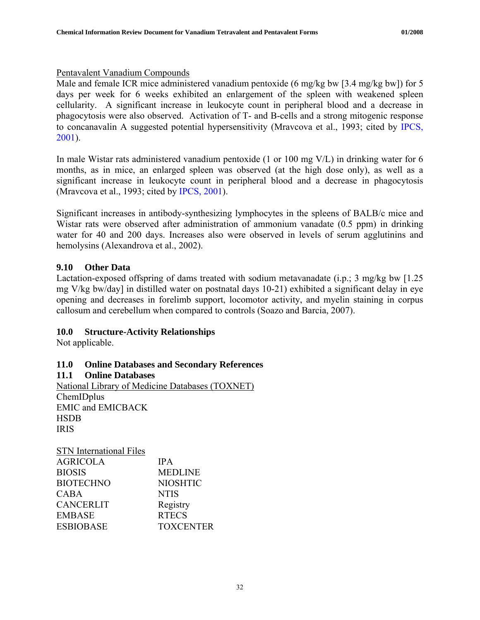## <span id="page-38-0"></span>Pentavalent Vanadium Compounds

Male and female ICR mice administered vanadium pentoxide (6 mg/kg bw [3.4 mg/kg bw]) for 5 days per week for 6 weeks exhibited an enlargement of the spleen with weakened spleen cellularity. A significant increase in leukocyte count in peripheral blood and a decrease in phagocytosis were also observed. Activation of T- and B-cells and a strong mitogenic response to concanavalin A suggested potential hypersensitivity (Mravcova et al., 1993; cited by [IPCS,](http://www.inchem.org/documents/cicads/cicads/cicad29.htm)  [2001](http://www.inchem.org/documents/cicads/cicads/cicad29.htm)).

In male Wistar rats administered vanadium pentoxide (1 or 100 mg V/L) in drinking water for 6 months, as in mice, an enlarged spleen was observed (at the high dose only), as well as a significant increase in leukocyte count in peripheral blood and a decrease in phagocytosis (Mravcova et al., 1993; cited by [IPCS, 2001\)](http://www.inchem.org/documents/cicads/cicads/cicad29.htm).

Significant increases in antibody-synthesizing lymphocytes in the spleens of BALB/c mice and Wistar rats were observed after administration of ammonium vanadate (0.5 ppm) in drinking water for 40 and 200 days. Increases also were observed in levels of serum agglutinins and hemolysins (Alexandrova et al., 2002).

# **9.10 Other Data**

Lactation-exposed offspring of dams treated with sodium metavanadate (i.p.; 3 mg/kg bw [1.25 mg V/kg bw/day] in distilled water on postnatal days 10-21) exhibited a significant delay in eye opening and decreases in forelimb support, locomotor activity, and myelin staining in corpus callosum and cerebellum when compared to controls (Soazo and Barcia, 2007).

# **10.0 Structure-Activity Relationships**

Not applicable.

# **11.0 Online Databases and Secondary References**

**11.1 Online Databases**  National Library of Medicine Databases (TOXNET) ChemIDplus EMIC and EMICBACK **HSDB** IRIS

| <b>STN</b> International Files |                  |
|--------------------------------|------------------|
| <b>AGRICOLA</b>                | <b>IPA</b>       |
| <b>BIOSIS</b>                  | <b>MEDLINE</b>   |
| <b>BIOTECHNO</b>               | <b>NIOSHTIC</b>  |
| <b>CABA</b>                    | <b>NTIS</b>      |
| <b>CANCERLIT</b>               | Registry         |
| <b>EMBASE</b>                  | <b>RTECS</b>     |
| <b>ESBIOBASE</b>               | <b>TOXCENTER</b> |
|                                |                  |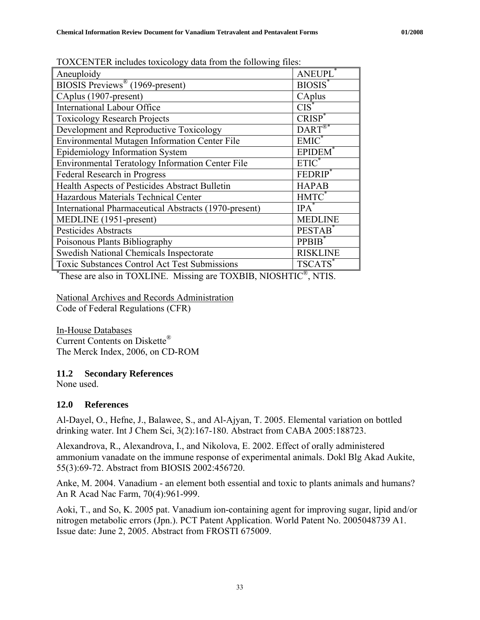| $1021$ CET TER INCRUGS WARDING? GUG TIVIT THE TOTOWING THES. |                                                                                     |  |  |  |
|--------------------------------------------------------------|-------------------------------------------------------------------------------------|--|--|--|
| Aneuploidy                                                   | ANEUPL <sup>*</sup>                                                                 |  |  |  |
| BIOSIS Previews <sup>®</sup> (1969-present)                  | BIOSIS <sup>*</sup>                                                                 |  |  |  |
| CAplus (1907-present)                                        | CAplus                                                                              |  |  |  |
| International Labour Office                                  | $CIS^*$                                                                             |  |  |  |
| <b>Toxicology Research Projects</b>                          | $CRISP^*$                                                                           |  |  |  |
| Development and Reproductive Toxicology                      | $\text{DART}^{\textcircled{\tiny{\textsf{RF}}}^{\textcircled{\tiny{\textsf{RF}}}}}$ |  |  |  |
| Environmental Mutagen Information Center File                | $EMIC^*$                                                                            |  |  |  |
| Epidemiology Information System                              | <b>EPIDEM</b>                                                                       |  |  |  |
| Environmental Teratology Information Center File             | $ETIC^*$                                                                            |  |  |  |
| Federal Research in Progress                                 | FEDRIP <sup>*</sup>                                                                 |  |  |  |
| Health Aspects of Pesticides Abstract Bulletin               | <b>HAPAB</b>                                                                        |  |  |  |
| Hazardous Materials Technical Center                         | HMTC <sup>*</sup>                                                                   |  |  |  |
| International Pharmaceutical Abstracts (1970-present)        | $IPA^*$                                                                             |  |  |  |
| MEDLINE (1951-present)                                       | <b>MEDLINE</b>                                                                      |  |  |  |
| Pesticides Abstracts                                         | PESTAB <sup>*</sup>                                                                 |  |  |  |
| Poisonous Plants Bibliography                                | PPBIB <sup>*</sup>                                                                  |  |  |  |
| Swedish National Chemicals Inspectorate                      | <b>RISKLINE</b>                                                                     |  |  |  |
| Toxic Substances Control Act Test Submissions                | TSCATS*                                                                             |  |  |  |

<span id="page-39-0"></span>TOXCENTER includes toxicology data from the following files:

\* These are also in TOXLINE. Missing are TOXBIB, NIOSHTIC®, NTIS.

National Archives and Records Administration Code of Federal Regulations (CFR)

In-House Databases Current Contents on Diskette® The Merck Index, 2006, on CD-ROM

## **11.2 Secondary References**

None used.

## **12.0 References**

Al-Dayel, O., Hefne, J., Balawee, S., and Al-Ajyan, T. 2005. Elemental variation on bottled drinking water. Int J Chem Sci, 3(2):167-180. Abstract from CABA 2005:188723.

Alexandrova, R., Alexandrova, I., and Nikolova, E. 2002. Effect of orally administered ammonium vanadate on the immune response of experimental animals. Dokl Blg Akad Aukite, 55(3):69-72. Abstract from BIOSIS 2002:456720.

Anke, M. 2004. Vanadium - an element both essential and toxic to plants animals and humans? An R Acad Nac Farm, 70(4):961-999.

Aoki, T., and So, K. 2005 pat. Vanadium ion-containing agent for improving sugar, lipid and/or nitrogen metabolic errors (Jpn.). PCT Patent Application. World Patent No. 2005048739 A1. Issue date: June 2, 2005. Abstract from FROSTI 675009.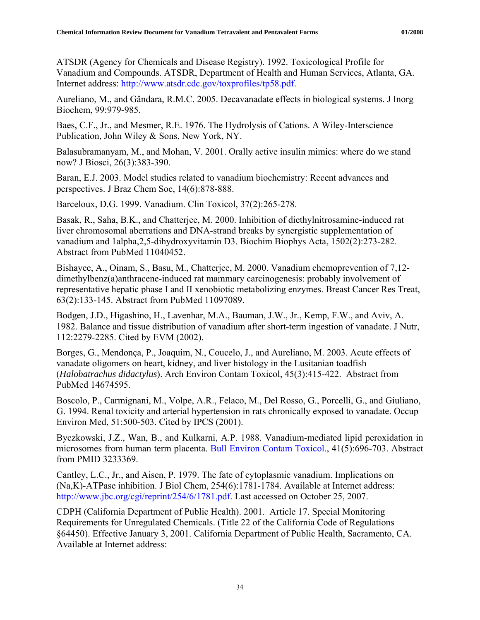ATSDR (Agency for Chemicals and Disease Registry). 1992. Toxicological Profile for Vanadium and Compounds. ATSDR, Department of Health and Human Services, Atlanta, GA. Internet address: <http://www.atsdr.cdc.gov/toxprofiles/tp58.pdf>.

Aureliano, M., and Gândara, R.M.C. 2005. Decavanadate effects in biological systems. J Inorg Biochem, 99:979-985.

Baes, C.F., Jr., and Mesmer, R.E. 1976. The Hydrolysis of Cations. A Wiley-Interscience Publication, John Wiley & Sons, New York, NY.

Balasubramanyam, M., and Mohan, V. 2001. Orally active insulin mimics: where do we stand now? J Biosci, 26(3):383-390.

Baran, E.J. 2003. Model studies related to vanadium biochemistry: Recent advances and perspectives. J Braz Chem Soc, 14(6):878-888.

Barceloux, D.G. 1999. Vanadium. Clin Toxicol, 37(2):265-278.

Basak, R., Saha, B.K., and Chatterjee, M. 2000. Inhibition of diethylnitrosamine-induced rat liver chromosomal aberrations and DNA-strand breaks by synergistic supplementation of vanadium and 1alpha,2,5-dihydroxyvitamin D3. Biochim Biophys Acta, 1502(2):273-282. Abstract from PubMed 11040452.

Bishayee, A., Oinam, S., Basu, M., Chatterjee, M. 2000. Vanadium chemoprevention of 7,12 dimethylbenz(a)anthracene-induced rat mammary carcinogenesis: probably involvement of representative hepatic phase I and II xenobiotic metabolizing enzymes. Breast Cancer Res Treat, 63(2):133-145. Abstract from PubMed 11097089.

Bodgen, J.D., Higashino, H., Lavenhar, M.A., Bauman, J.W., Jr., Kemp, F.W., and Aviv, A. 1982. Balance and tissue distribution of vanadium after short-term ingestion of vanadate. J Nutr, 112:2279-2285. Cited by EVM (2002).

Borges, G., Mendonça, P., Joaquim, N., Coucelo, J., and Aureliano, M. 2003. Acute effects of vanadate oligomers on heart, kidney, and liver histology in the Lusitanian toadfish (*Halobatrachus didactylus*). Arch Environ Contam Toxicol, 45(3):415-422. Abstract from PubMed 14674595.

Boscolo, P., Carmignani, M., Volpe, A.R., Felaco, M., Del Rosso, G., Porcelli, G., and Giuliano, G. 1994. Renal toxicity and arterial hypertension in rats chronically exposed to vanadate. Occup Environ Med, 51:500-503. Cited by IPCS (2001).

Byczkowski, J.Z., Wan, B., and Kulkarni, A.P. 1988. Vanadium-mediated lipid peroxidation in microsomes from human term placenta. [Bull Environ Contam Toxicol.,](javascript:AL_get(this,%20) 41(5):696-703. Abstract from PMID 3233369.

Cantley, L.C., Jr., and Aisen, P. 1979. The fate of cytoplasmic vanadium. Implications on (Na,K)-ATPase inhibition. J Biol Chem, 254(6):1781-1784. Available at Internet address: [http://www.jbc.org/cgi/reprint/254/6/1781.pdf.](http://www.jbc.org/cgi/reprint/254/6/1781.pdf) Last accessed on October 25, 2007.

CDPH (California Department of Public Health). 2001. Article 17. Special Monitoring Requirements for Unregulated Chemicals. (Title 22 of the California Code of Regulations §64450). Effective January 3, 2001. California Department of Public Health, Sacramento, CA. Available at Internet address: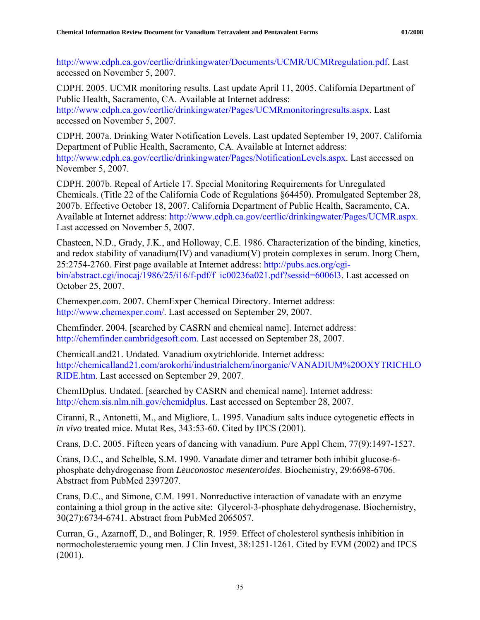[http://www.cdph.ca.gov/certlic/drinkingwater/Documents/UCMR/UCMRregulation.pdf.](http://www.cdph.ca.gov/certlic/drinkingwater/Documents/UCMR/UCMRregulation.pdf) Last accessed on November 5, 2007.

CDPH. 2005. UCMR monitoring results. Last update April 11, 2005. California Department of Public Health, Sacramento, CA. Available at Internet address: <http://www.cdph.ca.gov/certlic/drinkingwater/Pages/UCMRmonitoringresults.aspx>. Last

accessed on November 5, 2007.

CDPH. 2007a. Drinking Water Notification Levels. Last updated September 19, 2007. California Department of Public Health, Sacramento, CA. Available at Internet address: <http://www.cdph.ca.gov/certlic/drinkingwater/Pages/NotificationLevels.aspx>. Last accessed on November 5, 2007.

CDPH. 2007b. Repeal of Article 17. Special Monitoring Requirements for Unregulated Chemicals. (Title 22 of the California Code of Regulations §64450). Promulgated September 28, 2007b. Effective October 18, 2007. California Department of Public Health, Sacramento, CA. Available at Internet address: [http://www.cdph.ca.gov/certlic/drinkingwater/Pages/UCMR.aspx.](http://www.cdph.ca.gov/certlic/drinkingwater/Pages/UCMR.aspx) Last accessed on November 5, 2007.

Chasteen, N.D., Grady, J.K., and Holloway, C.E. 1986. Characterization of the binding, kinetics, and redox stability of vanadium(IV) and vanadium(V) protein complexes in serum. Inorg Chem, 25:2754-2760. First page available at Internet address: [http://pubs.acs.org/cgi](http://pubs.acs.org/cgi-bin/abstract.cgi/inocaj/1986/25/i16/f-pdf/f_ic00236a021.pdf?sessid=6006l3)[bin/abstract.cgi/inocaj/1986/25/i16/f-pdf/f\\_ic00236a021.pdf?sessid=6006l3](http://pubs.acs.org/cgi-bin/abstract.cgi/inocaj/1986/25/i16/f-pdf/f_ic00236a021.pdf?sessid=6006l3). Last accessed on October 25, 2007.

Chemexper.com. 2007. ChemExper Chemical Directory. Internet address: <http://www.chemexper.com/>. Last accessed on September 29, 2007.

Chemfinder. 2004. [searched by CASRN and chemical name]. Internet address: [http://chemfinder.cambridgesoft.com.](http://chemfinder.cambridgesoft.com/) Last accessed on September 28, 2007.

ChemicalLand21. Undated. Vanadium oxytrichloride. Internet address: [http://chemicalland21.com/arokorhi/industrialchem/inorganic/VANADIUM%20OXYTRICHLO](http://chemicalland21.com/arokorhi/industrialchem/inorganic/VANADIUM%20OXYTRICHLORIDE.htm) [RIDE.htm.](http://chemicalland21.com/arokorhi/industrialchem/inorganic/VANADIUM%20OXYTRICHLORIDE.htm) Last accessed on September 29, 2007.

ChemIDplus. Undated. [searched by CASRN and chemical name]. Internet address: [http://chem.sis.nlm.nih.gov/chemidplus.](http://chem.sis.nlm.nih.gov/chemidplus) Last accessed on September 28, 2007.

Ciranni, R., Antonetti, M., and Migliore, L. 1995. Vanadium salts induce cytogenetic effects in *in vivo* treated mice. Mutat Res, 343:53-60. Cited by IPCS (2001).

Crans, D.C. 2005. Fifteen years of dancing with vanadium. Pure Appl Chem, 77(9):1497-1527.

Crans, D.C., and Schelble, S.M. 1990. Vanadate dimer and tetramer both inhibit glucose-6 phosphate dehydrogenase from *Leuconostoc mesenteroides*. Biochemistry, 29:6698-6706. Abstract from PubMed 2397207.

Crans, D.C., and Simone, C.M. 1991. Nonreductive interaction of vanadate with an enzyme containing a thiol group in the active site: Glycerol-3-phosphate dehydrogenase. Biochemistry, 30(27):6734-6741. Abstract from PubMed 2065057.

Curran, G., Azarnoff, D., and Bolinger, R. 1959. Effect of cholesterol synthesis inhibition in normocholesteraemic young men. J Clin Invest, 38:1251-1261. Cited by EVM (2002) and IPCS (2001).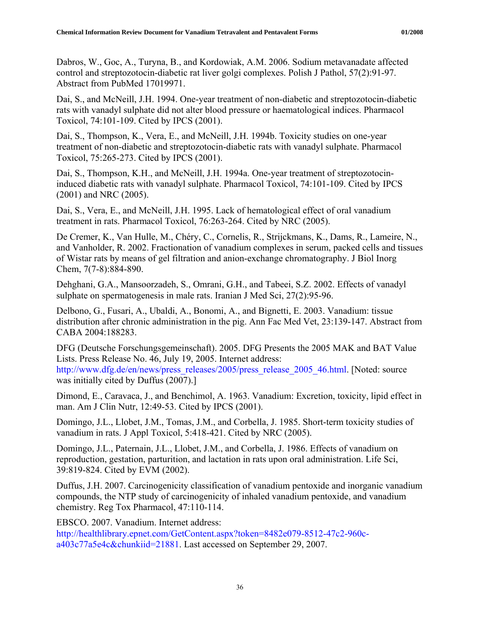Dabros, W., Goc, A., Turyna, B., and Kordowiak, A.M. 2006. Sodium metavanadate affected control and streptozotocin-diabetic rat liver golgi complexes. Polish J Pathol, 57(2):91-97. Abstract from PubMed 17019971.

Dai, S., and McNeill, J.H. 1994. One-year treatment of non-diabetic and streptozotocin-diabetic rats with vanadyl sulphate did not alter blood pressure or haematological indices. Pharmacol Toxicol, 74:101-109. Cited by IPCS (2001).

Dai, S., Thompson, K., Vera, E., and McNeill, J.H. 1994b. Toxicity studies on one-year treatment of non-diabetic and streptozotocin-diabetic rats with vanadyl sulphate. Pharmacol Toxicol, 75:265-273. Cited by IPCS (2001).

Dai, S., Thompson, K.H., and McNeill, J.H. 1994a. One-year treatment of streptozotocininduced diabetic rats with vanadyl sulphate. Pharmacol Toxicol, 74:101-109. Cited by IPCS (2001) and NRC (2005).

Dai, S., Vera, E., and McNeill, J.H. 1995. Lack of hematological effect of oral vanadium treatment in rats. Pharmacol Toxicol, 76:263-264. Cited by NRC (2005).

De Cremer, K., Van Hulle, M., Chéry, C., Cornelis, R., Strijckmans, K., Dams, R., Lameire, N., and Vanholder, R. 2002. Fractionation of vanadium complexes in serum, packed cells and tissues of Wistar rats by means of gel filtration and anion-exchange chromatography. J Biol Inorg Chem, 7(7-8):884-890.

Dehghani, G.A., Mansoorzadeh, S., Omrani, G.H., and Tabeei, S.Z. 2002. Effects of vanadyl sulphate on spermatogenesis in male rats. Iranian J Med Sci, 27(2):95-96.

Delbono, G., Fusari, A., Ubaldi, A., Bonomi, A., and Bignetti, E. 2003. Vanadium: tissue distribution after chronic administration in the pig. Ann Fac Med Vet, 23:139-147. Abstract from CABA 2004:188283.

DFG (Deutsche Forschungsgemeinschaft). 2005. DFG Presents the 2005 MAK and BAT Value Lists. Press Release No. 46, July 19, 2005. Internet address: [http://www.dfg.de/en/news/press\\_releases/2005/press\\_release\\_2005\\_46.html](http://www.dfg.de/en/news/press_releases/2005/press_release_2005_46.html). [Noted: source was initially cited by Duffus (2007).]

Dimond, E., Caravaca, J., and Benchimol, A. 1963. Vanadium: Excretion, toxicity, lipid effect in man. Am J Clin Nutr, 12:49-53. Cited by IPCS (2001).

Domingo, J.L., Llobet, J.M., Tomas, J.M., and Corbella, J. 1985. Short-term toxicity studies of vanadium in rats. J Appl Toxicol, 5:418-421. Cited by NRC (2005).

Domingo, J.L., Paternain, J.L., Llobet, J.M., and Corbella, J. 1986. Effects of vanadium on reproduction, gestation, parturition, and lactation in rats upon oral administration. Life Sci, 39:819-824. Cited by EVM (2002).

Duffus, J.H. 2007. Carcinogenicity classification of vanadium pentoxide and inorganic vanadium compounds, the NTP study of carcinogenicity of inhaled vanadium pentoxide, and vanadium chemistry. Reg Tox Pharmacol, 47:110-114.

EBSCO. 2007. Vanadium. Internet address:

[http://healthlibrary.epnet.com/GetContent.aspx?token=8482e079-8512-47c2-960c](http://healthlibrary.epnet.com/GetContent.aspx?token=8482e079-8512-47c2-960c-a403c77a5e4c&chunkiid=21881)[a403c77a5e4c&chunkiid=21881.](http://healthlibrary.epnet.com/GetContent.aspx?token=8482e079-8512-47c2-960c-a403c77a5e4c&chunkiid=21881) Last accessed on September 29, 2007.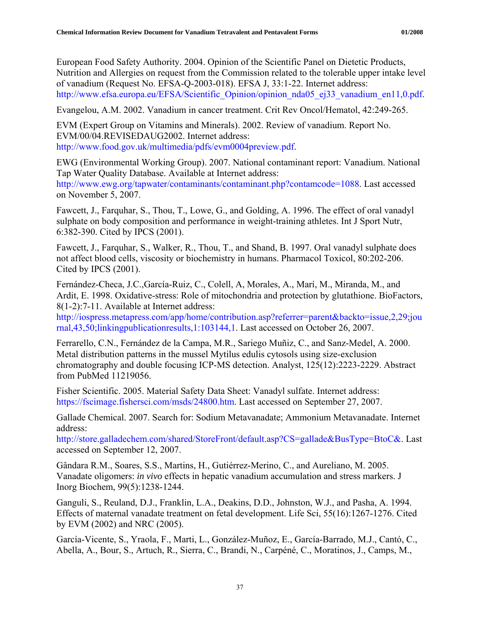European Food Safety Authority. 2004. Opinion of the Scientific Panel on Dietetic Products, Nutrition and Allergies on request from the Commission related to the tolerable upper intake level of vanadium (Request No. EFSA-Q-2003-018). EFSA J, 33:1-22. Internet address: [http://www.efsa.europa.eu/EFSA/Scientific\\_Opinion/opinion\\_nda05\\_ej33\\_vanadium\\_en11,0.pdf.](http://www.efsa.europa.eu/EFSA/Scientific_Opinion/opinion_nda05_ej33_vanadium_en11,0.pdf)

Evangelou, A.M. 2002. Vanadium in cancer treatment. Crit Rev Oncol/Hematol, 42:249-265.

EVM (Expert Group on Vitamins and Minerals). 2002. Review of vanadium. Report No. EVM/00/04.REVISEDAUG2002. Internet address: <http://www.food.gov.uk/multimedia/pdfs/evm0004preview.pdf>.

EWG (Environmental Working Group). 2007. National contaminant report: Vanadium. National Tap Water Quality Database. Available at Internet address:

<http://www.ewg.org/tapwater/contaminants/contaminant.php?contamcode=1088>. Last accessed on November 5, 2007.

Fawcett, J., Farquhar, S., Thou, T., Lowe, G., and Golding, A. 1996. The effect of oral vanadyl sulphate on body composition and performance in weight-training athletes. Int J Sport Nutr, 6:382-390. Cited by IPCS (2001).

Fawcett, J., Farquhar, S., Walker, R., Thou, T., and Shand, B. 1997. Oral vanadyl sulphate does not affect blood cells, viscosity or biochemistry in humans. Pharmacol Toxicol, 80:202-206. Cited by IPCS (2001).

Fernández-Checa, J.C.,García-Ruiz, C., Colell, A, Morales, A., Marí, M., Miranda, M., and Ardit, E. 1998. Oxidative-stress: Role of mitochondria and protection by glutathione. BioFactors, 8(1-2):7-11. Available at Internet address:

[http://iospress.metapress.com/app/home/contribution.asp?referrer=parent&backto=issue,2,29;jou](http://iospress.metapress.com/app/home/contribution.asp?referrer=parent&backto=issue,2,29;journal,43,50;linkingpublicationresults,1:103144,1) [rnal,43,50;linkingpublicationresults,1:103144,1.](http://iospress.metapress.com/app/home/contribution.asp?referrer=parent&backto=issue,2,29;journal,43,50;linkingpublicationresults,1:103144,1) Last accessed on October 26, 2007.

Ferrarello, C.N., Fernández de la Campa, M.R., Sariego Muñiz, C., and Sanz-Medel, A. 2000. Metal distribution patterns in the mussel Mytilus edulis cytosols using size-exclusion chromatography and double focusing ICP-MS detection. Analyst, 125(12):2223-2229. Abstract from PubMed 11219056.

Fisher Scientific. 2005. Material Safety Data Sheet: Vanadyl sulfate. Internet address: [https://fscimage.fishersci.com/msds/24800.htm.](https://fscimage.fishersci.com/msds/24800.htm) Last accessed on September 27, 2007.

Gallade Chemical. 2007. Search for: Sodium Metavanadate; Ammonium Metavanadate. Internet address:

[http://store.galladechem.com/shared/StoreFront/default.asp?CS=gallade&BusType=BtoC&.](http://store.galladechem.com/shared/StoreFront/default.asp?CS=gallade&BusType=BtoC&) Last accessed on September 12, 2007.

Gândara R.M., Soares, S.S., Martins, H., Gutiérrez-Merino, C., and Aureliano, M. 2005. Vanadate oligomers: *in vivo* effects in hepatic vanadium accumulation and stress markers. J Inorg Biochem, 99(5):1238-1244.

Ganguli, S., Reuland, D.J., Franklin, L.A., Deakins, D.D., Johnston, W.J., and Pasha, A. 1994. Effects of maternal vanadate treatment on fetal development. Life Sci, 55(16):1267-1276. Cited by EVM (2002) and NRC (2005).

García-Vicente, S., Yraola, F., Marti, L., González-Muñoz, E., García-Barrado, M.J., Cantó, C., Abella, A., Bour, S., Artuch, R., Sierra, C., Brandi, N., Carpéné, C., Moratinos, J., Camps, M.,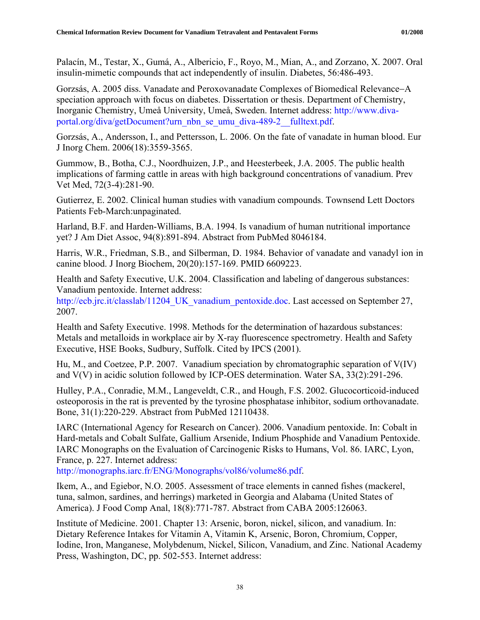Palacín, M., Testar, X., Gumá, A., Albericio, F., Royo, M., Mian, A., and Zorzano, X. 2007. Oral insulin-mimetic compounds that act independently of insulin. Diabetes, 56:486-493.

Gorzsás, A. 2005 diss. Vanadate and Peroxovanadate Complexes of Biomedical Relevance−A speciation approach with focus on diabetes. Dissertation or thesis. Department of Chemistry, Inorganic Chemistry, Umeå University, Umeå, Sweden. Internet address: [http://www.diva](http://www.diva-portal.org/diva/getDocument?urn_nbn_se_umu_diva-489-2__fulltext.pdf)[portal.org/diva/getDocument?urn\\_nbn\\_se\\_umu\\_diva-489-2\\_\\_fulltext.pdf.](http://www.diva-portal.org/diva/getDocument?urn_nbn_se_umu_diva-489-2__fulltext.pdf)

Gorzsás, A., Andersson, I., and Pettersson, L. 2006. On the fate of vanadate in human blood. Eur J Inorg Chem. 2006(18):3559-3565.

Gummow, B., Botha, C.J., Noordhuizen, J.P., and Heesterbeek, J.A. 2005. The public health implications of farming cattle in areas with high background concentrations of vanadium. Prev Vet Med, 72(3-4):281-90.

Gutierrez, E. 2002. Clinical human studies with vanadium compounds. Townsend Lett Doctors Patients Feb-March:unpaginated.

Harland, B.F. and Harden-Williams, B.A. 1994. Is vanadium of human nutritional importance yet? J Am Diet Assoc, 94(8):891-894. Abstract from PubMed 8046184.

Harris, W.R., Friedman, S.B., and Silberman, D. 1984. Behavior of vanadate and vanadyl ion in canine blood. J Inorg Biochem, 20(20):157-169. PMID 6609223.

Health and Safety Executive, U.K. 2004. Classification and labeling of dangerous substances: Vanadium pentoxide. Internet address:

http://ecb.jrc.it/classlab/11204 UK vanadium pentoxide.doc. Last accessed on September 27, 2007.

Health and Safety Executive. 1998. Methods for the determination of hazardous substances: Metals and metalloids in workplace air by X-ray fluorescence spectrometry. Health and Safety Executive, HSE Books, Sudbury, Suffolk. Cited by IPCS (2001).

Hu, M., and Coetzee, P.P. 2007. Vanadium speciation by chromatographic separation of V(IV) and V(V) in acidic solution followed by ICP-OES determination. Water SA, 33(2):291-296.

Hulley, P.A., Conradie, M.M., Langeveldt, C.R., and Hough, F.S. 2002. Glucocorticoid-induced osteoporosis in the rat is prevented by the tyrosine phosphatase inhibitor, sodium orthovanadate. Bone, 31(1):220-229. Abstract from PubMed 12110438.

IARC (International Agency for Research on Cancer). 2006. Vanadium pentoxide. In: Cobalt in Hard-metals and Cobalt Sulfate, Gallium Arsenide, Indium Phosphide and Vanadium Pentoxide. IARC Monographs on the Evaluation of Carcinogenic Risks to Humans, Vol. 86. IARC, Lyon, France, p. 227. Internet address:

[http://monographs.iarc.fr/ENG/Monographs/vol86/volume86.pdf.](http://monographs.iarc.fr/ENG/Monographs/vol86/volume86.pdf)

Ikem, A., and Egiebor, N.O. 2005. Assessment of trace elements in canned fishes (mackerel, tuna, salmon, sardines, and herrings) marketed in Georgia and Alabama (United States of America). J Food Comp Anal, 18(8):771-787. Abstract from CABA 2005:126063.

Institute of Medicine. 2001. Chapter 13: Arsenic, boron, nickel, silicon, and vanadium. In: Dietary Reference Intakes for Vitamin A, Vitamin K, Arsenic, Boron, Chromium, Copper, Iodine, Iron, Manganese, Molybdenum, Nickel, Silicon, Vanadium, and Zinc. National Academy Press, Washington, DC, pp. 502-553. Internet address: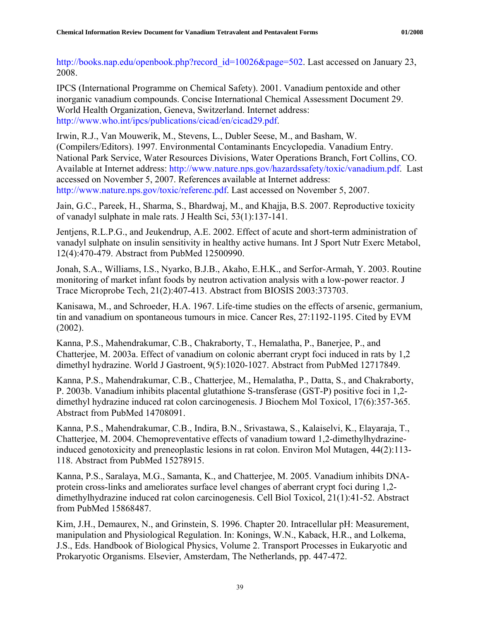[http://books.nap.edu/openbook.php?record\\_id=10026&page=502.](http://books.nap.edu/openbook.php?record_id=10026&page=502) Last accessed on January 23, 2008.

IPCS (International Programme on Chemical Safety). 2001. Vanadium pentoxide and other inorganic vanadium compounds. Concise International Chemical Assessment Document 29. World Health Organization, Geneva, Switzerland. Internet address: [http://www.who.int/ipcs/publications/cicad/en/cicad29.pdf.](http://www.who.int/ipcs/publications/cicad/en/cicad29.pdf)

Irwin, R.J., Van Mouwerik, M., Stevens, L., Dubler Seese, M., and Basham, W. (Compilers/Editors). 1997. Environmental Contaminants Encyclopedia. Vanadium Entry. National Park Service, Water Resources Divisions, Water Operations Branch, Fort Collins, CO. Available at Internet address: [http://www.nature.nps.gov/hazardssafety/toxic/vanadium.pdf.](http://www.nature.nps.gov/hazardssafety/toxic/vanadium.pdf) Last accessed on November 5, 2007. References available at Internet address: <http://www.nature.nps.gov/toxic/referenc.pdf>. Last accessed on November 5, 2007.

Jain, G.C., Pareek, H., Sharma, S., Bhardwaj, M., and Khajja, B.S. 2007. Reproductive toxicity of vanadyl sulphate in male rats. J Health Sci, 53(1):137-141.

Jentjens, R.L.P.G., and Jeukendrup, A.E. 2002. Effect of acute and short-term administration of vanadyl sulphate on insulin sensitivity in healthy active humans. Int J Sport Nutr Exerc Metabol, 12(4):470-479. Abstract from PubMed 12500990.

Jonah, S.A., Williams, I.S., Nyarko, B.J.B., Akaho, E.H.K., and Serfor-Armah, Y. 2003. Routine monitoring of market infant foods by neutron activation analysis with a low-power reactor. J Trace Microprobe Tech, 21(2):407-413. Abstract from BIOSIS 2003:373703.

Kanisawa, M., and Schroeder, H.A. 1967. Life-time studies on the effects of arsenic, germanium, tin and vanadium on spontaneous tumours in mice. Cancer Res, 27:1192-1195. Cited by EVM (2002).

Kanna, P.S., Mahendrakumar, C.B., Chakraborty, T., Hemalatha, P., Banerjee, P., and Chatterjee, M. 2003a. Effect of vanadium on colonic aberrant crypt foci induced in rats by 1,2 dimethyl hydrazine. World J Gastroent, 9(5):1020-1027. Abstract from PubMed 12717849.

Kanna, P.S., Mahendrakumar, C.B., Chatterjee, M., Hemalatha, P., Datta, S., and Chakraborty, P. 2003b. Vanadium inhibits placental glutathione S-transferase (GST-P) positive foci in 1,2 dimethyl hydrazine induced rat colon carcinogenesis. J Biochem Mol Toxicol, 17(6):357-365. Abstract from PubMed 14708091.

Kanna, P.S., Mahendrakumar, C.B., Indira, B.N., Srivastawa, S., Kalaiselvi, K., Elayaraja, T., Chatterjee, M. 2004. Chemopreventative effects of vanadium toward 1,2-dimethylhydrazineinduced genotoxicity and preneoplastic lesions in rat colon. Environ Mol Mutagen, 44(2):113- 118. Abstract from PubMed 15278915.

Kanna, P.S., Saralaya, M.G., Samanta, K., and Chatterjee, M. 2005. Vanadium inhibits DNAprotein cross-links and ameliorates surface level changes of aberrant crypt foci during 1,2 dimethylhydrazine induced rat colon carcinogenesis. Cell Biol Toxicol, 21(1):41-52. Abstract from PubMed 15868487.

Kim, J.H., Demaurex, N., and Grinstein, S. 1996. Chapter 20. Intracellular pH: Measurement, manipulation and Physiological Regulation. In: Konings, W.N., Kaback, H.R., and Lolkema, J.S., Eds. Handbook of Biological Physics, Volume 2. Transport Processes in Eukaryotic and Prokaryotic Organisms. Elsevier, Amsterdam, The Netherlands, pp. 447-472.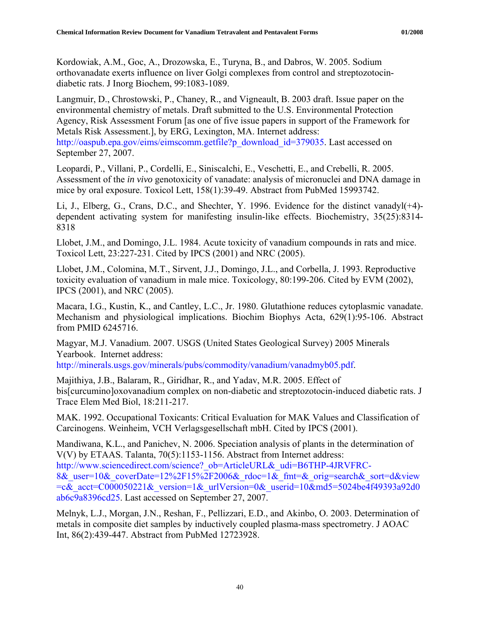Kordowiak, A.M., Goc, A., Drozowska, E., Turyna, B., and Dabros, W. 2005. Sodium orthovanadate exerts influence on liver Golgi complexes from control and streptozotocindiabetic rats. J Inorg Biochem, 99:1083-1089.

Langmuir, D., Chrostowski, P., Chaney, R., and Vigneault, B. 2003 draft. Issue paper on the environmental chemistry of metals. Draft submitted to the U.S. Environmental Protection Agency, Risk Assessment Forum [as one of five issue papers in support of the Framework for Metals Risk Assessment.], by ERG, Lexington, MA. Internet address:

[http://oaspub.epa.gov/eims/eimscomm.getfile?p\\_download\\_id=379035.](http://oaspub.epa.gov/eims/eimscomm.getfile?p_download_id=379035) Last accessed on September 27, 2007.

Leopardi, P., Villani, P., Cordelli, E., Siniscalchi, E., Veschetti, E., and Crebelli, R. 2005. Assessment of the *in vivo* genotoxicity of vanadate: analysis of micronuclei and DNA damage in mice by oral exposure. Toxicol Lett, 158(1):39-49. Abstract from PubMed 15993742.

Li, J., Elberg, G., Crans, D.C., and Shechter, Y. 1996. Evidence for the distinct vanadyl(+4) dependent activating system for manifesting insulin-like effects. Biochemistry, 35(25):8314- 8318

Llobet, J.M., and Domingo, J.L. 1984. Acute toxicity of vanadium compounds in rats and mice. Toxicol Lett, 23:227-231. Cited by IPCS (2001) and NRC (2005).

Llobet, J.M., Colomina, M.T., Sirvent, J.J., Domingo, J.L., and Corbella, J. 1993. Reproductive toxicity evaluation of vanadium in male mice. Toxicology, 80:199-206. Cited by EVM (2002), IPCS (2001), and NRC (2005).

Macara, I.G., Kustin, K., and Cantley, L.C., Jr. 1980. Glutathione reduces cytoplasmic vanadate. Mechanism and physiological implications. Biochim Biophys Acta, 629(1):95-106. Abstract from PMID 6245716.

Magyar, M.J. Vanadium. 2007. USGS (United States Geological Survey) 2005 Minerals Yearbook. Internet address:

[http://minerals.usgs.gov/minerals/pubs/commodity/vanadium/vanadmyb05.pdf.](http://minerals.usgs.gov/minerals/pubs/commodity/vanadium/vanadmyb05.pdf)

Majithiya, J.B., Balaram, R., Giridhar, R., and Yadav, M.R. 2005. Effect of bis[curcumino]oxovanadium complex on non-diabetic and streptozotocin-induced diabetic rats. J Trace Elem Med Biol, 18:211-217.

MAK. 1992. Occupational Toxicants: Critical Evaluation for MAK Values and Classification of Carcinogens. Weinheim, VCH Verlagsgesellschaft mbH. Cited by IPCS (2001).

Mandiwana, K.L., and Panichev, N. 2006. Speciation analysis of plants in the determination of V(V) by ETAAS. Talanta, 70(5):1153-1156. Abstract from Internet address: http://www.sciencedirect.com/science? ob=ArticleURL& udi=B6THP-4JRVFRC-

8& user=10& coverDate=12%2F15%2F2006& rdoc=1& fmt=& orig=search& sort=d&view  $=c&$  acct=C000050221& version=1& urlVersion=0& userid=10&md5=5024be4f49393a92d0 [ab6c9a8396cd25](http://www.sciencedirect.com/science?_ob=ArticleURL&_udi=B6THP-4JRVFRC-8&_user=10&_coverDate=12%2F15%2F2006&_rdoc=1&_fmt=&_orig=search&_sort=d&view=c&_acct=C000050221&_version=1&_urlVersion=0&_userid=10&md5=5024be4f49393a92d0ab6c9a8396cd25). Last accessed on September 27, 2007.

Melnyk, L.J., Morgan, J.N., Reshan, F., Pellizzari, E.D., and Akinbo, O. 2003. Determination of metals in composite diet samples by inductively coupled plasma-mass spectrometry. J AOAC Int, 86(2):439-447. Abstract from PubMed 12723928.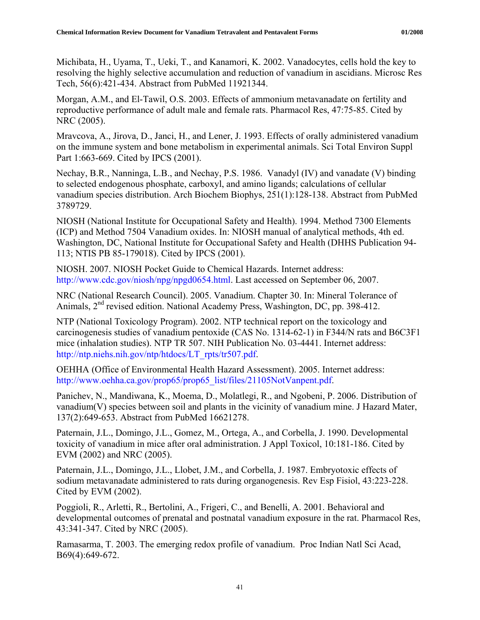Michibata, H., Uyama, T., Ueki, T., and Kanamori, K. 2002. Vanadocytes, cells hold the key to resolving the highly selective accumulation and reduction of vanadium in ascidians. Microsc Res Tech, 56(6):421-434. Abstract from PubMed 11921344.

Morgan, A.M., and El-Tawil, O.S. 2003. Effects of ammonium metavanadate on fertility and reproductive performance of adult male and female rats. Pharmacol Res, 47:75-85. Cited by NRC (2005).

Mravcova, A., Jirova, D., Janci, H., and Lener, J. 1993. Effects of orally administered vanadium on the immune system and bone metabolism in experimental animals. Sci Total Environ Suppl Part 1:663-669. Cited by IPCS (2001).

Nechay, B.R., Nanninga, L.B., and Nechay, P.S. 1986. Vanadyl (IV) and vanadate (V) binding to selected endogenous phosphate, carboxyl, and amino ligands; calculations of cellular vanadium species distribution. Arch Biochem Biophys, 251(1):128-138. Abstract from PubMed 3789729.

NIOSH (National Institute for Occupational Safety and Health). 1994. Method 7300 Elements (ICP) and Method 7504 Vanadium oxides. In: NIOSH manual of analytical methods, 4th ed. Washington, DC, National Institute for Occupational Safety and Health (DHHS Publication 94- 113; NTIS PB 85-179018). Cited by IPCS (2001).

NIOSH. 2007. NIOSH Pocket Guide to Chemical Hazards. Internet address: <http://www.cdc.gov/niosh/npg/npgd0654.html>. Last accessed on September 06, 2007.

NRC (National Research Council). 2005. Vanadium. Chapter 30. In: Mineral Tolerance of Animals, 2nd revised edition. National Academy Press, Washington, DC, pp. 398-412.

NTP (National Toxicology Program). 2002. NTP technical report on the toxicology and carcinogenesis studies of vanadium pentoxide (CAS No. 1314-62-1) in F344/N rats and B6C3F1 mice (inhalation studies). NTP TR 507. NIH Publication No. 03-4441. Internet address: [http://ntp.niehs.nih.gov/ntp/htdocs/LT\\_rpts/tr507.pdf.](http://ntp.niehs.nih.gov/ntp/htdocs/LT_rpts/tr507.pdf)

OEHHA (Office of Environmental Health Hazard Assessment). 2005. Internet address: [http://www.oehha.ca.gov/prop65/prop65\\_list/files/21105NotVanpent.pdf](http://www.oehha.ca.gov/prop65/prop65_list/files/21105NotVanpent.pdf).

Panichev, N., Mandiwana, K., Moema, D., Molatlegi, R., and Ngobeni, P. 2006. Distribution of vanadium(V) species between soil and plants in the vicinity of vanadium mine. J Hazard Mater, 137(2):649-653. Abstract from PubMed 16621278.

Paternain, J.L., Domingo, J.L., Gomez, M., Ortega, A., and Corbella, J. 1990. Developmental toxicity of vanadium in mice after oral administration. J Appl Toxicol, 10:181-186. Cited by EVM (2002) and NRC (2005).

Paternain, J.L., Domingo, J.L., Llobet, J.M., and Corbella, J. 1987. Embryotoxic effects of sodium metavanadate administered to rats during organogenesis. Rev Esp Fisiol, 43:223-228. Cited by EVM (2002).

Poggioli, R., Arletti, R., Bertolini, A., Frigeri, C., and Benelli, A. 2001. Behavioral and developmental outcomes of prenatal and postnatal vanadium exposure in the rat. Pharmacol Res, 43:341-347. Cited by NRC (2005).

Ramasarma, T. 2003. The emerging redox profile of vanadium. Proc Indian Natl Sci Acad, B69(4):649-672.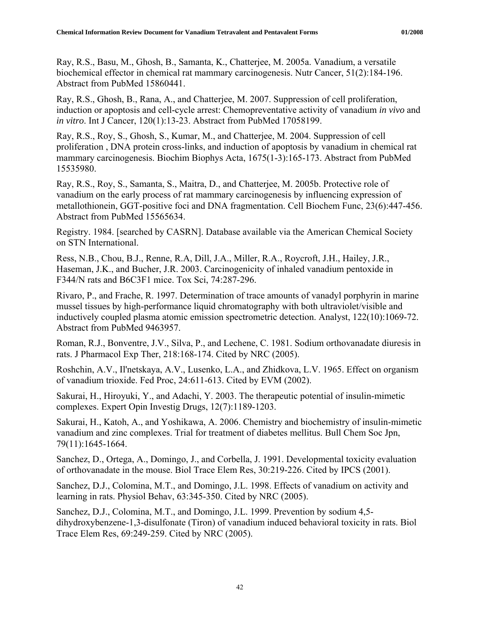Ray, R.S., Basu, M., Ghosh, B., Samanta, K., Chatterjee, M. 2005a. Vanadium, a versatile biochemical effector in chemical rat mammary carcinogenesis. Nutr Cancer, 51(2):184-196. Abstract from PubMed 15860441.

Ray, R.S., Ghosh, B., Rana, A., and Chatterjee, M. 2007. Suppression of cell proliferation, induction or apoptosis and cell-cycle arrest: Chemopreventative activity of vanadium *in vivo* and *in vitro*. Int J Cancer, 120(1):13-23. Abstract from PubMed 17058199.

Ray, R.S., Roy, S., Ghosh, S., Kumar, M., and Chatterjee, M. 2004. Suppression of cell proliferation , DNA protein cross-links, and induction of apoptosis by vanadium in chemical rat mammary carcinogenesis. Biochim Biophys Acta, 1675(1-3):165-173. Abstract from PubMed 15535980.

Ray, R.S., Roy, S., Samanta, S., Maitra, D., and Chatterjee, M. 2005b. Protective role of vanadium on the early process of rat mammary carcinogenesis by influencing expression of metallothionein, GGT-positive foci and DNA fragmentation. Cell Biochem Func, 23(6):447-456. Abstract from PubMed 15565634.

Registry. 1984. [searched by CASRN]. Database available via the American Chemical Society on STN International.

Ress, N.B., Chou, B.J., Renne, R.A, Dill, J.A., Miller, R.A., Roycroft, J.H., Hailey, J.R., Haseman, J.K., and Bucher, J.R. 2003. Carcinogenicity of inhaled vanadium pentoxide in F344/N rats and B6C3F1 mice. Tox Sci, 74:287-296.

Rivaro, P., and Frache, R. 1997. Determination of trace amounts of vanadyl porphyrin in marine mussel tissues by high-performance liquid chromatography with both ultraviolet/visible and inductively coupled plasma atomic emission spectrometric detection. Analyst, 122(10):1069-72. Abstract from PubMed 9463957.

Roman, R.J., Bonventre, J.V., Silva, P., and Lechene, C. 1981. Sodium orthovanadate diuresis in rats. J Pharmacol Exp Ther, 218:168-174. Cited by NRC (2005).

Roshchin, A.V., Il'netskaya, A.V., Lusenko, L.A., and Zhidkova, L.V. 1965. Effect on organism of vanadium trioxide. Fed Proc, 24:611-613. Cited by EVM (2002).

Sakurai, H., Hiroyuki, Y., and Adachi, Y. 2003. The therapeutic potential of insulin-mimetic complexes. Expert Opin Investig Drugs, 12(7):1189-1203.

Sakurai, H., Katoh, A., and Yoshikawa, A. 2006. Chemistry and biochemistry of insulin-mimetic vanadium and zinc complexes. Trial for treatment of diabetes mellitus. Bull Chem Soc Jpn, 79(11):1645-1664.

Sanchez, D., Ortega, A., Domingo, J., and Corbella, J. 1991. Developmental toxicity evaluation of orthovanadate in the mouse. Biol Trace Elem Res, 30:219-226. Cited by IPCS (2001).

Sanchez, D.J., Colomina, M.T., and Domingo, J.L. 1998. Effects of vanadium on activity and learning in rats. Physiol Behav, 63:345-350. Cited by NRC (2005).

Sanchez, D.J., Colomina, M.T., and Domingo, J.L. 1999. Prevention by sodium 4,5 dihydroxybenzene-1,3-disulfonate (Tiron) of vanadium induced behavioral toxicity in rats. Biol Trace Elem Res, 69:249-259. Cited by NRC (2005).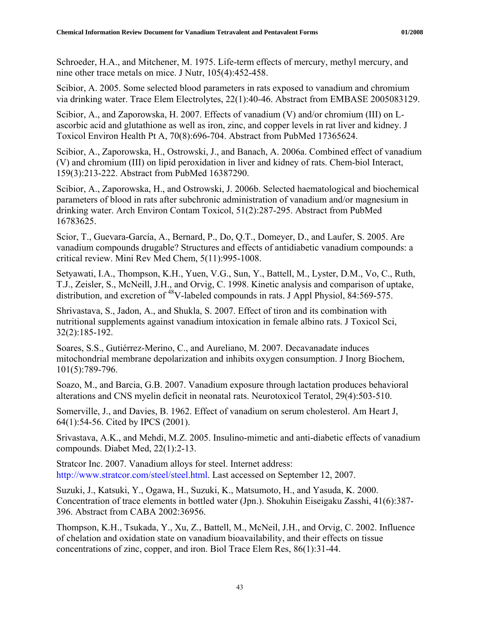Schroeder, H.A., and Mitchener, M. 1975. Life-term effects of mercury, methyl mercury, and nine other trace metals on mice. J Nutr, 105(4):452-458.

Scibior, A. 2005. Some selected blood parameters in rats exposed to vanadium and chromium via drinking water. Trace Elem Electrolytes, 22(1):40-46. Abstract from EMBASE 2005083129.

Scibior, A., and Zaporowska, H. 2007. Effects of vanadium (V) and/or chromium (III) on Lascorbic acid and glutathione as well as iron, zinc, and copper levels in rat liver and kidney. J Toxicol Environ Health Pt A, 70(8):696-704. Abstract from PubMed 17365624.

Scibior, A., Zaporowska, H., Ostrowski, J., and Banach, A. 2006a. Combined effect of vanadium (V) and chromium (III) on lipid peroxidation in liver and kidney of rats. Chem-biol Interact, 159(3):213-222. Abstract from PubMed 16387290.

Scibior, A., Zaporowska, H., and Ostrowski, J. 2006b. Selected haematological and biochemical parameters of blood in rats after subchronic administration of vanadium and/or magnesium in drinking water. Arch Environ Contam Toxicol, 51(2):287-295. Abstract from PubMed 16783625.

Scior, T., Guevara-García, A., Bernard, P., Do, Q.T., Domeyer, D., and Laufer, S. 2005. Are vanadium compounds drugable? Structures and effects of antidiabetic vanadium compounds: a critical review. Mini Rev Med Chem, 5(11):995-1008.

Setyawati, I.A., Thompson, K.H., Yuen, V.G., Sun, Y., Battell, M., Lyster, D.M., Vo, C., Ruth, T.J., Zeisler, S., McNeill, J.H., and Orvig, C. 1998. Kinetic analysis and comparison of uptake, distribution, and excretion of  $^{48}$ V-labeled compounds in rats. J Appl Physiol, 84:569-575.

Shrivastava, S., Jadon, A., and Shukla, S. 2007. Effect of tiron and its combination with nutritional supplements against vanadium intoxication in female albino rats. J Toxicol Sci, 32(2):185-192.

Soares, S.S., Gutiérrez-Merino, C., and Aureliano, M. 2007. Decavanadate induces mitochondrial membrane depolarization and inhibits oxygen consumption. J Inorg Biochem, 101(5):789-796.

Soazo, M., and Barcia, G.B. 2007. Vanadium exposure through lactation produces behavioral alterations and CNS myelin deficit in neonatal rats. Neurotoxicol Teratol, 29(4):503-510.

Somerville, J., and Davies, B. 1962. Effect of vanadium on serum cholesterol. Am Heart J, 64(1):54-56. Cited by IPCS (2001).

Srivastava, A.K., and Mehdi, M.Z. 2005. Insulino-mimetic and anti-diabetic effects of vanadium compounds. Diabet Med, 22(1):2-13.

Stratcor Inc. 2007. Vanadium alloys for steel. Internet address: [http://www.stratcor.com/steel/steel.html.](http://www.stratcor.com/steel/steel.html) Last accessed on September 12, 2007.

Suzuki, J., Katsuki, Y., Ogawa, H., Suzuki, K., Matsumoto, H., and Yasuda, K. 2000. Concentration of trace elements in bottled water (Jpn.). Shokuhin Eiseigaku Zasshi, 41(6):387- 396. Abstract from CABA 2002:36956.

Thompson, K.H., Tsukada, Y., Xu, Z., Battell, M., McNeil, J.H., and Orvig, C. 2002. Influence of chelation and oxidation state on vanadium bioavailability, and their effects on tissue concentrations of zinc, copper, and iron. Biol Trace Elem Res, 86(1):31-44.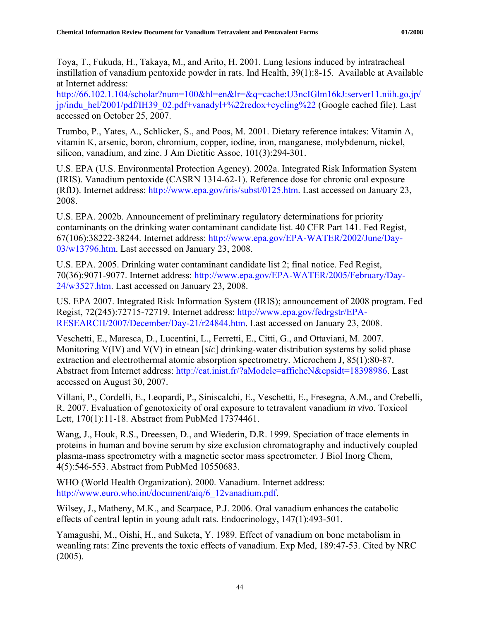Toya, T., Fukuda, H., Takaya, M., and Arito, H. 2001. Lung lesions induced by intratracheal instillation of vanadium pentoxide powder in rats. Ind Health, 39(1):8-15. Available at Available at Internet address:

[http://66.102.1.104/scholar?num=100&hl=en&lr=&q=cache:U3ncIGlm16kJ:server11.niih.go.jp/](http://66.102.1.104/scholar?num=100&hl=en&lr=&q=cache:U3ncIGlm16kJ:server11.niih.go.jp/jp/indu_hel/2001/pdf/IH39_02.pdf+vanadyl+%22redox+cycling%22) [jp/indu\\_hel/2001/pdf/IH39\\_02.pdf+vanadyl+%22redox+cycling%22](http://66.102.1.104/scholar?num=100&hl=en&lr=&q=cache:U3ncIGlm16kJ:server11.niih.go.jp/jp/indu_hel/2001/pdf/IH39_02.pdf+vanadyl+%22redox+cycling%22) (Google cached file). Last accessed on October 25, 2007.

Trumbo, P., Yates, A., Schlicker, S., and Poos, M. 2001. Dietary reference intakes: Vitamin A, vitamin K, arsenic, boron, chromium, copper, iodine, iron, manganese, molybdenum, nickel, silicon, vanadium, and zinc. J Am Dietitic Assoc, 101(3):294-301.

U.S. EPA (U.S. Environmental Protection Agency). 2002a. Integrated Risk Information System (IRIS). Vanadium pentoxide (CASRN 1314-62-1). Reference dose for chronic oral exposure (RfD). Internet address:<http://www.epa.gov/iris/subst/0125.htm>. Last accessed on January 23, 2008.

U.S. EPA. 2002b. Announcement of preliminary regulatory determinations for priority contaminants on the drinking water contaminant candidate list. 40 CFR Part 141. Fed Regist, 67(106):38222-38244. Internet address: [http://www.epa.gov/EPA-WATER/2002/June/Day-](http://www.epa.gov/EPA-WATER/2002/June/Day-03/w13796.htm)[03/w13796.htm.](http://www.epa.gov/EPA-WATER/2002/June/Day-03/w13796.htm) Last accessed on January 23, 2008.

U.S. EPA. 2005. Drinking water contaminant candidate list 2; final notice. Fed Regist, 70(36):9071-9077. Internet address: [http://www.epa.gov/EPA-WATER/2005/February/Day-](http://www.epa.gov/EPA-WATER/2005/February/Day-24/w3527.htm)[24/w3527.htm.](http://www.epa.gov/EPA-WATER/2005/February/Day-24/w3527.htm) Last accessed on January 23, 2008.

US. EPA 2007. Integrated Risk Information System (IRIS); announcement of 2008 program. Fed Regist, 72(245):72715-72719. Internet address: [http://www.epa.gov/fedrgstr/EPA-](http://www.epa.gov/fedrgstr/EPA-RESEARCH/2007/December/Day-21/r24844.htm)[RESEARCH/2007/December/Day-21/r24844.htm.](http://www.epa.gov/fedrgstr/EPA-RESEARCH/2007/December/Day-21/r24844.htm) Last accessed on January 23, 2008.

Veschetti, E., Maresca, D., Lucentini, L., Ferretti, E., Citti, G., and Ottaviani, M. 2007. Monitoring V(IV) and V(V) in etnean [*sic*] drinking-water distribution systems by solid phase extraction and electrothermal atomic absorption spectrometry. Microchem J, 85(1):80-87. Abstract from Internet address: <http://cat.inist.fr/?aModele=afficheN&cpsidt=18398986>. Last accessed on August 30, 2007.

Villani, P., Cordelli, E., Leopardi, P., Siniscalchi, E., Veschetti, E., Fresegna, A.M., and Crebelli, R. 2007. Evaluation of genotoxicity of oral exposure to tetravalent vanadium *in vivo*. Toxicol Lett, 170(1):11-18. Abstract from PubMed 17374461.

Wang, J., Houk, R.S., Dreessen, D., and Wiederin, D.R. 1999. Speciation of trace elements in proteins in human and bovine serum by size exclusion chromatography and inductively coupled plasma-mass spectrometry with a magnetic sector mass spectrometer. J Biol Inorg Chem, 4(5):546-553. Abstract from PubMed 10550683.

WHO (World Health Organization). 2000. Vanadium. Internet address: [http://www.euro.who.int/document/aiq/6\\_12vanadium.pdf.](http://www.euro.who.int/document/aiq/6_12vanadium.pdf)

Wilsey, J., Matheny, M.K., and Scarpace, P.J. 2006. Oral vanadium enhances the catabolic effects of central leptin in young adult rats. Endocrinology, 147(1):493-501.

Yamagushi, M., Oishi, H., and Suketa, Y. 1989. Effect of vanadium on bone metabolism in weanling rats: Zinc prevents the toxic effects of vanadium. Exp Med, 189:47-53. Cited by NRC (2005).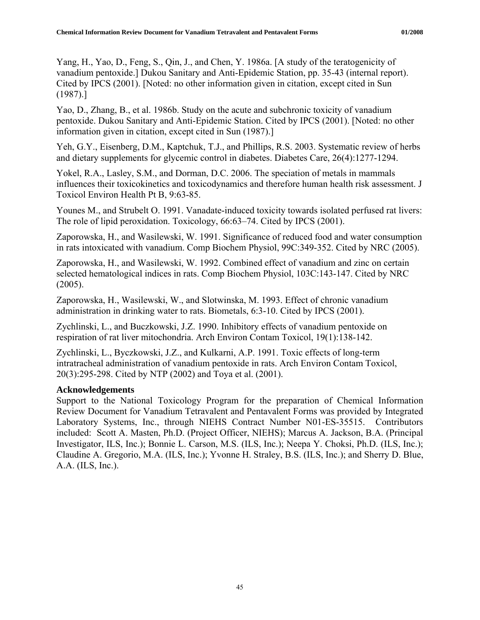<span id="page-51-0"></span>Yang, H., Yao, D., Feng, S., Qin, J., and Chen, Y. 1986a. [A study of the teratogenicity of vanadium pentoxide.] Dukou Sanitary and Anti-Epidemic Station, pp. 35-43 (internal report). Cited by IPCS (2001). [Noted: no other information given in citation, except cited in Sun (1987).]

Yao, D., Zhang, B., et al. 1986b. Study on the acute and subchronic toxicity of vanadium pentoxide. Dukou Sanitary and Anti-Epidemic Station. Cited by IPCS (2001). [Noted: no other information given in citation, except cited in Sun (1987).]

Yeh, G.Y., Eisenberg, D.M., Kaptchuk, T.J., and Phillips, R.S. 2003. Systematic review of herbs and dietary supplements for glycemic control in diabetes. Diabetes Care, 26(4):1277-1294.

Yokel, R.A., Lasley, S.M., and Dorman, D.C. 2006. The speciation of metals in mammals influences their toxicokinetics and toxicodynamics and therefore human health risk assessment. J Toxicol Environ Health Pt B, 9:63-85.

Younes M., and Strubelt O. 1991. Vanadate-induced toxicity towards isolated perfused rat livers: The role of lipid peroxidation. Toxicology, 66:63–74. Cited by IPCS (2001).

Zaporowska, H., and Wasilewski, W. 1991. Significance of reduced food and water consumption in rats intoxicated with vanadium. Comp Biochem Physiol, 99C:349-352. Cited by NRC (2005).

Zaporowska, H., and Wasilewski, W. 1992. Combined effect of vanadium and zinc on certain selected hematological indices in rats. Comp Biochem Physiol, 103C:143-147. Cited by NRC (2005).

Zaporowska, H., Wasilewski, W., and Slotwinska, M. 1993. Effect of chronic vanadium administration in drinking water to rats. Biometals, 6:3-10. Cited by IPCS (2001).

Zychlinski, L., and Buczkowski, J.Z. 1990. Inhibitory effects of vanadium pentoxide on respiration of rat liver mitochondria. Arch Environ Contam Toxicol, 19(1):138-142.

Zychlinski, L., Byczkowski, J.Z., and Kulkarni, A.P. 1991. Toxic effects of long-term intratracheal administration of vanadium pentoxide in rats. Arch Environ Contam Toxicol, 20(3):295-298. Cited by NTP (2002) and Toya et al. (2001).

## **Acknowledgements**

Support to the National Toxicology Program for the preparation of Chemical Information Review Document for Vanadium Tetravalent and Pentavalent Forms was provided by Integrated Laboratory Systems, Inc., through NIEHS Contract Number N01-ES-35515. Contributors included: Scott A. Masten, Ph.D. (Project Officer, NIEHS); Marcus A. Jackson, B.A. (Principal Investigator, ILS, Inc.); Bonnie L. Carson, M.S. (ILS, Inc.); Neepa Y. Choksi, Ph.D. (ILS, Inc.); Claudine A. Gregorio, M.A. (ILS, Inc.); Yvonne H. Straley, B.S. (ILS, Inc.); and Sherry D. Blue, A.A. (ILS, Inc.).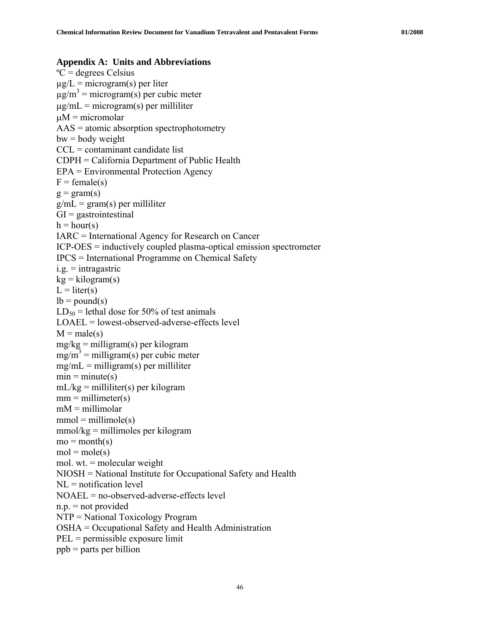#### <span id="page-52-0"></span>**Appendix A: Units and Abbreviations**

 $^{\circ}C$  = degrees Celsius  $\mu$ g/L = microgram(s) per liter  $\mu$ g/m<sup>3</sup> = microgram(s) per cubic meter  $\mu$ g/mL = microgram(s) per milliliter  $\mu$ M = micromolar AAS = atomic absorption spectrophotometry  $bw = body weight$  $CCL = \text{contaminant candidate list}$ CDPH = California Department of Public Health EPA = Environmental Protection Agency  $F = female(s)$  $g = \text{gram}(s)$  $g/mL = gram(s)$  per milliliter  $GI =$  gastrointestinal  $h = hour(s)$ IARC = International Agency for Research on Cancer ICP-OES = inductively coupled plasma-optical emission spectrometer IPCS = International Programme on Chemical Safety  $i.g. =$ intragastric  $kg = kilogram(s)$  $L = liter(s)$  $lb = pound(s)$  $LD_{50}$  = lethal dose for 50% of test animals LOAEL = lowest-observed-adverse-effects level  $M = male(s)$ mg/kg = milligram(s) per kilogram  $mg/m^3$  = milligram(s) per cubic meter  $mg/mL = milligram(s)$  per milliliter  $min = minute(s)$  $mL/kg =$  milliliter(s) per kilogram  $mm = millimeter(s)$  $mM =$  millimolar  $mmol = millimole(s)$  $mmol/kg = millimoles per kilogram$  $mo = month(s)$  $mol = mole(s)$ mol. wt. = molecular weight NIOSH = National Institute for Occupational Safety and Health  $NL =$ notification level NOAEL = no-observed-adverse-effects level  $n.p.$  = not provided NTP = National Toxicology Program OSHA = Occupational Safety and Health Administration PEL = permissible exposure limit ppb = parts per billion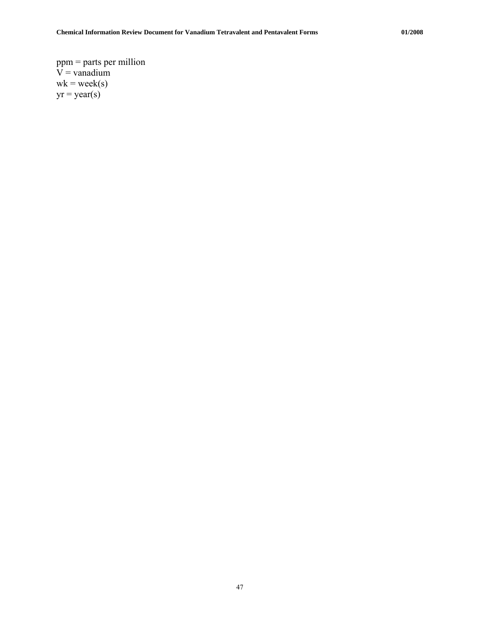ppm = parts per million  $V =$  vanadium  $wk = week(s)$  $yr = year(s)$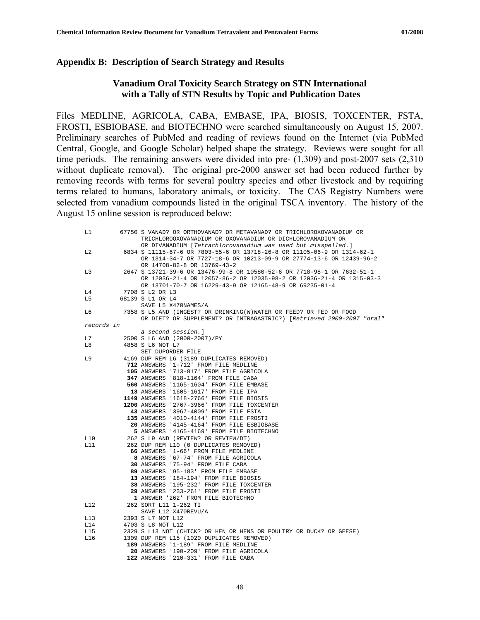#### <span id="page-54-0"></span>**Appendix B: Description of Search Strategy and Results**

#### **Vanadium Oral Toxicity Search Strategy on STN International with a Tally of STN Results by Topic and Publication Dates**

Files MEDLINE, AGRICOLA, CABA, EMBASE, IPA, BIOSIS, TOXCENTER, FSTA, FROSTI, ESBIOBASE, and BIOTECHNO were searched simultaneously on August 15, 2007. Preliminary searches of PubMed and reading of reviews found on the Internet (via PubMed Central, Google, and Google Scholar) helped shape the strategy. Reviews were sought for all time periods. The remaining answers were divided into pre- (1,309) and post-2007 sets (2,310 without duplicate removal). The original pre-2000 answer set had been reduced further by removing records with terms for several poultry species and other livestock and by requiring terms related to humans, laboratory animals, or toxicity. The CAS Registry Numbers were selected from vanadium compounds listed in the original TSCA inventory. The history of the August 15 online session is reproduced below:

| L1         |                                                                    | 67750 S VANAD? OR ORTHOVANAD? OR METAVANAD? OR TRICHLOROXOVANADIUM OR<br>TRICHLOROOXOVANADIUM OR OXOVANADIUM OR DICHLOROVANADIUM OR<br>OR DIVANADIUM [Tetrachlorovanadium was used but misspelled.]        |  |  |
|------------|--------------------------------------------------------------------|------------------------------------------------------------------------------------------------------------------------------------------------------------------------------------------------------------|--|--|
| L2         |                                                                    | 6834 S 11115-67-6 OR 7803-55-6 OR 13718-26-8 OR 11105-06-9 OR 1314-62-1<br>OR 1314-34-7 OR 7727-18-6 OR 10213-09-9 OR 27774-13-6 OR 12439-96-2<br>OR 14708-82-8 OR 13769-43-2                              |  |  |
| L3         |                                                                    | 2647 S 13721-39-6 OR 13476-99-8 OR 10580-52-6 OR 7718-98-1 OR 7632-51-1<br>OR 12036-21-4 OR 12057-86-2 OR 12035-98-2 OR 12036-21-4 OR 1315-03-3<br>OR 13701-70-7 OR 16229-43-9 OR 12165-48-9 OR 69235-01-4 |  |  |
| L4         |                                                                    | 7708 S L2 OR L3                                                                                                                                                                                            |  |  |
| L5         |                                                                    | 68139 S L1 OR L4                                                                                                                                                                                           |  |  |
|            |                                                                    | SAVE L5 X470NAMES/A                                                                                                                                                                                        |  |  |
| L6         | 7358 S L5 AND (INGEST? OR DRINKING(W)WATER OR FEED? OR FED OR FOOD |                                                                                                                                                                                                            |  |  |
|            |                                                                    | OR DIET? OR SUPPLEMENT? OR INTRAGASTRIC?) [Retrieved 2000-2007 "oral"                                                                                                                                      |  |  |
| records in |                                                                    |                                                                                                                                                                                                            |  |  |
|            |                                                                    | a second session.]                                                                                                                                                                                         |  |  |
| L7         |                                                                    | 2500 S L6 AND (2000-2007)/PY                                                                                                                                                                               |  |  |
| L8         |                                                                    | 4858 S L6 NOT L7                                                                                                                                                                                           |  |  |
|            |                                                                    | SET DUPORDER FILE                                                                                                                                                                                          |  |  |
| L9         |                                                                    | 4169 DUP REM L6 (3189 DUPLICATES REMOVED)                                                                                                                                                                  |  |  |
|            |                                                                    | 712 ANSWERS '1-712' FROM FILE MEDLINE                                                                                                                                                                      |  |  |
|            |                                                                    | 105 ANSWERS '713-817' FROM FILE AGRICOLA                                                                                                                                                                   |  |  |
|            |                                                                    | 347 ANSWERS '818-1164' FROM FILE CABA                                                                                                                                                                      |  |  |
|            |                                                                    | 560 ANSWERS '1165-1604' FROM FILE EMBASE                                                                                                                                                                   |  |  |
|            |                                                                    | 13 ANSWERS '1605-1617' FROM FILE IPA                                                                                                                                                                       |  |  |
|            |                                                                    | 1149 ANSWERS '1618-2766' FROM FILE BIOSIS                                                                                                                                                                  |  |  |
|            |                                                                    | 1200 ANSWERS '2767-3966' FROM FILE TOXCENTER                                                                                                                                                               |  |  |
|            |                                                                    | 43 ANSWERS '3967-4009' FROM FILE FSTA                                                                                                                                                                      |  |  |
|            |                                                                    | 135 ANSWERS '4010-4144' FROM FILE FROSTI                                                                                                                                                                   |  |  |
|            |                                                                    | 20 ANSWERS '4145-4164' FROM FILE ESBIOBASE                                                                                                                                                                 |  |  |
|            |                                                                    | 5 ANSWERS '4165-4169' FROM FILE BIOTECHNO                                                                                                                                                                  |  |  |
| L10        |                                                                    | 262 S L9 AND (REVIEW? OR REVIEW/DT)                                                                                                                                                                        |  |  |
| L11        |                                                                    | 262 DUP REM L10 (0 DUPLICATES REMOVED)                                                                                                                                                                     |  |  |
|            |                                                                    | 66 ANSWERS '1-66' FROM FILE MEDLINE                                                                                                                                                                        |  |  |
|            |                                                                    | 8 ANSWERS '67-74' FROM FILE AGRICOLA                                                                                                                                                                       |  |  |
|            |                                                                    | 30 ANSWERS '75-94' FROM FILE CABA                                                                                                                                                                          |  |  |
|            |                                                                    | 89 ANSWERS '95-183' FROM FILE EMBASE                                                                                                                                                                       |  |  |
|            |                                                                    | 13 ANSWERS '184-194' FROM FILE BIOSIS                                                                                                                                                                      |  |  |
|            |                                                                    | 38 ANSWERS '195-232' FROM FILE TOXCENTER                                                                                                                                                                   |  |  |
|            |                                                                    | 29 ANSWERS '233-261' FROM FILE FROSTI                                                                                                                                                                      |  |  |
|            |                                                                    | 1 ANSWER '262' FROM FILE BIOTECHNO                                                                                                                                                                         |  |  |
| L12        |                                                                    | 262 SORT L11 1-262 TI                                                                                                                                                                                      |  |  |
|            |                                                                    | SAVE L12 X470REVU/A                                                                                                                                                                                        |  |  |
| L13        |                                                                    | 2393 S L7 NOT L12                                                                                                                                                                                          |  |  |
| L14        |                                                                    | 4703 S L8 NOT L12                                                                                                                                                                                          |  |  |
| L15        |                                                                    | 2329 S L13 NOT (CHICK? OR HEN OR HENS OR POULTRY OR DUCK? OR GEESE)                                                                                                                                        |  |  |
| L16        |                                                                    | 1309 DUP REM L15 (1020 DUPLICATES REMOVED)                                                                                                                                                                 |  |  |
|            |                                                                    | 189 ANSWERS '1-189' FROM FILE MEDLINE                                                                                                                                                                      |  |  |
|            |                                                                    | 20 ANSWERS '190-209' FROM FILE AGRICOLA                                                                                                                                                                    |  |  |
|            |                                                                    | 122 ANSWERS '210-331' FROM FILE CABA                                                                                                                                                                       |  |  |
|            |                                                                    |                                                                                                                                                                                                            |  |  |